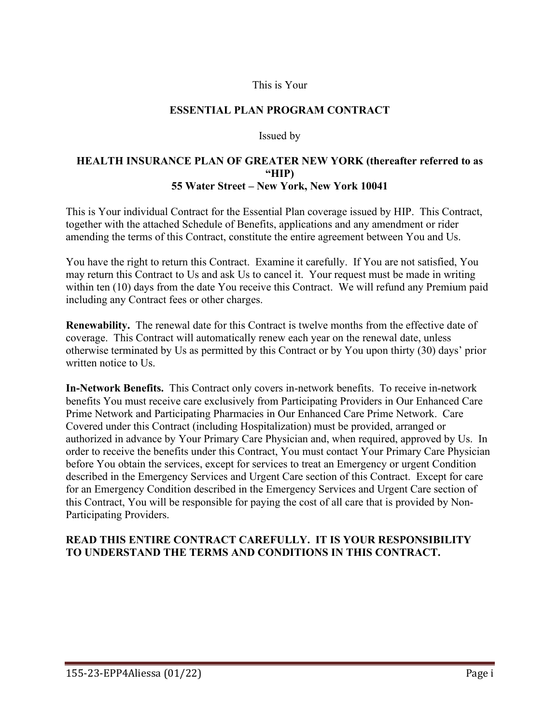#### This is Your

#### **ESSENTIAL PLAN PROGRAM CONTRACT**

#### Issued by

#### **HEALTH INSURANCE PLAN OF GREATER NEW YORK (thereafter referred to as "HIP) 55 Water Street – New York, New York 10041**

This is Your individual Contract for the Essential Plan coverage issued by HIP. This Contract, together with the attached Schedule of Benefits, applications and any amendment or rider amending the terms of this Contract, constitute the entire agreement between You and Us.

You have the right to return this Contract. Examine it carefully. If You are not satisfied, You may return this Contract to Us and ask Us to cancel it. Your request must be made in writing within ten (10) days from the date You receive this Contract. We will refund any Premium paid including any Contract fees or other charges.

**Renewability.** The renewal date for this Contract is twelve months from the effective date of coverage. This Contract will automatically renew each year on the renewal date, unless otherwise terminated by Us as permitted by this Contract or by You upon thirty (30) days' prior written notice to Us.

**In-Network Benefits.** This Contract only covers in-network benefits. To receive in-network benefits You must receive care exclusively from Participating Providers in Our Enhanced Care Prime Network and Participating Pharmacies in Our Enhanced Care Prime Network. Care Covered under this Contract (including Hospitalization) must be provided, arranged or authorized in advance by Your Primary Care Physician and, when required, approved by Us. In order to receive the benefits under this Contract, You must contact Your Primary Care Physician before You obtain the services, except for services to treat an Emergency or urgent Condition described in the Emergency Services and Urgent Care section of this Contract. Except for care for an Emergency Condition described in the Emergency Services and Urgent Care section of this Contract, You will be responsible for paying the cost of all care that is provided by Non-Participating Providers.

### **READ THIS ENTIRE CONTRACT CAREFULLY. IT IS YOUR RESPONSIBILITY TO UNDERSTAND THE TERMS AND CONDITIONS IN THIS CONTRACT.**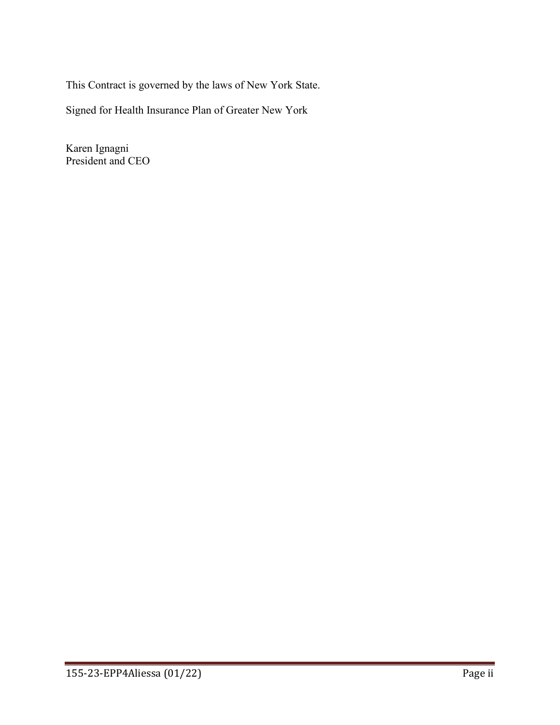This Contract is governed by the laws of New York State.

Signed for Health Insurance Plan of Greater New York

Karen Ignagni President and CEO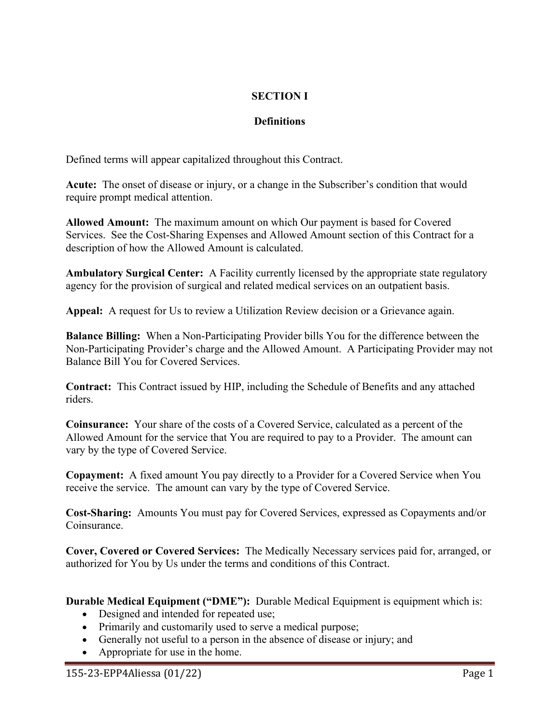# **SECTION I**

# **Definitions**

Defined terms will appear capitalized throughout this Contract.

**Acute:** The onset of disease or injury, or a change in the Subscriber's condition that would require prompt medical attention.

**Allowed Amount:** The maximum amount on which Our payment is based for Covered Services. See the Cost-Sharing Expenses and Allowed Amount section of this Contract for a description of how the Allowed Amount is calculated.

**Ambulatory Surgical Center:** A Facility currently licensed by the appropriate state regulatory agency for the provision of surgical and related medical services on an outpatient basis.

**Appeal:** A request for Us to review a Utilization Review decision or a Grievance again.

**Balance Billing:** When a Non-Participating Provider bills You for the difference between the Non-Participating Provider's charge and the Allowed Amount. A Participating Provider may not Balance Bill You for Covered Services.

**Contract:** This Contract issued by HIP, including the Schedule of Benefits and any attached riders.

**Coinsurance:** Your share of the costs of a Covered Service, calculated as a percent of the Allowed Amount for the service that You are required to pay to a Provider. The amount can vary by the type of Covered Service.

**Copayment:** A fixed amount You pay directly to a Provider for a Covered Service when You receive the service. The amount can vary by the type of Covered Service.

**Cost-Sharing:** Amounts You must pay for Covered Services, expressed as Copayments and/or Coinsurance.

**Cover, Covered or Covered Services:** The Medically Necessary services paid for, arranged, or authorized for You by Us under the terms and conditions of this Contract.

**Durable Medical Equipment ("DME"):** Durable Medical Equipment is equipment which is:

- Designed and intended for repeated use;
- Primarily and customarily used to serve a medical purpose;
- Generally not useful to a person in the absence of disease or injury; and
- Appropriate for use in the home.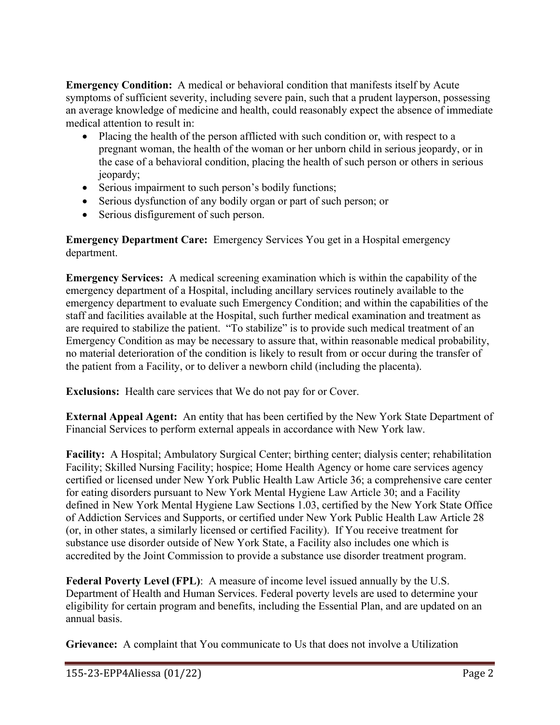**Emergency Condition:** A medical or behavioral condition that manifests itself by Acute symptoms of sufficient severity, including severe pain, such that a prudent layperson, possessing an average knowledge of medicine and health, could reasonably expect the absence of immediate medical attention to result in:

- Placing the health of the person afflicted with such condition or, with respect to a pregnant woman, the health of the woman or her unborn child in serious jeopardy, or in the case of a behavioral condition, placing the health of such person or others in serious jeopardy;
- Serious impairment to such person's bodily functions;
- Serious dysfunction of any bodily organ or part of such person; or
- Serious disfigurement of such person.

**Emergency Department Care:** Emergency Services You get in a Hospital emergency department.

**Emergency Services:** A medical screening examination which is within the capability of the emergency department of a Hospital, including ancillary services routinely available to the emergency department to evaluate such Emergency Condition; and within the capabilities of the staff and facilities available at the Hospital, such further medical examination and treatment as are required to stabilize the patient. "To stabilize" is to provide such medical treatment of an Emergency Condition as may be necessary to assure that, within reasonable medical probability, no material deterioration of the condition is likely to result from or occur during the transfer of the patient from a Facility, or to deliver a newborn child (including the placenta).

**Exclusions:** Health care services that We do not pay for or Cover.

**External Appeal Agent:** An entity that has been certified by the New York State Department of Financial Services to perform external appeals in accordance with New York law.

**Facility:** A Hospital; Ambulatory Surgical Center; birthing center; dialysis center; rehabilitation Facility; Skilled Nursing Facility; hospice; Home Health Agency or home care services agency certified or licensed under New York Public Health Law Article 36; a comprehensive care center for eating disorders pursuant to New York Mental Hygiene Law Article 30; and a Facility defined in New York Mental Hygiene Law Sections 1.03, certified by the New York State Office of Addiction Services and Supports, or certified under New York Public Health Law Article 28 (or, in other states, a similarly licensed or certified Facility). If You receive treatment for substance use disorder outside of New York State, a Facility also includes one which is accredited by the Joint Commission to provide a substance use disorder treatment program.

**Federal Poverty Level (FPL)**: A measure of income level issued annually by the U.S. Department of Health and Human Services. Federal poverty levels are used to determine your eligibility for certain program and benefits, including the Essential Plan, and are updated on an annual basis.

**Grievance:** A complaint that You communicate to Us that does not involve a Utilization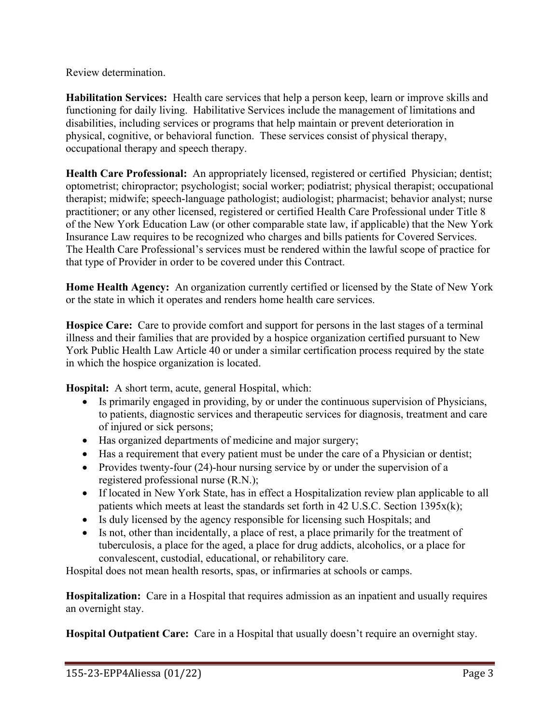Review determination.

**Habilitation Services:** Health care services that help a person keep, learn or improve skills and functioning for daily living. Habilitative Services include the management of limitations and disabilities, including services or programs that help maintain or prevent deterioration in physical, cognitive, or behavioral function. These services consist of physical therapy, occupational therapy and speech therapy.

**Health Care Professional:** An appropriately licensed, registered or certified Physician; dentist; optometrist; chiropractor; psychologist; social worker; podiatrist; physical therapist; occupational therapist; midwife; speech-language pathologist; audiologist; pharmacist; behavior analyst; nurse practitioner; or any other licensed, registered or certified Health Care Professional under Title 8 of the New York Education Law (or other comparable state law, if applicable) that the New York Insurance Law requires to be recognized who charges and bills patients for Covered Services. The Health Care Professional's services must be rendered within the lawful scope of practice for that type of Provider in order to be covered under this Contract.

**Home Health Agency:** An organization currently certified or licensed by the State of New York or the state in which it operates and renders home health care services.

**Hospice Care:** Care to provide comfort and support for persons in the last stages of a terminal illness and their families that are provided by a hospice organization certified pursuant to New York Public Health Law Article 40 or under a similar certification process required by the state in which the hospice organization is located.

**Hospital:** A short term, acute, general Hospital, which:

- Is primarily engaged in providing, by or under the continuous supervision of Physicians, to patients, diagnostic services and therapeutic services for diagnosis, treatment and care of injured or sick persons;
- Has organized departments of medicine and major surgery;
- Has a requirement that every patient must be under the care of a Physician or dentist;
- Provides twenty-four (24)-hour nursing service by or under the supervision of a registered professional nurse (R.N.);
- If located in New York State, has in effect a Hospitalization review plan applicable to all patients which meets at least the standards set forth in 42 U.S.C. Section 1395x(k);
- Is duly licensed by the agency responsible for licensing such Hospitals; and
- Is not, other than incidentally, a place of rest, a place primarily for the treatment of tuberculosis, a place for the aged, a place for drug addicts, alcoholics, or a place for convalescent, custodial, educational, or rehabilitory care.

Hospital does not mean health resorts, spas, or infirmaries at schools or camps.

**Hospitalization:** Care in a Hospital that requires admission as an inpatient and usually requires an overnight stay.

**Hospital Outpatient Care:** Care in a Hospital that usually doesn't require an overnight stay.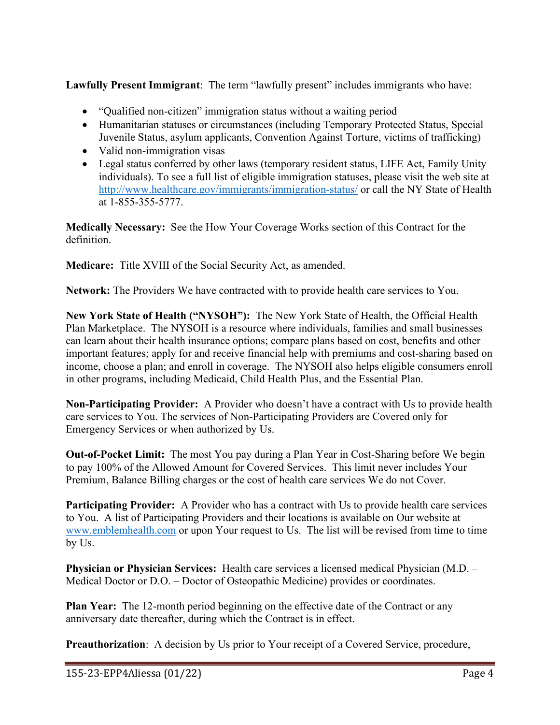**Lawfully Present Immigrant**: The term "lawfully present" includes immigrants who have:

- "Qualified non-citizen" immigration status without a waiting period
- Humanitarian statuses or circumstances (including Temporary Protected Status, Special Juvenile Status, asylum applicants, Convention Against Torture, victims of trafficking)
- Valid non-immigration visas
- Legal status conferred by other laws (temporary resident status, LIFE Act, Family Unity individuals). To see a full list of eligible immigration statuses, please visit the web site at http:/[/www.healthcare.gov/immigrants/immigration-status/](http://www.healthcare.gov/immigrants/immigration-status/) or call the NY State of Health at 1-855-355-5777.

**Medically Necessary:** See the How Your Coverage Works section of this Contract for the definition.

**Medicare:** Title XVIII of the Social Security Act, as amended.

**Network:** The Providers We have contracted with to provide health care services to You.

**New York State of Health ("NYSOH"):** The New York State of Health, the Official Health Plan Marketplace. The NYSOH is a resource where individuals, families and small businesses can learn about their health insurance options; compare plans based on cost, benefits and other important features; apply for and receive financial help with premiums and cost-sharing based on income, choose a plan; and enroll in coverage. The NYSOH also helps eligible consumers enroll in other programs, including Medicaid, Child Health Plus, and the Essential Plan.

**Non-Participating Provider:** A Provider who doesn't have a contract with Us to provide health care services to You. The services of Non-Participating Providers are Covered only for Emergency Services or when authorized by Us.

**Out-of-Pocket Limit:** The most You pay during a Plan Year in Cost-Sharing before We begin to pay 100% of the Allowed Amount for Covered Services. This limit never includes Your Premium, Balance Billing charges or the cost of health care services We do not Cover.

**Participating Provider:** A Provider who has a contract with Us to provide health care services to You. A list of Participating Providers and their locations is available on Our website at [www.emblemhealth.com](http://www.emblemhealth.com/) or upon Your request to Us. The list will be revised from time to time by Us.

**Physician or Physician Services:** Health care services a licensed medical Physician (M.D. – Medical Doctor or D.O. – Doctor of Osteopathic Medicine) provides or coordinates.

**Plan Year:** The 12-month period beginning on the effective date of the Contract or any anniversary date thereafter, during which the Contract is in effect.

**Preauthorization**: A decision by Us prior to Your receipt of a Covered Service, procedure,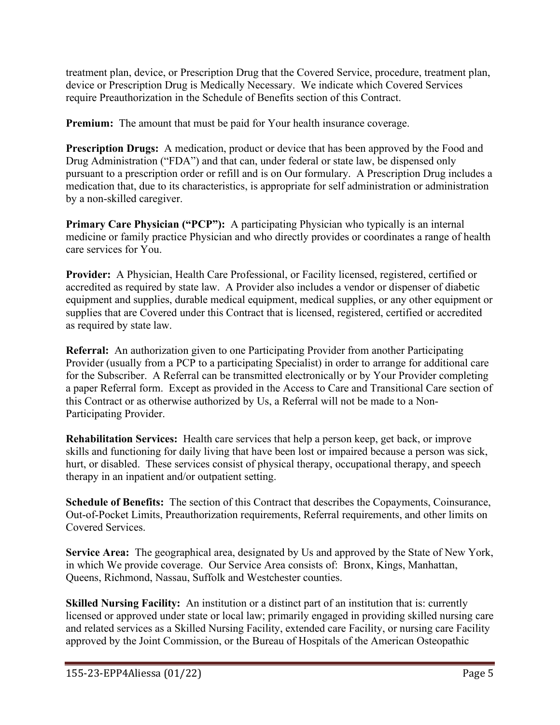treatment plan, device, or Prescription Drug that the Covered Service, procedure, treatment plan, device or Prescription Drug is Medically Necessary.We indicate which Covered Services require Preauthorization in the Schedule of Benefits section of this Contract.

**Premium:** The amount that must be paid for Your health insurance coverage.

**Prescription Drugs:** A medication, product or device that has been approved by the Food and Drug Administration ("FDA") and that can, under federal or state law, be dispensed only pursuant to a prescription order or refill and is on Our formulary. A Prescription Drug includes a medication that, due to its characteristics, is appropriate for self administration or administration by a non-skilled caregiver.

**Primary Care Physician ("PCP"):** A participating Physician who typically is an internal medicine or family practice Physician and who directly provides or coordinates a range of health care services for You.

**Provider:** A Physician, Health Care Professional, or Facility licensed, registered, certified or accredited as required by state law. A Provider also includes a vendor or dispenser of diabetic equipment and supplies, durable medical equipment, medical supplies, or any other equipment or supplies that are Covered under this Contract that is licensed, registered, certified or accredited as required by state law.

**Referral:** An authorization given to one Participating Provider from another Participating Provider (usually from a PCP to a participating Specialist) in order to arrange for additional care for the Subscriber. A Referral can be transmitted electronically or by Your Provider completing a paper Referral form. Except as provided in the Access to Care and Transitional Care section of this Contract or as otherwise authorized by Us, a Referral will not be made to a Non-Participating Provider.

**Rehabilitation Services:** Health care services that help a person keep, get back, or improve skills and functioning for daily living that have been lost or impaired because a person was sick, hurt, or disabled. These services consist of physical therapy, occupational therapy, and speech therapy in an inpatient and/or outpatient setting.

**Schedule of Benefits:** The section of this Contract that describes the Copayments, Coinsurance, Out-of-Pocket Limits, Preauthorization requirements, Referral requirements, and other limits on Covered Services.

**Service Area:** The geographical area, designated by Us and approved by the State of New York, in which We provide coverage. Our Service Area consists of: Bronx, Kings, Manhattan, Queens, Richmond, Nassau, Suffolk and Westchester counties.

**Skilled Nursing Facility:** An institution or a distinct part of an institution that is: currently licensed or approved under state or local law; primarily engaged in providing skilled nursing care and related services as a Skilled Nursing Facility, extended care Facility, or nursing care Facility approved by the Joint Commission, or the Bureau of Hospitals of the American Osteopathic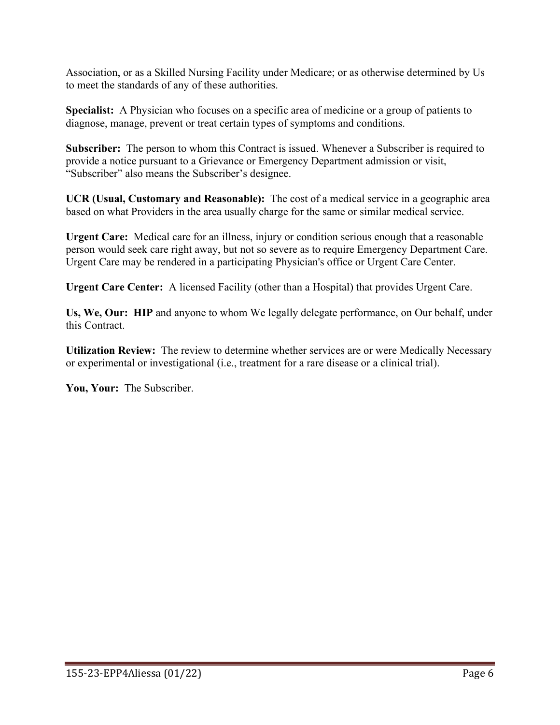Association, or as a Skilled Nursing Facility under Medicare; or as otherwise determined by Us to meet the standards of any of these authorities.

**Specialist:** A Physician who focuses on a specific area of medicine or a group of patients to diagnose, manage, prevent or treat certain types of symptoms and conditions.

**Subscriber:** The person to whom this Contract is issued. Whenever a Subscriber is required to provide a notice pursuant to a Grievance or Emergency Department admission or visit, "Subscriber" also means the Subscriber's designee.

**UCR (Usual, Customary and Reasonable):** The cost of a medical service in a geographic area based on what Providers in the area usually charge for the same or similar medical service.

**Urgent Care:** Medical care for an illness, injury or condition serious enough that a reasonable person would seek care right away, but not so severe as to require Emergency Department Care. Urgent Care may be rendered in a participating Physician's office or Urgent Care Center.

**Urgent Care Center:** A licensed Facility (other than a Hospital) that provides Urgent Care.

**Us, We, Our: HIP** and anyone to whom We legally delegate performance, on Our behalf, under this Contract.

**Utilization Review:** The review to determine whether services are or were Medically Necessary or experimental or investigational (i.e., treatment for a rare disease or a clinical trial).

**You, Your:** The Subscriber.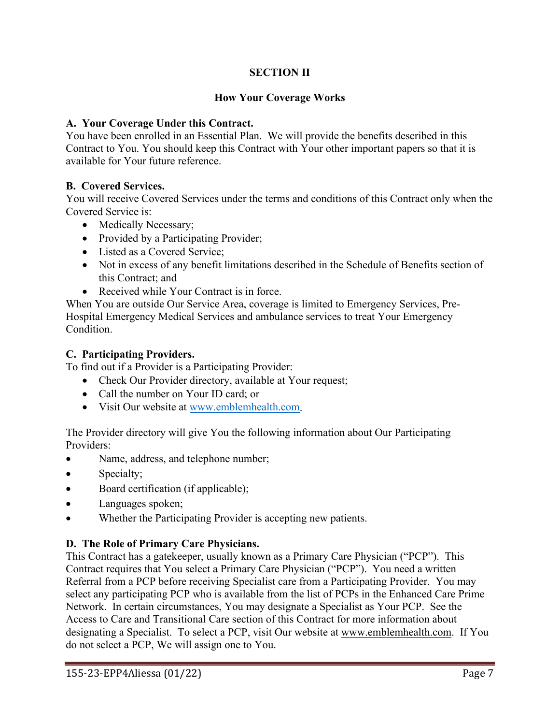# **SECTION II**

## **How Your Coverage Works**

### **A. Your Coverage Under this Contract.**

You have been enrolled in an Essential Plan. We will provide the benefits described in this Contract to You. You should keep this Contract with Your other important papers so that it is available for Your future reference.

## **B. Covered Services.**

You will receive Covered Services under the terms and conditions of this Contract only when the Covered Service is:

- Medically Necessary;
- Provided by a Participating Provider;
- Listed as a Covered Service;
- Not in excess of any benefit limitations described in the Schedule of Benefits section of this Contract; and
- Received while Your Contract is in force.

When You are outside Our Service Area, coverage is limited to Emergency Services, Pre-Hospital Emergency Medical Services and ambulance services to treat Your Emergency Condition.

### **C. Participating Providers.**

To find out if a Provider is a Participating Provider:

- Check Our Provider directory, available at Your request;
- Call the number on Your ID card; or
- Visit Our website at [www.emblemhealth.com.](http://www.emblemhealth.com/)

The Provider directory will give You the following information about Our Participating Providers:

- Name, address, and telephone number;
- Specialty;
- Board certification (if applicable);
- Languages spoken;
- Whether the Participating Provider is accepting new patients.

# **D. The Role of Primary Care Physicians.**

This Contract has a gatekeeper, usually known as a Primary Care Physician ("PCP"). This Contract requires that You select a Primary Care Physician ("PCP"). You need a written Referral from a PCP before receiving Specialist care from a Participating Provider. You may select any participating PCP who is available from the list of PCPs in the Enhanced Care Prime Network. In certain circumstances, You may designate a Specialist as Your PCP. See the Access to Care and Transitional Care section of this Contract for more information about designating a Specialist. To select a PCP, visit Our website at [www.emblemhealth.com.](http://www.emblemhealth.com/) If You do not select a PCP, We will assign one to You.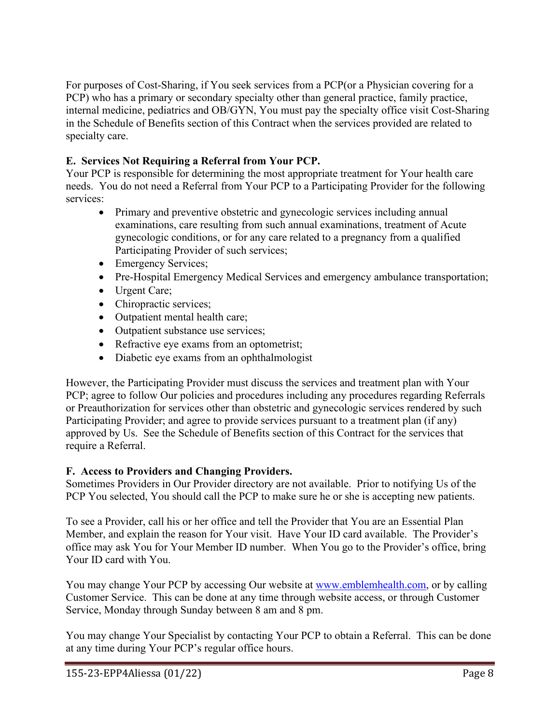For purposes of Cost-Sharing, if You seek services from a PCP(or a Physician covering for a PCP) who has a primary or secondary specialty other than general practice, family practice, internal medicine, pediatrics and OB/GYN, You must pay the specialty office visit Cost-Sharing in the Schedule of Benefits section of this Contract when the services provided are related to specialty care.

# **E. Services Not Requiring a Referral from Your PCP.**

Your PCP is responsible for determining the most appropriate treatment for Your health care needs. You do not need a Referral from Your PCP to a Participating Provider for the following services:

- Primary and preventive obstetric and gynecologic services including annual examinations, care resulting from such annual examinations, treatment of Acute gynecologic conditions, or for any care related to a pregnancy from a qualified Participating Provider of such services;
- Emergency Services;
- Pre-Hospital Emergency Medical Services and emergency ambulance transportation;
- Urgent Care;
- Chiropractic services;
- Outpatient mental health care;
- Outpatient substance use services;
- Refractive eye exams from an optometrist;
- Diabetic eye exams from an ophthalmologist

However, the Participating Provider must discuss the services and treatment plan with Your PCP; agree to follow Our policies and procedures including any procedures regarding Referrals or Preauthorization for services other than obstetric and gynecologic services rendered by such Participating Provider; and agree to provide services pursuant to a treatment plan (if any) approved by Us. See the Schedule of Benefits section of this Contract for the services that require a Referral.

# **F. Access to Providers and Changing Providers.**

Sometimes Providers in Our Provider directory are not available. Prior to notifying Us of the PCP You selected, You should call the PCP to make sure he or she is accepting new patients.

To see a Provider, call his or her office and tell the Provider that You are an Essential Plan Member, and explain the reason for Your visit. Have Your ID card available. The Provider's office may ask You for Your Member ID number. When You go to the Provider's office, bring Your ID card with You.

You may change Your PCP by accessing Our website at [www.emblemhealth.com,](http://www.emblemhealth.com/) or by calling Customer Service. This can be done at any time through website access, or through Customer Service, Monday through Sunday between 8 am and 8 pm.

You may change Your Specialist by contacting Your PCP to obtain a Referral. This can be done at any time during Your PCP's regular office hours.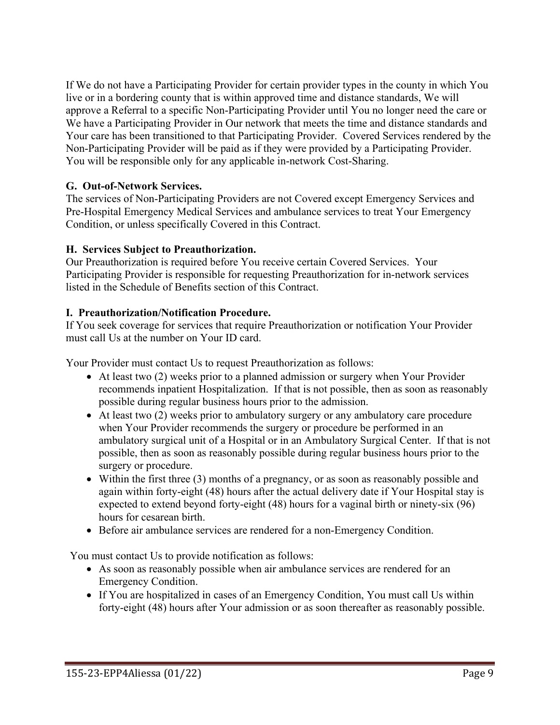If We do not have a Participating Provider for certain provider types in the county in which You live or in a bordering county that is within approved time and distance standards, We will approve a Referral to a specific Non-Participating Provider until You no longer need the care or We have a Participating Provider in Our network that meets the time and distance standards and Your care has been transitioned to that Participating Provider. Covered Services rendered by the Non-Participating Provider will be paid as if they were provided by a Participating Provider. You will be responsible only for any applicable in-network Cost-Sharing.

## **G. Out-of-Network Services.**

The services of Non-Participating Providers are not Covered except Emergency Services and Pre-Hospital Emergency Medical Services and ambulance services to treat Your Emergency Condition, or unless specifically Covered in this Contract.

## **H. Services Subject to Preauthorization.**

Our Preauthorization is required before You receive certain Covered Services. Your Participating Provider is responsible for requesting Preauthorization for in-network services listed in the Schedule of Benefits section of this Contract.

## **I. Preauthorization/Notification Procedure.**

If You seek coverage for services that require Preauthorization or notification Your Provider must call Us at the number on Your ID card.

Your Provider must contact Us to request Preauthorization as follows:

- At least two (2) weeks prior to a planned admission or surgery when Your Provider recommends inpatient Hospitalization. If that is not possible, then as soon as reasonably possible during regular business hours prior to the admission.
- At least two (2) weeks prior to ambulatory surgery or any ambulatory care procedure when Your Provider recommends the surgery or procedure be performed in an ambulatory surgical unit of a Hospital or in an Ambulatory Surgical Center. If that is not possible, then as soon as reasonably possible during regular business hours prior to the surgery or procedure.
- Within the first three (3) months of a pregnancy, or as soon as reasonably possible and again within forty-eight (48) hours after the actual delivery date if Your Hospital stay is expected to extend beyond forty-eight (48) hours for a vaginal birth or ninety-six (96) hours for cesarean birth.
- Before air ambulance services are rendered for a non-Emergency Condition.

You must contact Us to provide notification as follows:

- As soon as reasonably possible when air ambulance services are rendered for an Emergency Condition.
- If You are hospitalized in cases of an Emergency Condition, You must call Us within forty-eight (48) hours after Your admission or as soon thereafter as reasonably possible.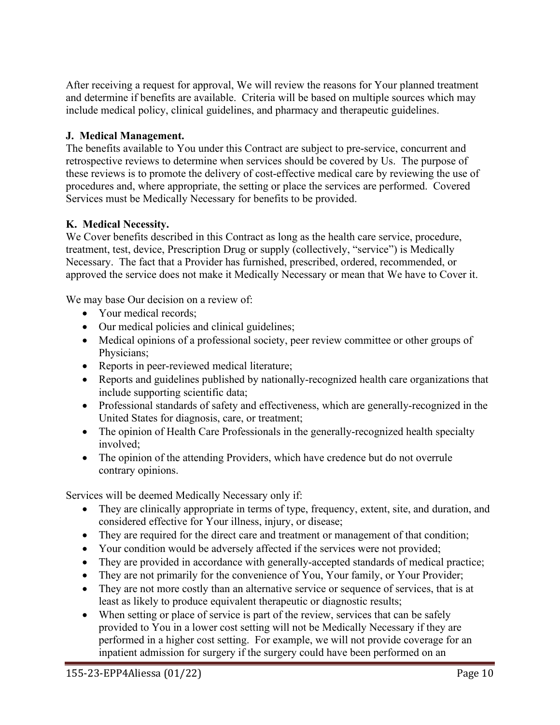After receiving a request for approval, We will review the reasons for Your planned treatment and determine if benefits are available. Criteria will be based on multiple sources which may include medical policy, clinical guidelines, and pharmacy and therapeutic guidelines.

# **J. Medical Management.**

The benefits available to You under this Contract are subject to pre-service, concurrent and retrospective reviews to determine when services should be covered by Us. The purpose of these reviews is to promote the delivery of cost-effective medical care by reviewing the use of procedures and, where appropriate, the setting or place the services are performed. Covered Services must be Medically Necessary for benefits to be provided.

# **K. Medical Necessity.**

We Cover benefits described in this Contract as long as the health care service, procedure, treatment, test, device, Prescription Drug or supply (collectively, "service") is Medically Necessary. The fact that a Provider has furnished, prescribed, ordered, recommended, or approved the service does not make it Medically Necessary or mean that We have to Cover it.

We may base Our decision on a review of:

- Your medical records;
- Our medical policies and clinical guidelines;
- Medical opinions of a professional society, peer review committee or other groups of Physicians;
- Reports in peer-reviewed medical literature;
- Reports and guidelines published by nationally-recognized health care organizations that include supporting scientific data;
- Professional standards of safety and effectiveness, which are generally-recognized in the United States for diagnosis, care, or treatment;
- The opinion of Health Care Professionals in the generally-recognized health specialty involved;
- The opinion of the attending Providers, which have credence but do not overrule contrary opinions.

Services will be deemed Medically Necessary only if:

- They are clinically appropriate in terms of type, frequency, extent, site, and duration, and considered effective for Your illness, injury, or disease;
- They are required for the direct care and treatment or management of that condition;
- Your condition would be adversely affected if the services were not provided;
- They are provided in accordance with generally-accepted standards of medical practice;
- They are not primarily for the convenience of You, Your family, or Your Provider;
- They are not more costly than an alternative service or sequence of services, that is at least as likely to produce equivalent therapeutic or diagnostic results;
- When setting or place of service is part of the review, services that can be safely provided to You in a lower cost setting will not be Medically Necessary if they are performed in a higher cost setting. For example, we will not provide coverage for an inpatient admission for surgery if the surgery could have been performed on an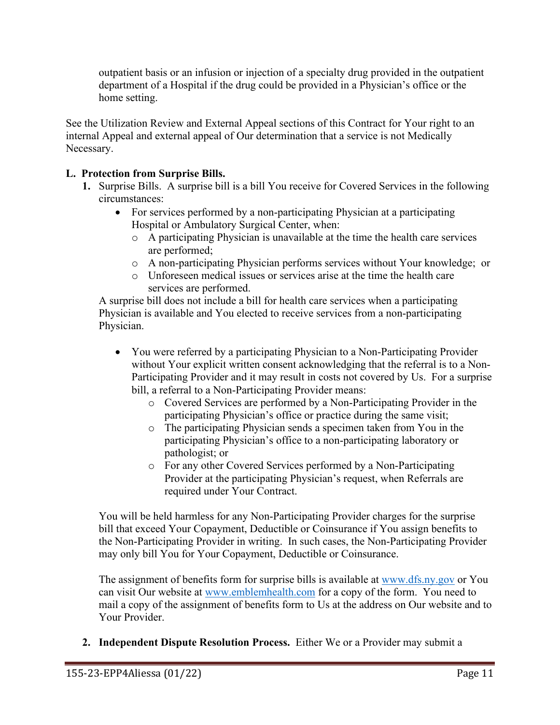outpatient basis or an infusion or injection of a specialty drug provided in the outpatient department of a Hospital if the drug could be provided in a Physician's office or the home setting.

See the Utilization Review and External Appeal sections of this Contract for Your right to an internal Appeal and external appeal of Our determination that a service is not Medically Necessary.

# **L. Protection from Surprise Bills.**

- **1.** Surprise Bills. A surprise bill is a bill You receive for Covered Services in the following circumstances:
	- For services performed by a non-participating Physician at a participating Hospital or Ambulatory Surgical Center, when:
		- o A participating Physician is unavailable at the time the health care services are performed;
		- o A non-participating Physician performs services without Your knowledge; or
		- o Unforeseen medical issues or services arise at the time the health care services are performed.

A surprise bill does not include a bill for health care services when a participating Physician is available and You elected to receive services from a non-participating Physician.

- You were referred by a participating Physician to a Non-Participating Provider without Your explicit written consent acknowledging that the referral is to a Non-Participating Provider and it may result in costs not covered by Us. For a surprise bill, a referral to a Non-Participating Provider means:
	- o Covered Services are performed by a Non-Participating Provider in the participating Physician's office or practice during the same visit;
	- o The participating Physician sends a specimen taken from You in the participating Physician's office to a non-participating laboratory or pathologist; or
	- o For any other Covered Services performed by a Non-Participating Provider at the participating Physician's request, when Referrals are required under Your Contract.

You will be held harmless for any Non-Participating Provider charges for the surprise bill that exceed Your Copayment, Deductible or Coinsurance if You assign benefits to the Non-Participating Provider in writing. In such cases, the Non-Participating Provider may only bill You for Your Copayment, Deductible or Coinsurance.

The assignment of benefits form for surprise bills is available at [www.dfs.ny.gov](http://www.dfs.ny.gov/) or You can visit Our website at [www.emblemhealth.com](http://www.emblemhealth.com/) for a copy of the form. You need to mail a copy of the assignment of benefits form to Us at the address on Our website and to Your Provider.

**2. Independent Dispute Resolution Process.** Either We or a Provider may submit a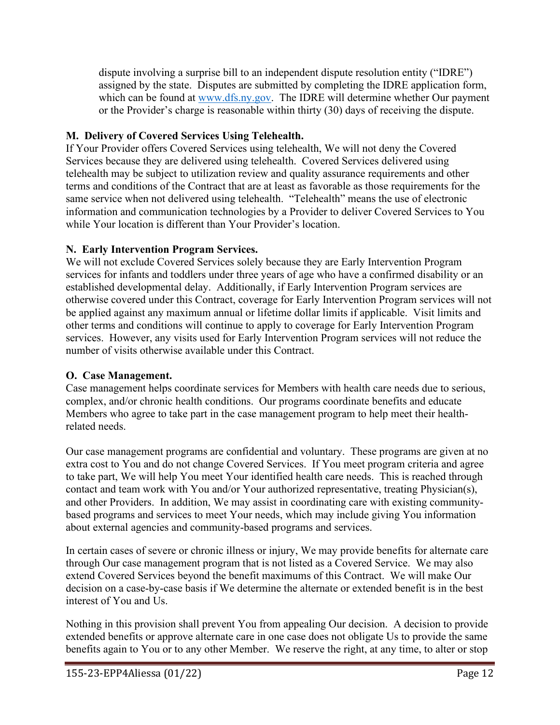dispute involving a surprise bill to an independent dispute resolution entity ("IDRE") assigned by the state. Disputes are submitted by completing the IDRE application form, which can be found at [www.dfs.ny.gov.](http://www.dfs.ny.gov/) The IDRE will determine whether Our payment or the Provider's charge is reasonable within thirty (30) days of receiving the dispute.

# **M. Delivery of Covered Services Using Telehealth.**

If Your Provider offers Covered Services using telehealth, We will not deny the Covered Services because they are delivered using telehealth. Covered Services delivered using telehealth may be subject to utilization review and quality assurance requirements and other terms and conditions of the Contract that are at least as favorable as those requirements for the same service when not delivered using telehealth. "Telehealth" means the use of electronic information and communication technologies by a Provider to deliver Covered Services to You while Your location is different than Your Provider's location.

# **N. Early Intervention Program Services.**

We will not exclude Covered Services solely because they are Early Intervention Program services for infants and toddlers under three years of age who have a confirmed disability or an established developmental delay. Additionally, if Early Intervention Program services are otherwise covered under this Contract, coverage for Early Intervention Program services will not be applied against any maximum annual or lifetime dollar limits if applicable. Visit limits and other terms and conditions will continue to apply to coverage for Early Intervention Program services. However, any visits used for Early Intervention Program services will not reduce the number of visits otherwise available under this Contract.

# **O. Case Management.**

Case management helps coordinate services for Members with health care needs due to serious, complex, and/or chronic health conditions. Our programs coordinate benefits and educate Members who agree to take part in the case management program to help meet their healthrelated needs.

Our case management programs are confidential and voluntary. These programs are given at no extra cost to You and do not change Covered Services. If You meet program criteria and agree to take part, We will help You meet Your identified health care needs. This is reached through contact and team work with You and/or Your authorized representative, treating Physician(s), and other Providers. In addition, We may assist in coordinating care with existing communitybased programs and services to meet Your needs, which may include giving You information about external agencies and community-based programs and services.

In certain cases of severe or chronic illness or injury, We may provide benefits for alternate care through Our case management program that is not listed as a Covered Service. We may also extend Covered Services beyond the benefit maximums of this Contract. We will make Our decision on a case-by-case basis if We determine the alternate or extended benefit is in the best interest of You and Us.

Nothing in this provision shall prevent You from appealing Our decision. A decision to provide extended benefits or approve alternate care in one case does not obligate Us to provide the same benefits again to You or to any other Member. We reserve the right, at any time, to alter or stop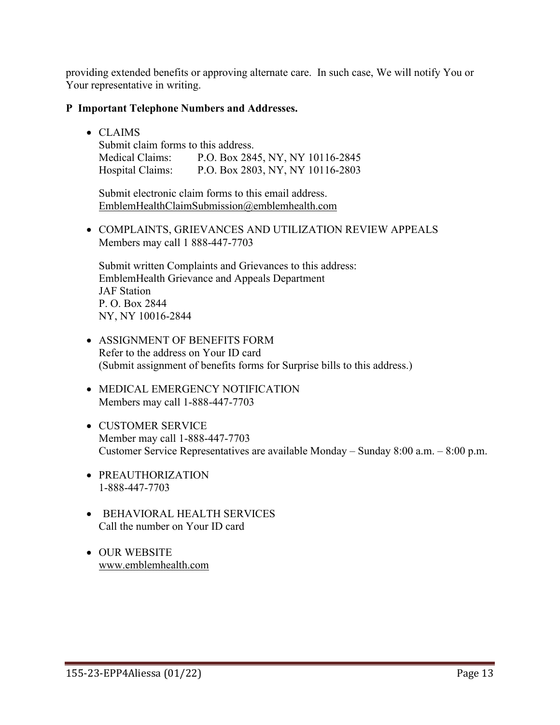providing extended benefits or approving alternate care. In such case, We will notify You or Your representative in writing.

### **P Important Telephone Numbers and Addresses.**

• CLAIMS

Submit claim forms to this address. Medical Claims: P.O. Box 2845, NY, NY 10116-2845 Hospital Claims: P.O. Box 2803, NY, NY 10116-2803

Submit electronic claim forms to this email address. [EmblemHealthClaimSubmission@emblemhealth.com](mailto:EmblemHealthClaimSubmission@emblemhealth.com)

• COMPLAINTS, GRIEVANCES AND UTILIZATION REVIEW APPEALS Members may call 1 888-447-7703

Submit written Complaints and Grievances to this address: EmblemHealth Grievance and Appeals Department JAF Station P. O. Box 2844 NY, NY 10016-2844

- ASSIGNMENT OF BENEFITS FORM Refer to the address on Your ID card (Submit assignment of benefits forms for Surprise bills to this address.)
- MEDICAL EMERGENCY NOTIFICATION Members may call 1-888-447-7703
- CUSTOMER SERVICE Member may call 1-888-447-7703 Customer Service Representatives are available Monday – Sunday 8:00 a.m. – 8:00 p.m.
- PREAUTHORIZATION 1-888-447-7703
- BEHAVIORAL HEALTH SERVICES Call the number on Your ID card
- OUR WEBSITE [www.emblemhealth.com](http://www.emblemhealth.com/)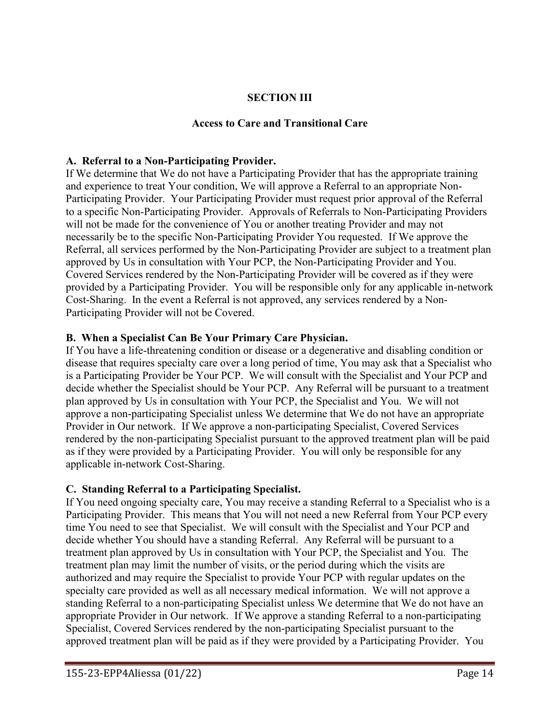# **SECTION III**

#### **Access to Care and Transitional Care**

#### **A. Referral to a Non-Participating Provider.**

If We determine that We do not have a Participating Provider that has the appropriate training and experience to treat Your condition, We will approve a Referral to an appropriate Non-Participating Provider. Your Participating Provider must request prior approval of the Referral to a specific Non-Participating Provider. Approvals of Referrals to Non-Participating Providers will not be made for the convenience of You or another treating Provider and may not necessarily be to the specific Non-Participating Provider You requested. If We approve the Referral, all services performed by the Non-Participating Provider are subject to a treatment plan approved by Us in consultation with Your PCP, the Non-Participating Provider and You. Covered Services rendered by the Non-Participating Provider will be covered as if they were provided by a Participating Provider. You will be responsible only for any applicable in-network Cost-Sharing. In the event a Referral is not approved, any services rendered by a Non-Participating Provider will not be Covered.

#### **B. When a Specialist Can Be Your Primary Care Physician.**

If You have a life-threatening condition or disease or a degenerative and disabling condition or disease that requires specialty care over a long period of time, You may ask that a Specialist who is a Participating Provider be Your PCP. We will consult with the Specialist and Your PCP and decide whether the Specialist should be Your PCP. Any Referral will be pursuant to a treatment plan approved by Us in consultation with Your PCP, the Specialist and You. We will not approve a non-participating Specialist unless We determine that We do not have an appropriate Provider in Our network. If We approve a non-participating Specialist, Covered Services rendered by the non-participating Specialist pursuant to the approved treatment plan will be paid as if they were provided by a Participating Provider. You will only be responsible for any applicable in-network Cost-Sharing.

### **C. Standing Referral to a Participating Specialist.**

If You need ongoing specialty care, You may receive a standing Referral to a Specialist who is a Participating Provider. This means that You will not need a new Referral from Your PCP every time You need to see that Specialist. We will consult with the Specialist and Your PCP and decide whether You should have a standing Referral. Any Referral will be pursuant to a treatment plan approved by Us in consultation with Your PCP, the Specialist and You. The treatment plan may limit the number of visits, or the period during which the visits are authorized and may require the Specialist to provide Your PCP with regular updates on the specialty care provided as well as all necessary medical information. We will not approve a standing Referral to a non-participating Specialist unless We determine that We do not have an appropriate Provider in Our network. If We approve a standing Referral to a non-participating Specialist, Covered Services rendered by the non-participating Specialist pursuant to the approved treatment plan will be paid as if they were provided by a Participating Provider. You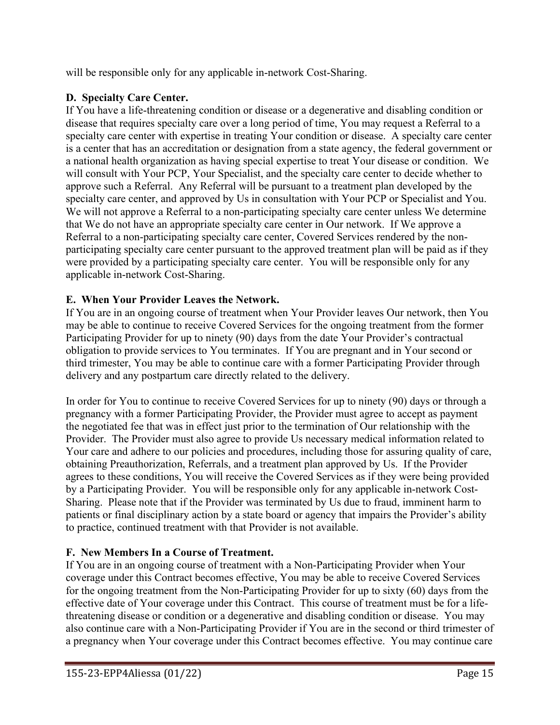will be responsible only for any applicable in-network Cost-Sharing.

# **D. Specialty Care Center.**

If You have a life-threatening condition or disease or a degenerative and disabling condition or disease that requires specialty care over a long period of time, You may request a Referral to a specialty care center with expertise in treating Your condition or disease. A specialty care center is a center that has an accreditation or designation from a state agency, the federal government or a national health organization as having special expertise to treat Your disease or condition. We will consult with Your PCP, Your Specialist, and the specialty care center to decide whether to approve such a Referral. Any Referral will be pursuant to a treatment plan developed by the specialty care center, and approved by Us in consultation with Your PCP or Specialist and You. We will not approve a Referral to a non-participating specialty care center unless We determine that We do not have an appropriate specialty care center in Our network. If We approve a Referral to a non-participating specialty care center, Covered Services rendered by the nonparticipating specialty care center pursuant to the approved treatment plan will be paid as if they were provided by a participating specialty care center. You will be responsible only for any applicable in-network Cost-Sharing.

# **E. When Your Provider Leaves the Network.**

If You are in an ongoing course of treatment when Your Provider leaves Our network, then You may be able to continue to receive Covered Services for the ongoing treatment from the former Participating Provider for up to ninety (90) days from the date Your Provider's contractual obligation to provide services to You terminates. If You are pregnant and in Your second or third trimester, You may be able to continue care with a former Participating Provider through delivery and any postpartum care directly related to the delivery.

In order for You to continue to receive Covered Services for up to ninety (90) days or through a pregnancy with a former Participating Provider, the Provider must agree to accept as payment the negotiated fee that was in effect just prior to the termination of Our relationship with the Provider. The Provider must also agree to provide Us necessary medical information related to Your care and adhere to our policies and procedures, including those for assuring quality of care, obtaining Preauthorization, Referrals, and a treatment plan approved by Us. If the Provider agrees to these conditions, You will receive the Covered Services as if they were being provided by a Participating Provider. You will be responsible only for any applicable in-network Cost-Sharing. Please note that if the Provider was terminated by Us due to fraud, imminent harm to patients or final disciplinary action by a state board or agency that impairs the Provider's ability to practice, continued treatment with that Provider is not available.

# **F. New Members In a Course of Treatment.**

If You are in an ongoing course of treatment with a Non-Participating Provider when Your coverage under this Contract becomes effective, You may be able to receive Covered Services for the ongoing treatment from the Non-Participating Provider for up to sixty (60) days from the effective date of Your coverage under this Contract. This course of treatment must be for a lifethreatening disease or condition or a degenerative and disabling condition or disease. You may also continue care with a Non-Participating Provider if You are in the second or third trimester of a pregnancy when Your coverage under this Contract becomes effective. You may continue care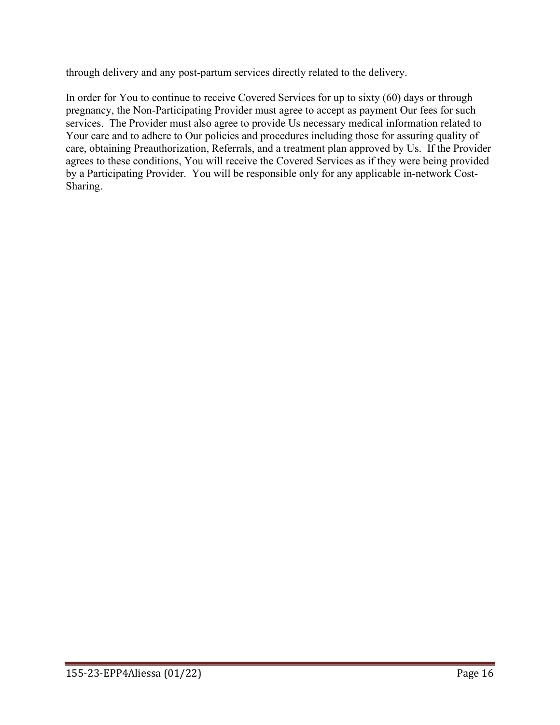through delivery and any post-partum services directly related to the delivery.

In order for You to continue to receive Covered Services for up to sixty (60) days or through pregnancy, the Non-Participating Provider must agree to accept as payment Our fees for such services. The Provider must also agree to provide Us necessary medical information related to Your care and to adhere to Our policies and procedures including those for assuring quality of care, obtaining Preauthorization, Referrals, and a treatment plan approved by Us. If the Provider agrees to these conditions, You will receive the Covered Services as if they were being provided by a Participating Provider. You will be responsible only for any applicable in-network Cost-Sharing.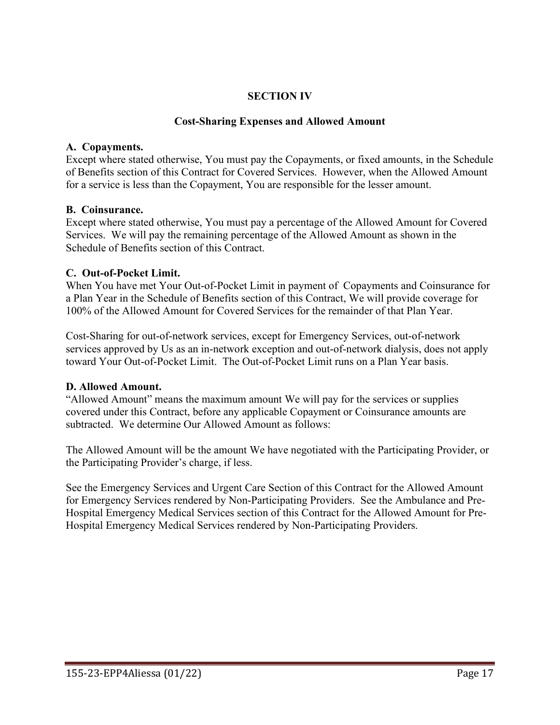## **SECTION IV**

### **Cost-Sharing Expenses and Allowed Amount**

### **A. Copayments.**

Except where stated otherwise, You must pay the Copayments, or fixed amounts, in the Schedule of Benefits section of this Contract for Covered Services. However, when the Allowed Amount for a service is less than the Copayment, You are responsible for the lesser amount.

### **B. Coinsurance.**

Except where stated otherwise, You must pay a percentage of the Allowed Amount for Covered Services. We will pay the remaining percentage of the Allowed Amount as shown in the Schedule of Benefits section of this Contract.

### **C. Out-of-Pocket Limit.**

When You have met Your Out-of-Pocket Limit in payment of Copayments and Coinsurance for a Plan Year in the Schedule of Benefits section of this Contract, We will provide coverage for 100% of the Allowed Amount for Covered Services for the remainder of that Plan Year.

Cost-Sharing for out-of-network services, except for Emergency Services, out-of-network services approved by Us as an in-network exception and out-of-network dialysis, does not apply toward Your Out-of-Pocket Limit. The Out-of-Pocket Limit runs on a Plan Year basis.

### **D. Allowed Amount.**

"Allowed Amount" means the maximum amount We will pay for the services or supplies covered under this Contract, before any applicable Copayment or Coinsurance amounts are subtracted. We determine Our Allowed Amount as follows:

The Allowed Amount will be the amount We have negotiated with the Participating Provider, or the Participating Provider's charge, if less.

See the Emergency Services and Urgent Care Section of this Contract for the Allowed Amount for Emergency Services rendered by Non-Participating Providers. See the Ambulance and Pre-Hospital Emergency Medical Services section of this Contract for the Allowed Amount for Pre-Hospital Emergency Medical Services rendered by Non-Participating Providers.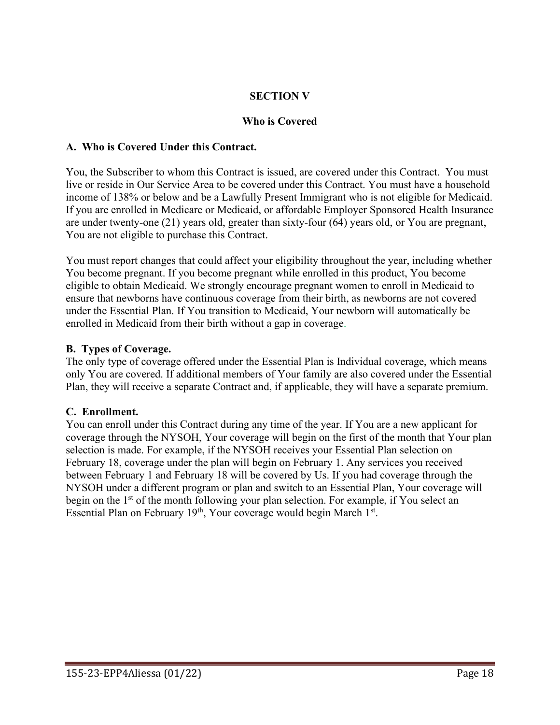# **SECTION V**

## **Who is Covered**

## **A. Who is Covered Under this Contract.**

You, the Subscriber to whom this Contract is issued, are covered under this Contract. You must live or reside in Our Service Area to be covered under this Contract. You must have a household income of 138% or below and be a Lawfully Present Immigrant who is not eligible for Medicaid. If you are enrolled in Medicare or Medicaid, or affordable Employer Sponsored Health Insurance are under twenty-one (21) years old, greater than sixty-four (64) years old, or You are pregnant, You are not eligible to purchase this Contract.

You must report changes that could affect your eligibility throughout the year, including whether You become pregnant. If you become pregnant while enrolled in this product, You become eligible to obtain Medicaid. We strongly encourage pregnant women to enroll in Medicaid to ensure that newborns have continuous coverage from their birth, as newborns are not covered under the Essential Plan. If You transition to Medicaid, Your newborn will automatically be enrolled in Medicaid from their birth without a gap in coverage.

### **B. Types of Coverage.**

The only type of coverage offered under the Essential Plan is Individual coverage, which means only You are covered. If additional members of Your family are also covered under the Essential Plan, they will receive a separate Contract and, if applicable, they will have a separate premium.

# **C. Enrollment.**

You can enroll under this Contract during any time of the year. If You are a new applicant for coverage through the NYSOH, Your coverage will begin on the first of the month that Your plan selection is made. For example, if the NYSOH receives your Essential Plan selection on February 18, coverage under the plan will begin on February 1. Any services you received between February 1 and February 18 will be covered by Us. If you had coverage through the NYSOH under a different program or plan and switch to an Essential Plan, Your coverage will begin on the 1<sup>st</sup> of the month following your plan selection. For example, if You select an Essential Plan on February 19<sup>th</sup>, Your coverage would begin March  $1<sup>st</sup>$ .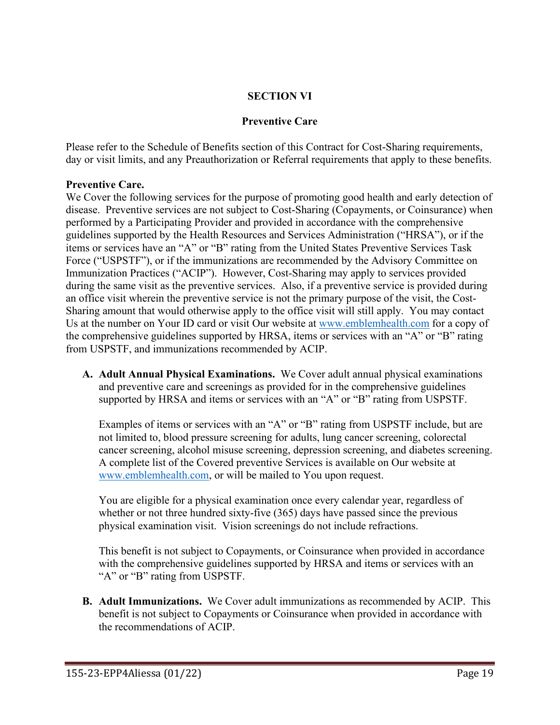# **SECTION VI**

### **Preventive Care**

Please refer to the Schedule of Benefits section of this Contract for Cost-Sharing requirements, day or visit limits, and any Preauthorization or Referral requirements that apply to these benefits.

### **Preventive Care.**

We Cover the following services for the purpose of promoting good health and early detection of disease. Preventive services are not subject to Cost-Sharing (Copayments, or Coinsurance) when performed by a Participating Provider and provided in accordance with the comprehensive guidelines supported by the Health Resources and Services Administration ("HRSA"), or if the items or services have an "A" or "B" rating from the United States Preventive Services Task Force ("USPSTF"), or if the immunizations are recommended by the Advisory Committee on Immunization Practices ("ACIP"). However, Cost-Sharing may apply to services provided during the same visit as the preventive services. Also, if a preventive service is provided during an office visit wherein the preventive service is not the primary purpose of the visit, the Cost-Sharing amount that would otherwise apply to the office visit will still apply. You may contact Us at the number on Your ID card or visit Our website at [www.emblemhealth.com](http://www.emblemhealth.com/) for a copy of the comprehensive guidelines supported by HRSA, items or services with an "A" or "B" rating from USPSTF, and immunizations recommended by ACIP.

**A. Adult Annual Physical Examinations.** We Cover adult annual physical examinations and preventive care and screenings as provided for in the comprehensive guidelines supported by HRSA and items or services with an "A" or "B" rating from USPSTF.

Examples of items or services with an "A" or "B" rating from USPSTF include, but are not limited to, blood pressure screening for adults, lung cancer screening, colorectal cancer screening, alcohol misuse screening, depression screening, and diabetes screening. A complete list of the Covered preventive Services is available on Our website at [www.emblemhealth.com,](http://www.emblemhealth.com/) or will be mailed to You upon request.

You are eligible for a physical examination once every calendar year, regardless of whether or not three hundred sixty-five (365) days have passed since the previous physical examination visit. Vision screenings do not include refractions.

This benefit is not subject to Copayments, or Coinsurance when provided in accordance with the comprehensive guidelines supported by HRSA and items or services with an "A" or "B" rating from USPSTF.

**B. Adult Immunizations.** We Cover adult immunizations as recommended by ACIP. This benefit is not subject to Copayments or Coinsurance when provided in accordance with the recommendations of ACIP.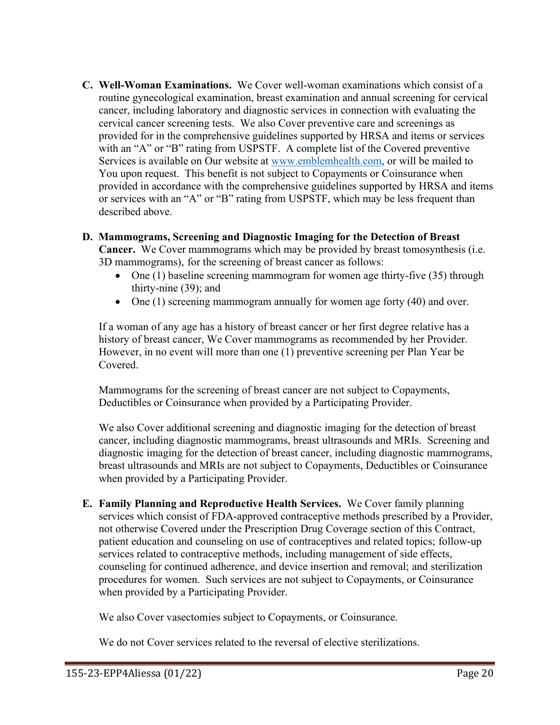**C. Well-Woman Examinations.** We Cover well-woman examinations which consist of a routine gynecological examination, breast examination and annual screening for cervical cancer, including laboratory and diagnostic services in connection with evaluating the cervical cancer screening tests. We also Cover preventive care and screenings as provided for in the comprehensive guidelines supported by HRSA and items or services with an "A" or "B" rating from USPSTF. A complete list of the Covered preventive Services is available on Our website at [www.emblemhealth.com,](http://www.emblemhealth.com/) or will be mailed to You upon request. This benefit is not subject to Copayments or Coinsurance when provided in accordance with the comprehensive guidelines supported by HRSA and items or services with an "A" or "B" rating from USPSTF, which may be less frequent than described above.

## **D. Mammograms, Screening and Diagnostic Imaging for the Detection of Breast**

**Cancer.** We Cover mammograms which may be provided by breast tomosynthesis (i.e. 3D mammograms), for the screening of breast cancer as follows:

- One  $(1)$  baseline screening mammogram for women age thirty-five  $(35)$  through thirty-nine (39); and
- One (1) screening mammogram annually for women age forty (40) and over.

If a woman of any age has a history of breast cancer or her first degree relative has a history of breast cancer, We Cover mammograms as recommended by her Provider. However, in no event will more than one (1) preventive screening per Plan Year be Covered.

Mammograms for the screening of breast cancer are not subject to Copayments, Deductibles or Coinsurance when provided by a Participating Provider.

We also Cover additional screening and diagnostic imaging for the detection of breast cancer, including diagnostic mammograms, breast ultrasounds and MRIs. Screening and diagnostic imaging for the detection of breast cancer, including diagnostic mammograms, breast ultrasounds and MRIs are not subject to Copayments, Deductibles or Coinsurance when provided by a Participating Provider.

**E. Family Planning and Reproductive Health Services.** We Cover family planning services which consist of FDA-approved contraceptive methods prescribed by a Provider, not otherwise Covered under the Prescription Drug Coverage section of this Contract, patient education and counseling on use of contraceptives and related topics; follow-up services related to contraceptive methods, including management of side effects, counseling for continued adherence, and device insertion and removal; and sterilization procedures for women. Such services are not subject to Copayments, or Coinsurance when provided by a Participating Provider.

We also Cover vasectomies subject to Copayments, or Coinsurance.

We do not Cover services related to the reversal of elective sterilizations.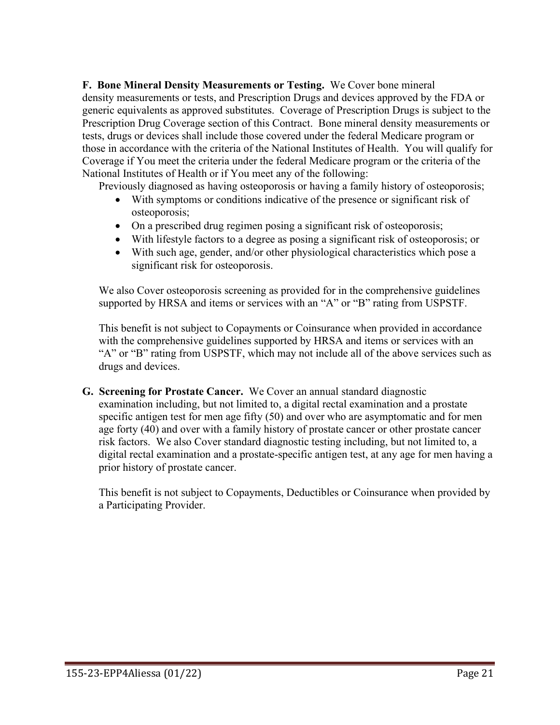**F. Bone Mineral Density Measurements or Testing.** We Cover bone mineral density measurements or tests, and Prescription Drugs and devices approved by the FDA or generic equivalents as approved substitutes. Coverage of Prescription Drugs is subject to the Prescription Drug Coverage section of this Contract. Bone mineral density measurements or tests, drugs or devices shall include those covered under the federal Medicare program or those in accordance with the criteria of the National Institutes of Health. You will qualify for Coverage if You meet the criteria under the federal Medicare program or the criteria of the National Institutes of Health or if You meet any of the following:

Previously diagnosed as having osteoporosis or having a family history of osteoporosis;

- With symptoms or conditions indicative of the presence or significant risk of osteoporosis;
- On a prescribed drug regimen posing a significant risk of osteoporosis;
- With lifestyle factors to a degree as posing a significant risk of osteoporosis; or
- With such age, gender, and/or other physiological characteristics which pose a significant risk for osteoporosis.

We also Cover osteoporosis screening as provided for in the comprehensive guidelines supported by HRSA and items or services with an "A" or "B" rating from USPSTF.

This benefit is not subject to Copayments or Coinsurance when provided in accordance with the comprehensive guidelines supported by HRSA and items or services with an "A" or "B" rating from USPSTF, which may not include all of the above services such as drugs and devices.

**G. Screening for Prostate Cancer.** We Cover an annual standard diagnostic examination including, but not limited to, a digital rectal examination and a prostate specific antigen test for men age fifty (50) and over who are asymptomatic and for men age forty (40) and over with a family history of prostate cancer or other prostate cancer risk factors. We also Cover standard diagnostic testing including, but not limited to, a digital rectal examination and a prostate-specific antigen test, at any age for men having a prior history of prostate cancer.

This benefit is not subject to Copayments, Deductibles or Coinsurance when provided by a Participating Provider.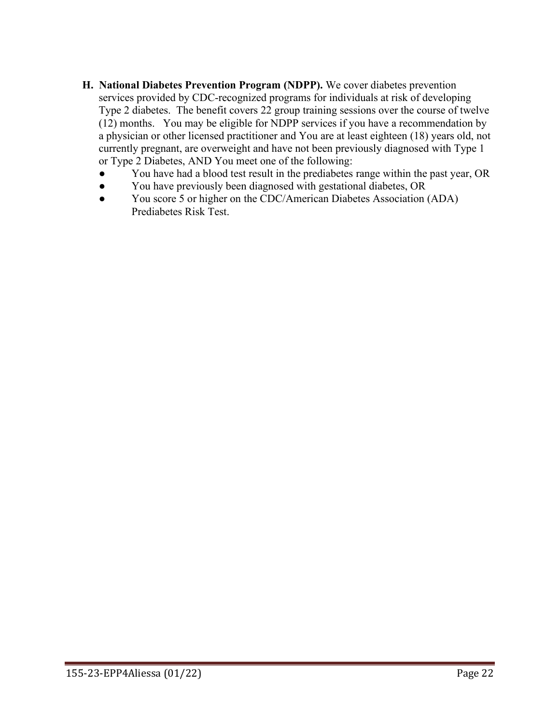- **H. National Diabetes Prevention Program (NDPP).** We cover diabetes prevention services provided by CDC-recognized programs for individuals at risk of developing Type 2 diabetes. The benefit covers 22 group training sessions over the course of twelve (12) months. You may be eligible for NDPP services if you have a recommendation by a physician or other licensed practitioner and You are at least eighteen (18) years old, not currently pregnant, are overweight and have not been previously diagnosed with Type 1 or Type 2 Diabetes, AND You meet one of the following:
	- You have had a blood test result in the prediabetes range within the past year, OR
	- You have previously been diagnosed with gestational diabetes, OR
	- You score 5 or higher on the CDC/American Diabetes Association (ADA) Prediabetes Risk Test.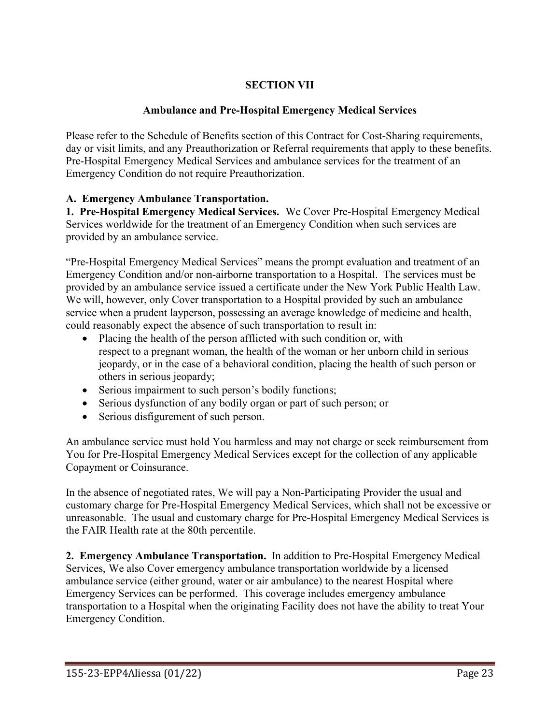# **SECTION VII**

# **Ambulance and Pre-Hospital Emergency Medical Services**

Please refer to the Schedule of Benefits section of this Contract for Cost-Sharing requirements, day or visit limits, and any Preauthorization or Referral requirements that apply to these benefits. Pre-Hospital Emergency Medical Services and ambulance services for the treatment of an Emergency Condition do not require Preauthorization.

## **A. Emergency Ambulance Transportation.**

**1. Pre-Hospital Emergency Medical Services.** We Cover Pre-Hospital Emergency Medical Services worldwide for the treatment of an Emergency Condition when such services are provided by an ambulance service.

"Pre-Hospital Emergency Medical Services" means the prompt evaluation and treatment of an Emergency Condition and/or non-airborne transportation to a Hospital. The services must be provided by an ambulance service issued a certificate under the New York Public Health Law. We will, however, only Cover transportation to a Hospital provided by such an ambulance service when a prudent layperson, possessing an average knowledge of medicine and health, could reasonably expect the absence of such transportation to result in:

- Placing the health of the person afflicted with such condition or, with respect to a pregnant woman, the health of the woman or her unborn child in serious jeopardy, or in the case of a behavioral condition, placing the health of such person or others in serious jeopardy;
- Serious impairment to such person's bodily functions;
- Serious dysfunction of any bodily organ or part of such person; or
- Serious disfigurement of such person.

An ambulance service must hold You harmless and may not charge or seek reimbursement from You for Pre-Hospital Emergency Medical Services except for the collection of any applicable Copayment or Coinsurance.

In the absence of negotiated rates, We will pay a Non-Participating Provider the usual and customary charge for Pre-Hospital Emergency Medical Services, which shall not be excessive or unreasonable. The usual and customary charge for Pre-Hospital Emergency Medical Services is the FAIR Health rate at the 80th percentile.

**2. Emergency Ambulance Transportation.** In addition to Pre-Hospital Emergency Medical Services, We also Cover emergency ambulance transportation worldwide by a licensed ambulance service (either ground, water or air ambulance) to the nearest Hospital where Emergency Services can be performed. This coverage includes emergency ambulance transportation to a Hospital when the originating Facility does not have the ability to treat Your Emergency Condition.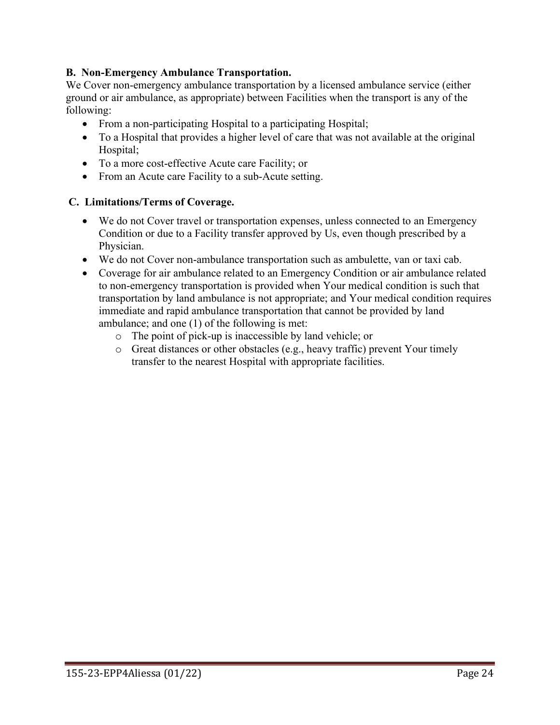## **B. Non-Emergency Ambulance Transportation.**

We Cover non-emergency ambulance transportation by a licensed ambulance service (either ground or air ambulance, as appropriate) between Facilities when the transport is any of the following:

- From a non-participating Hospital to a participating Hospital;
- To a Hospital that provides a higher level of care that was not available at the original Hospital;
- To a more cost-effective Acute care Facility; or
- From an Acute care Facility to a sub-Acute setting.

### **C. Limitations/Terms of Coverage.**

- We do not Cover travel or transportation expenses, unless connected to an Emergency Condition or due to a Facility transfer approved by Us, even though prescribed by a Physician.
- We do not Cover non-ambulance transportation such as ambulette, van or taxi cab.
- Coverage for air ambulance related to an Emergency Condition or air ambulance related to non-emergency transportation is provided when Your medical condition is such that transportation by land ambulance is not appropriate; and Your medical condition requires immediate and rapid ambulance transportation that cannot be provided by land ambulance; and one (1) of the following is met:
	- o The point of pick-up is inaccessible by land vehicle; or
	- o Great distances or other obstacles (e.g., heavy traffic) prevent Your timely transfer to the nearest Hospital with appropriate facilities.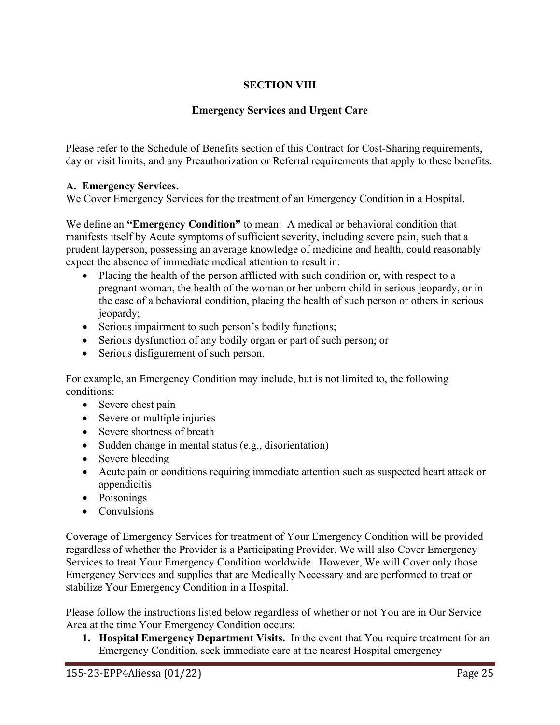# **SECTION VIII**

# **Emergency Services and Urgent Care**

Please refer to the Schedule of Benefits section of this Contract for Cost-Sharing requirements, day or visit limits, and any Preauthorization or Referral requirements that apply to these benefits.

# **A. Emergency Services.**

We Cover Emergency Services for the treatment of an Emergency Condition in a Hospital.

We define an **"Emergency Condition"** to mean: A medical or behavioral condition that manifests itself by Acute symptoms of sufficient severity, including severe pain, such that a prudent layperson, possessing an average knowledge of medicine and health, could reasonably expect the absence of immediate medical attention to result in:

- Placing the health of the person afflicted with such condition or, with respect to a pregnant woman, the health of the woman or her unborn child in serious jeopardy, or in the case of a behavioral condition, placing the health of such person or others in serious jeopardy;
- Serious impairment to such person's bodily functions;
- Serious dysfunction of any bodily organ or part of such person; or
- Serious disfigurement of such person.

For example, an Emergency Condition may include, but is not limited to, the following conditions:

- Severe chest pain
- Severe or multiple injuries
- Severe shortness of breath
- Sudden change in mental status (e.g., disorientation)
- Severe bleeding
- Acute pain or conditions requiring immediate attention such as suspected heart attack or appendicitis
- Poisonings
- Convulsions

Coverage of Emergency Services for treatment of Your Emergency Condition will be provided regardless of whether the Provider is a Participating Provider. We will also Cover Emergency Services to treat Your Emergency Condition worldwide. However, We will Cover only those Emergency Services and supplies that are Medically Necessary and are performed to treat or stabilize Your Emergency Condition in a Hospital.

Please follow the instructions listed below regardless of whether or not You are in Our Service Area at the time Your Emergency Condition occurs:

**1. Hospital Emergency Department Visits.** In the event that You require treatment for an Emergency Condition, seek immediate care at the nearest Hospital emergency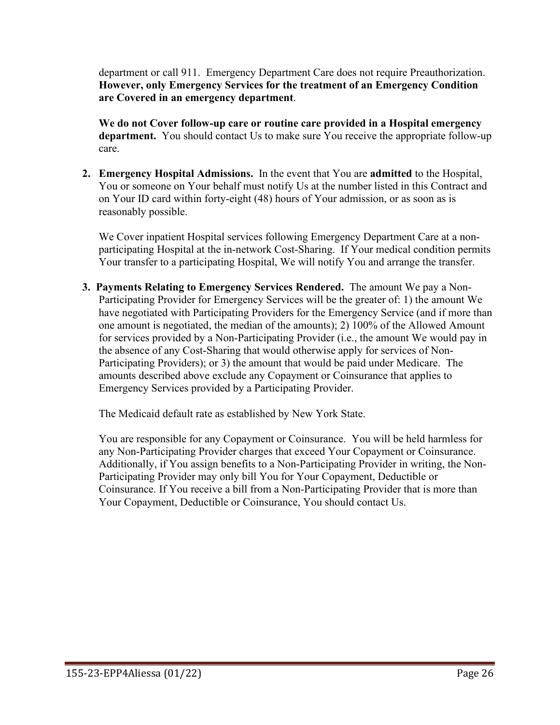department or call 911. Emergency Department Care does not require Preauthorization. **However, only Emergency Services for the treatment of an Emergency Condition are Covered in an emergency department**.

**We do not Cover follow-up care or routine care provided in a Hospital emergency department.** You should contact Us to make sure You receive the appropriate follow-up care.

**2. Emergency Hospital Admissions.** In the event that You are **admitted** to the Hospital, You or someone on Your behalf must notify Us at the number listed in this Contract and on Your ID card within forty-eight (48) hours of Your admission, or as soon as is reasonably possible.

We Cover inpatient Hospital services following Emergency Department Care at a nonparticipating Hospital at the in-network Cost-Sharing. If Your medical condition permits Your transfer to a participating Hospital, We will notify You and arrange the transfer.

**3. Payments Relating to Emergency Services Rendered.** The amount We pay a Non-Participating Provider for Emergency Services will be the greater of: 1) the amount We have negotiated with Participating Providers for the Emergency Service (and if more than one amount is negotiated, the median of the amounts); 2) 100% of the Allowed Amount for services provided by a Non-Participating Provider (i.e., the amount We would pay in the absence of any Cost-Sharing that would otherwise apply for services of Non-Participating Providers); or 3) the amount that would be paid under Medicare. The amounts described above exclude any Copayment or Coinsurance that applies to Emergency Services provided by a Participating Provider.

The Medicaid default rate as established by New York State.

You are responsible for any Copayment or Coinsurance. You will be held harmless for any Non-Participating Provider charges that exceed Your Copayment or Coinsurance. Additionally, if You assign benefits to a Non-Participating Provider in writing, the Non-Participating Provider may only bill You for Your Copayment, Deductible or Coinsurance. If You receive a bill from a Non-Participating Provider that is more than Your Copayment, Deductible or Coinsurance, You should contact Us.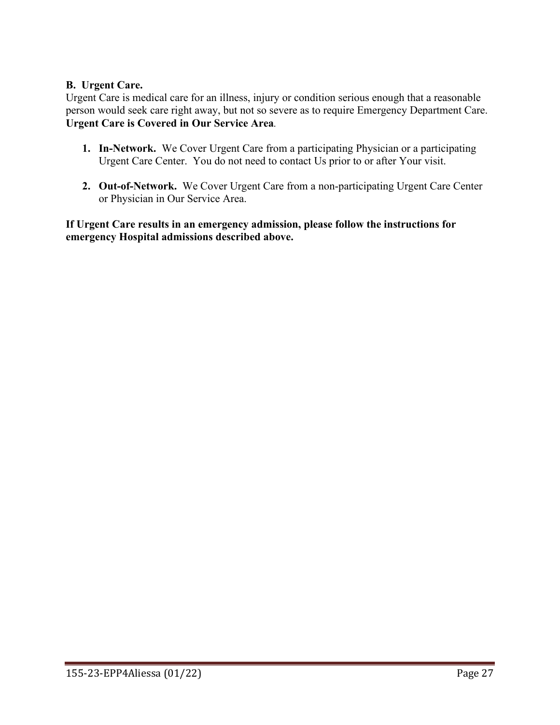## **B. Urgent Care.**

Urgent Care is medical care for an illness, injury or condition serious enough that a reasonable person would seek care right away, but not so severe as to require Emergency Department Care. **Urgent Care is Covered in Our Service Area***.* 

- **1. In-Network.** We Cover Urgent Care from a participating Physician or a participating Urgent Care Center. You do not need to contact Us prior to or after Your visit.
- **2. Out-of-Network.** We Cover Urgent Care from a non-participating Urgent Care Center or Physician in Our Service Area.

**If Urgent Care results in an emergency admission, please follow the instructions for emergency Hospital admissions described above.**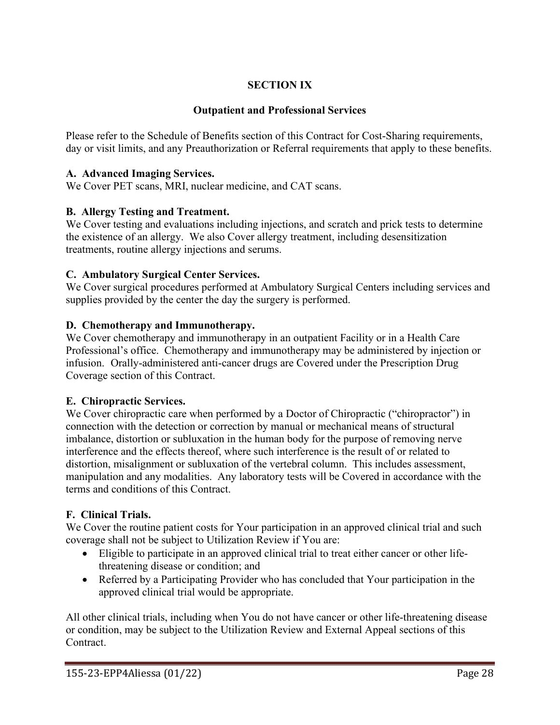# **SECTION IX**

## **Outpatient and Professional Services**

Please refer to the Schedule of Benefits section of this Contract for Cost-Sharing requirements, day or visit limits, and any Preauthorization or Referral requirements that apply to these benefits.

### **A. Advanced Imaging Services.**

We Cover PET scans, MRI, nuclear medicine, and CAT scans.

#### **B. Allergy Testing and Treatment.**

We Cover testing and evaluations including injections, and scratch and prick tests to determine the existence of an allergy. We also Cover allergy treatment, including desensitization treatments, routine allergy injections and serums.

#### **C. Ambulatory Surgical Center Services.**

We Cover surgical procedures performed at Ambulatory Surgical Centers including services and supplies provided by the center the day the surgery is performed.

#### **D. Chemotherapy and Immunotherapy.**

We Cover chemotherapy and immunotherapy in an outpatient Facility or in a Health Care Professional's office. Chemotherapy and immunotherapy may be administered by injection or infusion. Orally-administered anti-cancer drugs are Covered under the Prescription Drug Coverage section of this Contract.

### **E. Chiropractic Services.**

We Cover chiropractic care when performed by a Doctor of Chiropractic ("chiropractor") in connection with the detection or correction by manual or mechanical means of structural imbalance, distortion or subluxation in the human body for the purpose of removing nerve interference and the effects thereof, where such interference is the result of or related to distortion, misalignment or subluxation of the vertebral column. This includes assessment, manipulation and any modalities. Any laboratory tests will be Covered in accordance with the terms and conditions of this Contract.

### **F. Clinical Trials.**

We Cover the routine patient costs for Your participation in an approved clinical trial and such coverage shall not be subject to Utilization Review if You are:

- Eligible to participate in an approved clinical trial to treat either cancer or other lifethreatening disease or condition; and
- Referred by a Participating Provider who has concluded that Your participation in the approved clinical trial would be appropriate.

All other clinical trials, including when You do not have cancer or other life-threatening disease or condition, may be subject to the Utilization Review and External Appeal sections of this Contract.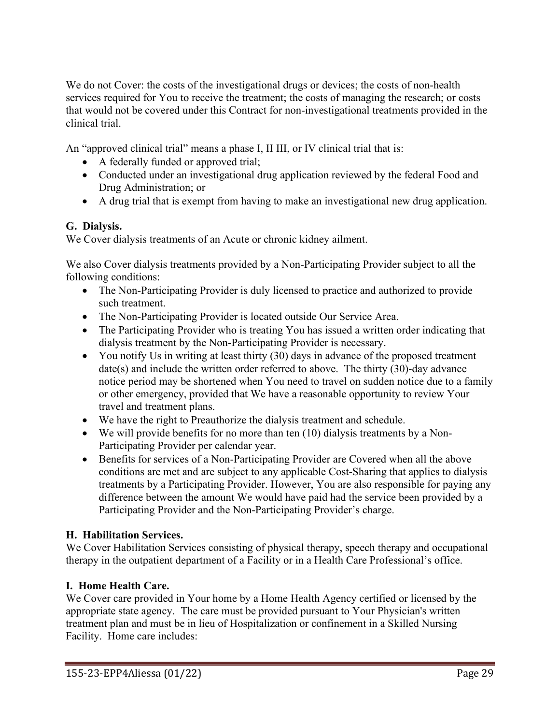We do not Cover: the costs of the investigational drugs or devices; the costs of non-health services required for You to receive the treatment; the costs of managing the research; or costs that would not be covered under this Contract for non-investigational treatments provided in the clinical trial.

An "approved clinical trial" means a phase I, II III, or IV clinical trial that is:

- A federally funded or approved trial;
- Conducted under an investigational drug application reviewed by the federal Food and Drug Administration; or
- A drug trial that is exempt from having to make an investigational new drug application.

## **G. Dialysis.**

We Cover dialysis treatments of an Acute or chronic kidney ailment.

We also Cover dialysis treatments provided by a Non-Participating Provider subject to all the following conditions:

- The Non-Participating Provider is duly licensed to practice and authorized to provide such treatment.
- The Non-Participating Provider is located outside Our Service Area.
- The Participating Provider who is treating You has issued a written order indicating that dialysis treatment by the Non-Participating Provider is necessary.
- You notify Us in writing at least thirty (30) days in advance of the proposed treatment date(s) and include the written order referred to above. The thirty (30)-day advance notice period may be shortened when You need to travel on sudden notice due to a family or other emergency, provided that We have a reasonable opportunity to review Your travel and treatment plans.
- We have the right to Preauthorize the dialysis treatment and schedule.
- We will provide benefits for no more than ten (10) dialysis treatments by a Non-Participating Provider per calendar year.
- Benefits for services of a Non-Participating Provider are Covered when all the above conditions are met and are subject to any applicable Cost-Sharing that applies to dialysis treatments by a Participating Provider. However, You are also responsible for paying any difference between the amount We would have paid had the service been provided by a Participating Provider and the Non-Participating Provider's charge.

# **H. Habilitation Services.**

We Cover Habilitation Services consisting of physical therapy, speech therapy and occupational therapy in the outpatient department of a Facility or in a Health Care Professional's office.

# **I. Home Health Care.**

We Cover care provided in Your home by a Home Health Agency certified or licensed by the appropriate state agency. The care must be provided pursuant to Your Physician's written treatment plan and must be in lieu of Hospitalization or confinement in a Skilled Nursing Facility. Home care includes: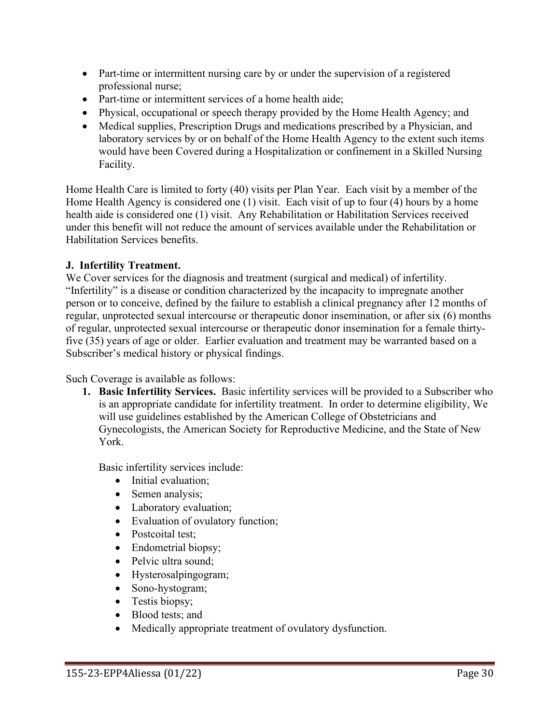- Part-time or intermittent nursing care by or under the supervision of a registered professional nurse;
- Part-time or intermittent services of a home health aide;
- Physical, occupational or speech therapy provided by the Home Health Agency; and
- Medical supplies, Prescription Drugs and medications prescribed by a Physician, and laboratory services by or on behalf of the Home Health Agency to the extent such items would have been Covered during a Hospitalization or confinement in a Skilled Nursing Facility.

Home Health Care is limited to forty (40) visits per Plan Year. Each visit by a member of the Home Health Agency is considered one (1) visit. Each visit of up to four (4) hours by a home health aide is considered one (1) visit. Any Rehabilitation or Habilitation Services received under this benefit will not reduce the amount of services available under the Rehabilitation or Habilitation Services benefits.

## **J. Infertility Treatment.**

We Cover services for the diagnosis and treatment (surgical and medical) of infertility. "Infertility" is a disease or condition characterized by the incapacity to impregnate another person or to conceive, defined by the failure to establish a clinical pregnancy after 12 months of regular, unprotected sexual intercourse or therapeutic donor insemination, or after six (6) months of regular, unprotected sexual intercourse or therapeutic donor insemination for a female thirtyfive (35) years of age or older. Earlier evaluation and treatment may be warranted based on a Subscriber's medical history or physical findings.

Such Coverage is available as follows:

**1. Basic Infertility Services.** Basic infertility services will be provided to a Subscriber who is an appropriate candidate for infertility treatment. In order to determine eligibility, We will use guidelines established by the American College of Obstetricians and Gynecologists, the American Society for Reproductive Medicine, and the State of New York.

Basic infertility services include:

- Initial evaluation;
- Semen analysis;
- Laboratory evaluation;
- Evaluation of ovulatory function;
- Postcoital test;
- Endometrial biopsy;
- Pelvic ultra sound;
- Hysterosalpingogram;
- Sono-hystogram;
- Testis biopsy;
- Blood tests; and
- Medically appropriate treatment of ovulatory dysfunction.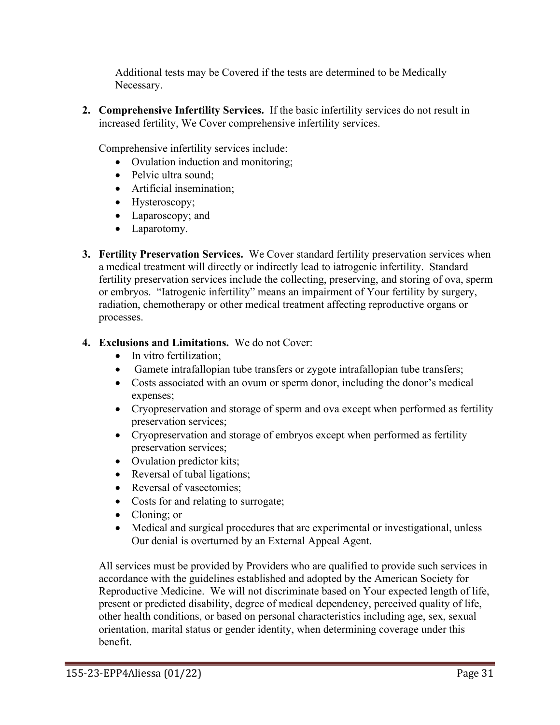Additional tests may be Covered if the tests are determined to be Medically Necessary.

**2. Comprehensive Infertility Services.** If the basic infertility services do not result in increased fertility, We Cover comprehensive infertility services.

Comprehensive infertility services include:

- Ovulation induction and monitoring:
- Pelvic ultra sound;
- Artificial insemination;
- Hysteroscopy;
- Laparoscopy; and
- Laparotomy.
- **3. Fertility Preservation Services.** We Cover standard fertility preservation services when a medical treatment will directly or indirectly lead to iatrogenic infertility. Standard fertility preservation services include the collecting, preserving, and storing of ova, sperm or embryos. "Iatrogenic infertility" means an impairment of Your fertility by surgery, radiation, chemotherapy or other medical treatment affecting reproductive organs or processes.

# **4. Exclusions and Limitations.** We do not Cover:

- In vitro fertilization;
- Gamete intrafallopian tube transfers or zygote intrafallopian tube transfers;
- Costs associated with an ovum or sperm donor, including the donor's medical expenses;
- Cryopreservation and storage of sperm and ova except when performed as fertility preservation services;
- Cryopreservation and storage of embryos except when performed as fertility preservation services;
- Ovulation predictor kits;
- Reversal of tubal ligations;
- Reversal of vasectomies;
- Costs for and relating to surrogate;
- Cloning; or
- Medical and surgical procedures that are experimental or investigational, unless Our denial is overturned by an External Appeal Agent.

All services must be provided by Providers who are qualified to provide such services in accordance with the guidelines established and adopted by the American Society for Reproductive Medicine. We will not discriminate based on Your expected length of life, present or predicted disability, degree of medical dependency, perceived quality of life, other health conditions, or based on personal characteristics including age, sex, sexual orientation, marital status or gender identity, when determining coverage under this benefit.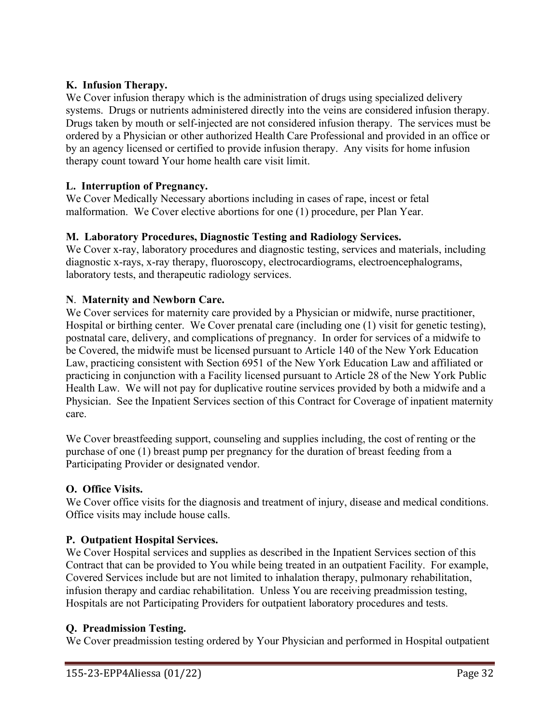## **K. Infusion Therapy.**

We Cover infusion therapy which is the administration of drugs using specialized delivery systems. Drugs or nutrients administered directly into the veins are considered infusion therapy. Drugs taken by mouth or self-injected are not considered infusion therapy. The services must be ordered by a Physician or other authorized Health Care Professional and provided in an office or by an agency licensed or certified to provide infusion therapy. Any visits for home infusion therapy count toward Your home health care visit limit.

### **L. Interruption of Pregnancy.**

We Cover Medically Necessary abortions including in cases of rape, incest or fetal malformation. We Cover elective abortions for one (1) procedure, per Plan Year.

## **M. Laboratory Procedures, Diagnostic Testing and Radiology Services.**

We Cover x-ray, laboratory procedures and diagnostic testing, services and materials, including diagnostic x-rays, x-ray therapy, fluoroscopy, electrocardiograms, electroencephalograms, laboratory tests, and therapeutic radiology services.

## **N**. **Maternity and Newborn Care.**

We Cover services for maternity care provided by a Physician or midwife, nurse practitioner, Hospital or birthing center. We Cover prenatal care (including one (1) visit for genetic testing), postnatal care, delivery, and complications of pregnancy. In order for services of a midwife to be Covered, the midwife must be licensed pursuant to Article 140 of the New York Education Law, practicing consistent with Section 6951 of the New York Education Law and affiliated or practicing in conjunction with a Facility licensed pursuant to Article 28 of the New York Public Health Law. We will not pay for duplicative routine services provided by both a midwife and a Physician. See the Inpatient Services section of this Contract for Coverage of inpatient maternity care.

We Cover breastfeeding support, counseling and supplies including, the cost of renting or the purchase of one (1) breast pump per pregnancy for the duration of breast feeding from a Participating Provider or designated vendor.

### **O. Office Visits.**

We Cover office visits for the diagnosis and treatment of injury, disease and medical conditions. Office visits may include house calls.

### **P. Outpatient Hospital Services.**

We Cover Hospital services and supplies as described in the Inpatient Services section of this Contract that can be provided to You while being treated in an outpatient Facility. For example, Covered Services include but are not limited to inhalation therapy, pulmonary rehabilitation, infusion therapy and cardiac rehabilitation. Unless You are receiving preadmission testing, Hospitals are not Participating Providers for outpatient laboratory procedures and tests.

### **Q. Preadmission Testing.**

We Cover preadmission testing ordered by Your Physician and performed in Hospital outpatient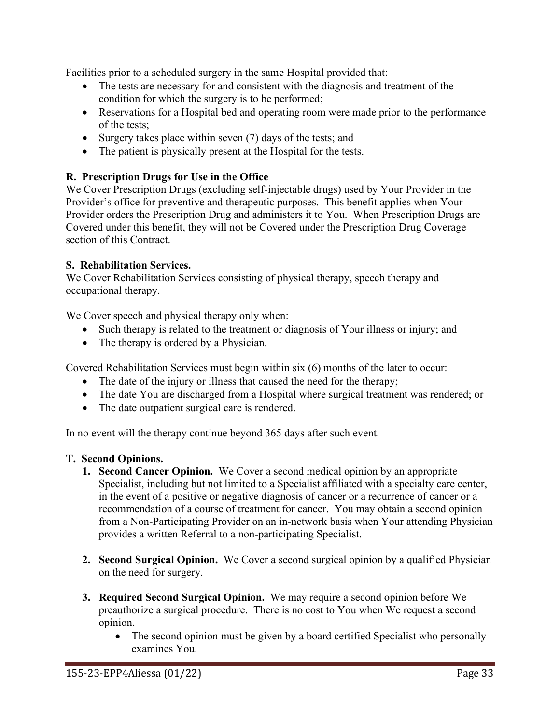Facilities prior to a scheduled surgery in the same Hospital provided that:

- The tests are necessary for and consistent with the diagnosis and treatment of the condition for which the surgery is to be performed;
- Reservations for a Hospital bed and operating room were made prior to the performance of the tests;
- Surgery takes place within seven (7) days of the tests; and
- The patient is physically present at the Hospital for the tests.

# **R. Prescription Drugs for Use in the Office**

We Cover Prescription Drugs (excluding self-injectable drugs) used by Your Provider in the Provider's office for preventive and therapeutic purposes. This benefit applies when Your Provider orders the Prescription Drug and administers it to You. When Prescription Drugs are Covered under this benefit, they will not be Covered under the Prescription Drug Coverage section of this Contract.

### **S. Rehabilitation Services.**

We Cover Rehabilitation Services consisting of physical therapy, speech therapy and occupational therapy.

We Cover speech and physical therapy only when:

- Such therapy is related to the treatment or diagnosis of Your illness or injury; and
- The therapy is ordered by a Physician.

Covered Rehabilitation Services must begin within six (6) months of the later to occur:

- The date of the injury or illness that caused the need for the therapy;
- The date You are discharged from a Hospital where surgical treatment was rendered; or
- The date outpatient surgical care is rendered.

In no event will the therapy continue beyond 365 days after such event.

### **T. Second Opinions.**

- **1. Second Cancer Opinion.** We Cover a second medical opinion by an appropriate Specialist, including but not limited to a Specialist affiliated with a specialty care center, in the event of a positive or negative diagnosis of cancer or a recurrence of cancer or a recommendation of a course of treatment for cancer. You may obtain a second opinion from a Non-Participating Provider on an in-network basis when Your attending Physician provides a written Referral to a non-participating Specialist.
- **2. Second Surgical Opinion.** We Cover a second surgical opinion by a qualified Physician on the need for surgery.
- **3. Required Second Surgical Opinion.** We may require a second opinion before We preauthorize a surgical procedure. There is no cost to You when We request a second opinion.
	- The second opinion must be given by a board certified Specialist who personally examines You.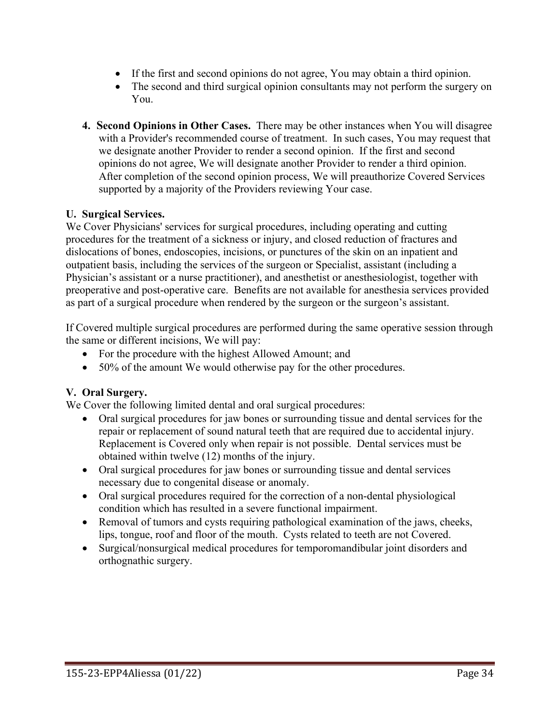- If the first and second opinions do not agree, You may obtain a third opinion.
- The second and third surgical opinion consultants may not perform the surgery on You.
- **4. Second Opinions in Other Cases.** There may be other instances when You will disagree with a Provider's recommended course of treatment. In such cases, You may request that we designate another Provider to render a second opinion. If the first and second opinions do not agree, We will designate another Provider to render a third opinion. After completion of the second opinion process, We will preauthorize Covered Services supported by a majority of the Providers reviewing Your case.

### **U. Surgical Services.**

We Cover Physicians' services for surgical procedures, including operating and cutting procedures for the treatment of a sickness or injury, and closed reduction of fractures and dislocations of bones, endoscopies, incisions, or punctures of the skin on an inpatient and outpatient basis, including the services of the surgeon or Specialist, assistant (including a Physician's assistant or a nurse practitioner), and anesthetist or anesthesiologist, together with preoperative and post-operative care. Benefits are not available for anesthesia services provided as part of a surgical procedure when rendered by the surgeon or the surgeon's assistant.

If Covered multiple surgical procedures are performed during the same operative session through the same or different incisions, We will pay:

- For the procedure with the highest Allowed Amount; and
- 50% of the amount We would otherwise pay for the other procedures.

#### **V. Oral Surgery.**

We Cover the following limited dental and oral surgical procedures:

- Oral surgical procedures for jaw bones or surrounding tissue and dental services for the repair or replacement of sound natural teeth that are required due to accidental injury. Replacement is Covered only when repair is not possible. Dental services must be obtained within twelve (12) months of the injury.
- Oral surgical procedures for jaw bones or surrounding tissue and dental services necessary due to congenital disease or anomaly.
- Oral surgical procedures required for the correction of a non-dental physiological condition which has resulted in a severe functional impairment.
- Removal of tumors and cysts requiring pathological examination of the jaws, cheeks, lips, tongue, roof and floor of the mouth. Cysts related to teeth are not Covered.
- Surgical/nonsurgical medical procedures for temporomandibular joint disorders and orthognathic surgery.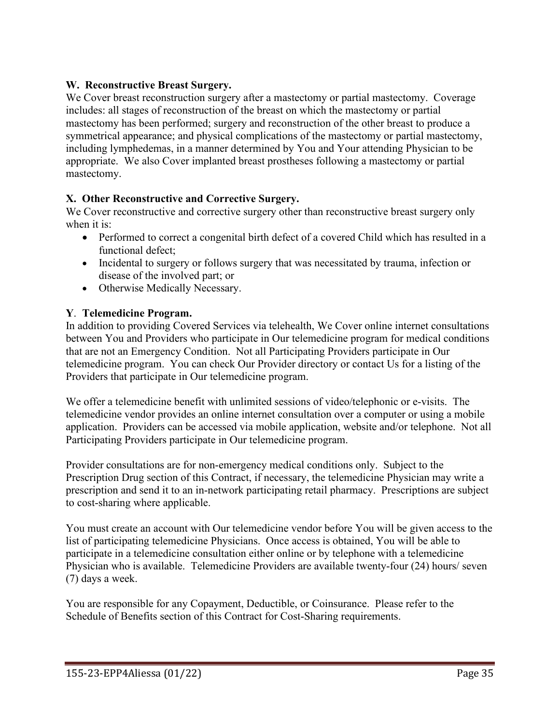# **W. Reconstructive Breast Surgery.**

We Cover breast reconstruction surgery after a mastectomy or partial mastectomy. Coverage includes: all stages of reconstruction of the breast on which the mastectomy or partial mastectomy has been performed; surgery and reconstruction of the other breast to produce a symmetrical appearance; and physical complications of the mastectomy or partial mastectomy, including lymphedemas, in a manner determined by You and Your attending Physician to be appropriate. We also Cover implanted breast prostheses following a mastectomy or partial mastectomy.

# **X. Other Reconstructive and Corrective Surgery.**

We Cover reconstructive and corrective surgery other than reconstructive breast surgery only when it is:

- Performed to correct a congenital birth defect of a covered Child which has resulted in a functional defect;
- Incidental to surgery or follows surgery that was necessitated by trauma, infection or disease of the involved part; or
- Otherwise Medically Necessary.

### **Y**. **Telemedicine Program.**

In addition to providing Covered Services via telehealth, We Cover online internet consultations between You and Providers who participate in Our telemedicine program for medical conditions that are not an Emergency Condition. Not all Participating Providers participate in Our telemedicine program. You can check Our Provider directory or contact Us for a listing of the Providers that participate in Our telemedicine program.

We offer a telemedicine benefit with unlimited sessions of video/telephonic or e-visits. The telemedicine vendor provides an online internet consultation over a computer or using a mobile application. Providers can be accessed via mobile application, website and/or telephone. Not all Participating Providers participate in Our telemedicine program.

Provider consultations are for non-emergency medical conditions only. Subject to the Prescription Drug section of this Contract, if necessary, the telemedicine Physician may write a prescription and send it to an in-network participating retail pharmacy. Prescriptions are subject to cost-sharing where applicable.

You must create an account with Our telemedicine vendor before You will be given access to the list of participating telemedicine Physicians. Once access is obtained, You will be able to participate in a telemedicine consultation either online or by telephone with a telemedicine Physician who is available. Telemedicine Providers are available twenty-four (24) hours/ seven (7) days a week.

You are responsible for any Copayment, Deductible, or Coinsurance. Please refer to the Schedule of Benefits section of this Contract for Cost-Sharing requirements.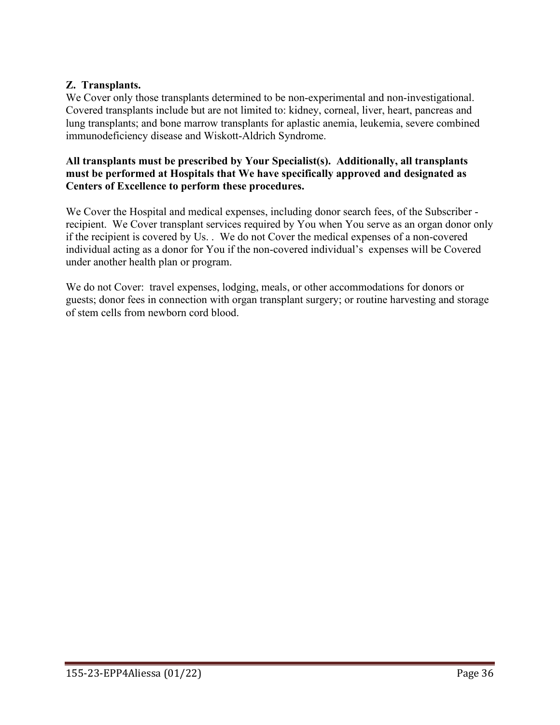#### **Z. Transplants.**

We Cover only those transplants determined to be non-experimental and non-investigational. Covered transplants include but are not limited to: kidney, corneal, liver, heart, pancreas and lung transplants; and bone marrow transplants for aplastic anemia, leukemia, severe combined immunodeficiency disease and Wiskott-Aldrich Syndrome.

#### **All transplants must be prescribed by Your Specialist(s). Additionally, all transplants must be performed at Hospitals that We have specifically approved and designated as Centers of Excellence to perform these procedures.**

We Cover the Hospital and medical expenses, including donor search fees, of the Subscriber recipient. We Cover transplant services required by You when You serve as an organ donor only if the recipient is covered by Us. . We do not Cover the medical expenses of a non-covered individual acting as a donor for You if the non-covered individual's expenses will be Covered under another health plan or program.

We do not Cover: travel expenses, lodging, meals, or other accommodations for donors or guests; donor fees in connection with organ transplant surgery; or routine harvesting and storage of stem cells from newborn cord blood.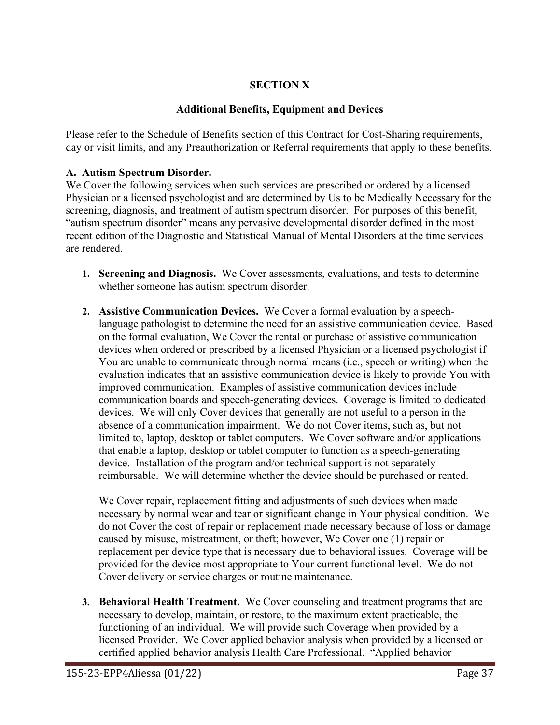# **SECTION X**

#### **Additional Benefits, Equipment and Devices**

Please refer to the Schedule of Benefits section of this Contract for Cost-Sharing requirements, day or visit limits, and any Preauthorization or Referral requirements that apply to these benefits.

#### **A. Autism Spectrum Disorder.**

We Cover the following services when such services are prescribed or ordered by a licensed Physician or a licensed psychologist and are determined by Us to be Medically Necessary for the screening, diagnosis, and treatment of autism spectrum disorder. For purposes of this benefit, "autism spectrum disorder" means any pervasive developmental disorder defined in the most recent edition of the Diagnostic and Statistical Manual of Mental Disorders at the time services are rendered.

- **1. Screening and Diagnosis.** We Cover assessments, evaluations, and tests to determine whether someone has autism spectrum disorder.
- **2. Assistive Communication Devices.** We Cover a formal evaluation by a speechlanguage pathologist to determine the need for an assistive communication device. Based on the formal evaluation, We Cover the rental or purchase of assistive communication devices when ordered or prescribed by a licensed Physician or a licensed psychologist if You are unable to communicate through normal means (i.e., speech or writing) when the evaluation indicates that an assistive communication device is likely to provide You with improved communication. Examples of assistive communication devices include communication boards and speech-generating devices. Coverage is limited to dedicated devices. We will only Cover devices that generally are not useful to a person in the absence of a communication impairment. We do not Cover items, such as, but not limited to, laptop, desktop or tablet computers. We Cover software and/or applications that enable a laptop, desktop or tablet computer to function as a speech-generating device. Installation of the program and/or technical support is not separately reimbursable. We will determine whether the device should be purchased or rented.

We Cover repair, replacement fitting and adjustments of such devices when made necessary by normal wear and tear or significant change in Your physical condition. We do not Cover the cost of repair or replacement made necessary because of loss or damage caused by misuse, mistreatment, or theft; however, We Cover one (1) repair or replacement per device type that is necessary due to behavioral issues. Coverage will be provided for the device most appropriate to Your current functional level. We do not Cover delivery or service charges or routine maintenance.

**3. Behavioral Health Treatment.** We Cover counseling and treatment programs that are necessary to develop, maintain, or restore, to the maximum extent practicable, the functioning of an individual. We will provide such Coverage when provided by a licensed Provider. We Cover applied behavior analysis when provided by a licensed or certified applied behavior analysis Health Care Professional. "Applied behavior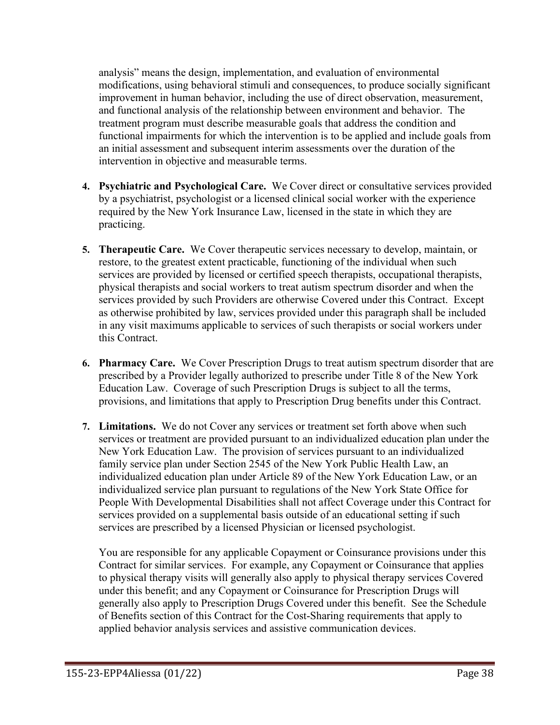analysis" means the design, implementation, and evaluation of environmental modifications, using behavioral stimuli and consequences, to produce socially significant improvement in human behavior, including the use of direct observation, measurement, and functional analysis of the relationship between environment and behavior. The treatment program must describe measurable goals that address the condition and functional impairments for which the intervention is to be applied and include goals from an initial assessment and subsequent interim assessments over the duration of the intervention in objective and measurable terms.

- **4. Psychiatric and Psychological Care.** We Cover direct or consultative services provided by a psychiatrist, psychologist or a licensed clinical social worker with the experience required by the New York Insurance Law, licensed in the state in which they are practicing.
- **5. Therapeutic Care.** We Cover therapeutic services necessary to develop, maintain, or restore, to the greatest extent practicable, functioning of the individual when such services are provided by licensed or certified speech therapists, occupational therapists, physical therapists and social workers to treat autism spectrum disorder and when the services provided by such Providers are otherwise Covered under this Contract. Except as otherwise prohibited by law, services provided under this paragraph shall be included in any visit maximums applicable to services of such therapists or social workers under this Contract.
- **6. Pharmacy Care.** We Cover Prescription Drugs to treat autism spectrum disorder that are prescribed by a Provider legally authorized to prescribe under Title 8 of the New York Education Law. Coverage of such Prescription Drugs is subject to all the terms, provisions, and limitations that apply to Prescription Drug benefits under this Contract.
- **7. Limitations.** We do not Cover any services or treatment set forth above when such services or treatment are provided pursuant to an individualized education plan under the New York Education Law. The provision of services pursuant to an individualized family service plan under Section 2545 of the New York Public Health Law, an individualized education plan under Article 89 of the New York Education Law, or an individualized service plan pursuant to regulations of the New York State Office for People With Developmental Disabilities shall not affect Coverage under this Contract for services provided on a supplemental basis outside of an educational setting if such services are prescribed by a licensed Physician or licensed psychologist.

You are responsible for any applicable Copayment or Coinsurance provisions under this Contract for similar services. For example, any Copayment or Coinsurance that applies to physical therapy visits will generally also apply to physical therapy services Covered under this benefit; and any Copayment or Coinsurance for Prescription Drugs will generally also apply to Prescription Drugs Covered under this benefit. See the Schedule of Benefits section of this Contract for the Cost-Sharing requirements that apply to applied behavior analysis services and assistive communication devices.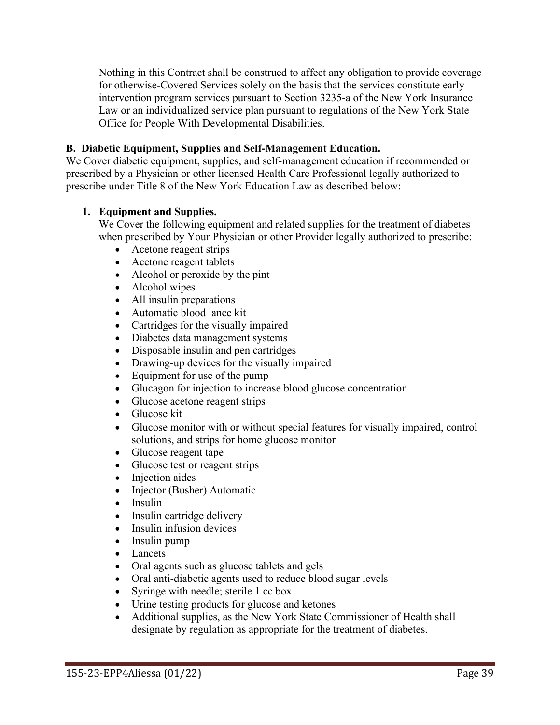Nothing in this Contract shall be construed to affect any obligation to provide coverage for otherwise-Covered Services solely on the basis that the services constitute early intervention program services pursuant to Section 3235-a of the New York Insurance Law or an individualized service plan pursuant to regulations of the New York State Office for People With Developmental Disabilities.

#### **B. Diabetic Equipment, Supplies and Self-Management Education.**

We Cover diabetic equipment, supplies, and self-management education if recommended or prescribed by a Physician or other licensed Health Care Professional legally authorized to prescribe under Title 8 of the New York Education Law as described below:

#### **1. Equipment and Supplies.**

We Cover the following equipment and related supplies for the treatment of diabetes when prescribed by Your Physician or other Provider legally authorized to prescribe:

- Acetone reagent strips
- Acetone reagent tablets
- Alcohol or peroxide by the pint
- Alcohol wipes
- All insulin preparations
- Automatic blood lance kit
- Cartridges for the visually impaired
- Diabetes data management systems
- Disposable insulin and pen cartridges
- Drawing-up devices for the visually impaired
- Equipment for use of the pump
- Glucagon for injection to increase blood glucose concentration
- Glucose acetone reagent strips
- Glucose kit
- Glucose monitor with or without special features for visually impaired, control solutions, and strips for home glucose monitor
- Glucose reagent tape
- Glucose test or reagent strips
- Injection aides
- Injector (Busher) Automatic
- Insulin
- Insulin cartridge delivery
- Insulin infusion devices
- Insulin pump
- Lancets
- Oral agents such as glucose tablets and gels
- Oral anti-diabetic agents used to reduce blood sugar levels
- Syringe with needle; sterile 1 cc box
- Urine testing products for glucose and ketones
- Additional supplies, as the New York State Commissioner of Health shall designate by regulation as appropriate for the treatment of diabetes.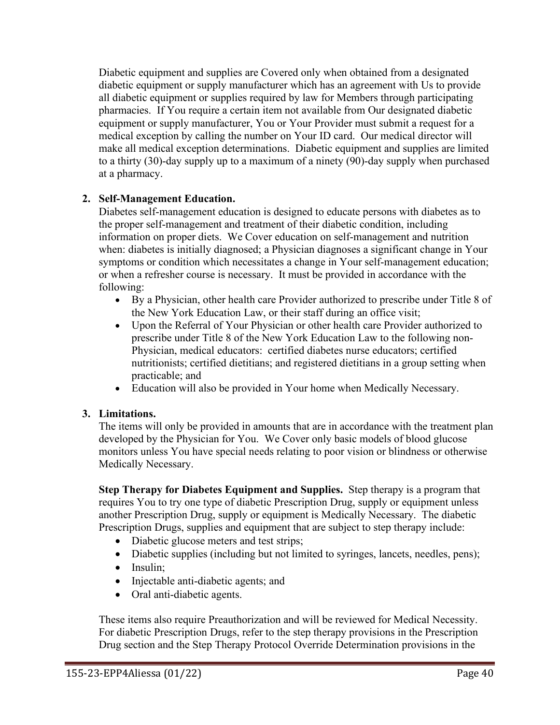Diabetic equipment and supplies are Covered only when obtained from a designated diabetic equipment or supply manufacturer which has an agreement with Us to provide all diabetic equipment or supplies required by law for Members through participating pharmacies. If You require a certain item not available from Our designated diabetic equipment or supply manufacturer, You or Your Provider must submit a request for a medical exception by calling the number on Your ID card. Our medical director will make all medical exception determinations. Diabetic equipment and supplies are limited to a thirty (30)-day supply up to a maximum of a ninety (90)-day supply when purchased at a pharmacy.

### **2. Self-Management Education.**

Diabetes self-management education is designed to educate persons with diabetes as to the proper self-management and treatment of their diabetic condition, including information on proper diets. We Cover education on self-management and nutrition when: diabetes is initially diagnosed; a Physician diagnoses a significant change in Your symptoms or condition which necessitates a change in Your self-management education; or when a refresher course is necessary. It must be provided in accordance with the following:

- By a Physician, other health care Provider authorized to prescribe under Title 8 of the New York Education Law, or their staff during an office visit;
- Upon the Referral of Your Physician or other health care Provider authorized to prescribe under Title 8 of the New York Education Law to the following non-Physician, medical educators: certified diabetes nurse educators; certified nutritionists; certified dietitians; and registered dietitians in a group setting when practicable; and
- Education will also be provided in Your home when Medically Necessary.

#### **3. Limitations.**

The items will only be provided in amounts that are in accordance with the treatment plan developed by the Physician for You. We Cover only basic models of blood glucose monitors unless You have special needs relating to poor vision or blindness or otherwise Medically Necessary.

**Step Therapy for Diabetes Equipment and Supplies.** Step therapy is a program that requires You to try one type of diabetic Prescription Drug, supply or equipment unless another Prescription Drug, supply or equipment is Medically Necessary. The diabetic Prescription Drugs, supplies and equipment that are subject to step therapy include:

- Diabetic glucose meters and test strips;
- Diabetic supplies (including but not limited to syringes, lancets, needles, pens);
- Insulin:
- Injectable anti-diabetic agents; and
- Oral anti-diabetic agents.

These items also require Preauthorization and will be reviewed for Medical Necessity. For diabetic Prescription Drugs, refer to the step therapy provisions in the Prescription Drug section and the Step Therapy Protocol Override Determination provisions in the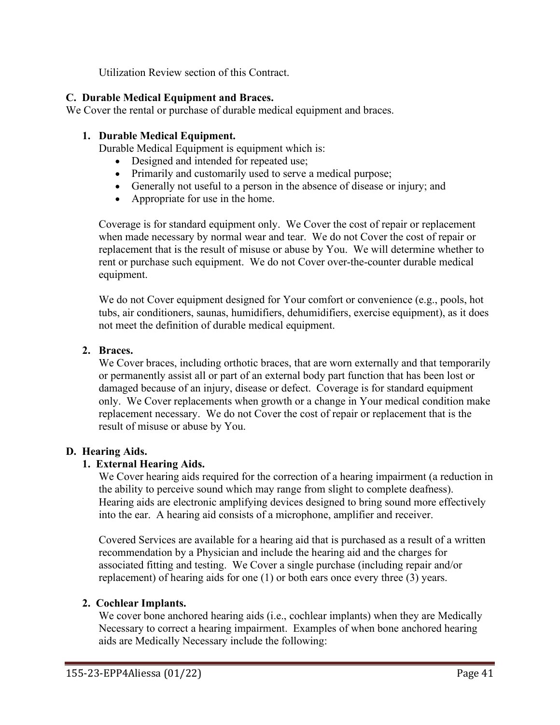Utilization Review section of this Contract.

# **C. Durable Medical Equipment and Braces.**

We Cover the rental or purchase of durable medical equipment and braces.

### **1. Durable Medical Equipment.**

Durable Medical Equipment is equipment which is:

- Designed and intended for repeated use;
- Primarily and customarily used to serve a medical purpose;
- Generally not useful to a person in the absence of disease or injury; and
- Appropriate for use in the home.

Coverage is for standard equipment only. We Cover the cost of repair or replacement when made necessary by normal wear and tear. We do not Cover the cost of repair or replacement that is the result of misuse or abuse by You. We will determine whether to rent or purchase such equipment. We do not Cover over-the-counter durable medical equipment.

We do not Cover equipment designed for Your comfort or convenience (e.g., pools, hot tubs, air conditioners, saunas, humidifiers, dehumidifiers, exercise equipment), as it does not meet the definition of durable medical equipment.

### **2. Braces.**

We Cover braces, including orthotic braces, that are worn externally and that temporarily or permanently assist all or part of an external body part function that has been lost or damaged because of an injury, disease or defect. Coverage is for standard equipment only. We Cover replacements when growth or a change in Your medical condition make replacement necessary. We do not Cover the cost of repair or replacement that is the result of misuse or abuse by You.

# **D. Hearing Aids.**

#### **1. External Hearing Aids.**

We Cover hearing aids required for the correction of a hearing impairment (a reduction in the ability to perceive sound which may range from slight to complete deafness). Hearing aids are electronic amplifying devices designed to bring sound more effectively into the ear. A hearing aid consists of a microphone, amplifier and receiver.

Covered Services are available for a hearing aid that is purchased as a result of a written recommendation by a Physician and include the hearing aid and the charges for associated fitting and testing. We Cover a single purchase (including repair and/or replacement) of hearing aids for one (1) or both ears once every three (3) years.

#### **2. Cochlear Implants.**

We cover bone anchored hearing aids *(i.e., cochlear implants)* when they are Medically Necessary to correct a hearing impairment. Examples of when bone anchored hearing aids are Medically Necessary include the following: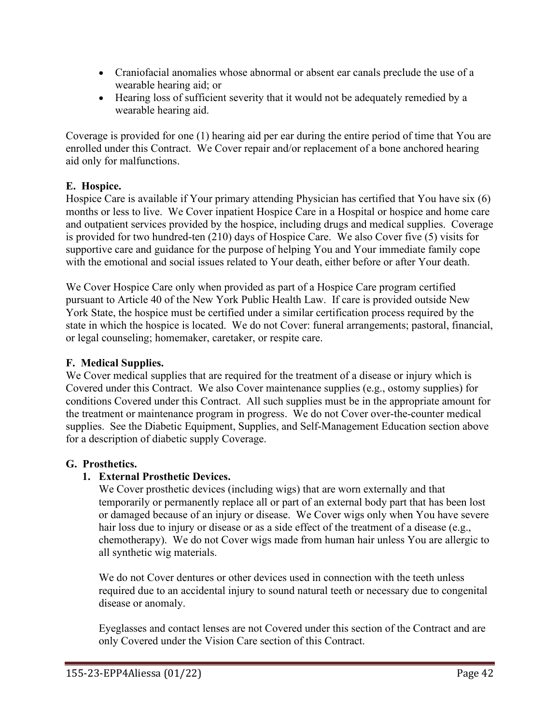- Craniofacial anomalies whose abnormal or absent ear canals preclude the use of a wearable hearing aid; or
- Hearing loss of sufficient severity that it would not be adequately remedied by a wearable hearing aid.

Coverage is provided for one (1) hearing aid per ear during the entire period of time that You are enrolled under this Contract. We Cover repair and/or replacement of a bone anchored hearing aid only for malfunctions.

# **E. Hospice.**

Hospice Care is available if Your primary attending Physician has certified that You have six (6) months or less to live. We Cover inpatient Hospice Care in a Hospital or hospice and home care and outpatient services provided by the hospice, including drugs and medical supplies. Coverage is provided for two hundred-ten (210) days of Hospice Care. We also Cover five (5) visits for supportive care and guidance for the purpose of helping You and Your immediate family cope with the emotional and social issues related to Your death, either before or after Your death.

We Cover Hospice Care only when provided as part of a Hospice Care program certified pursuant to Article 40 of the New York Public Health Law. If care is provided outside New York State, the hospice must be certified under a similar certification process required by the state in which the hospice is located. We do not Cover: funeral arrangements; pastoral, financial, or legal counseling; homemaker, caretaker, or respite care.

# **F. Medical Supplies.**

We Cover medical supplies that are required for the treatment of a disease or injury which is Covered under this Contract. We also Cover maintenance supplies (e.g., ostomy supplies) for conditions Covered under this Contract. All such supplies must be in the appropriate amount for the treatment or maintenance program in progress. We do not Cover over-the-counter medical supplies. See the Diabetic Equipment, Supplies, and Self-Management Education section above for a description of diabetic supply Coverage.

#### **G. Prosthetics.**

# **1. External Prosthetic Devices.**

We Cover prosthetic devices (including wigs) that are worn externally and that temporarily or permanently replace all or part of an external body part that has been lost or damaged because of an injury or disease. We Cover wigs only when You have severe hair loss due to injury or disease or as a side effect of the treatment of a disease (e.g., chemotherapy). We do not Cover wigs made from human hair unless You are allergic to all synthetic wig materials.

We do not Cover dentures or other devices used in connection with the teeth unless required due to an accidental injury to sound natural teeth or necessary due to congenital disease or anomaly.

Eyeglasses and contact lenses are not Covered under this section of the Contract and are only Covered under the Vision Care section of this Contract.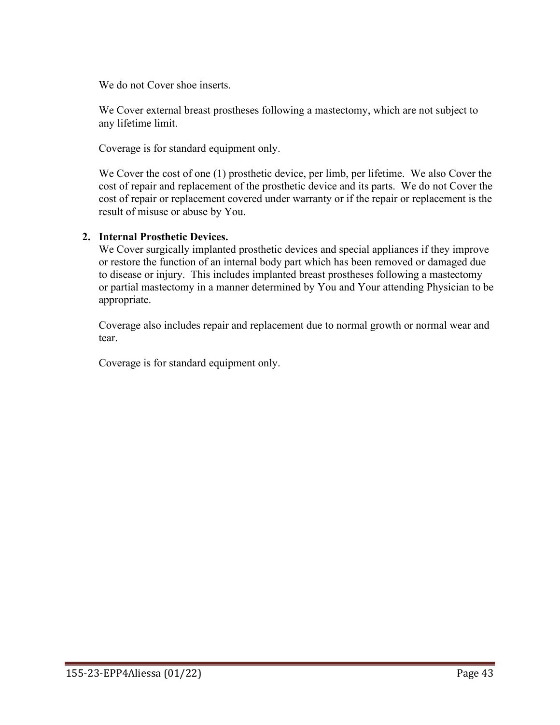We do not Cover shoe inserts.

We Cover external breast prostheses following a mastectomy, which are not subject to any lifetime limit.

Coverage is for standard equipment only.

We Cover the cost of one (1) prosthetic device, per limb, per lifetime. We also Cover the cost of repair and replacement of the prosthetic device and its parts. We do not Cover the cost of repair or replacement covered under warranty or if the repair or replacement is the result of misuse or abuse by You.

#### **2. Internal Prosthetic Devices.**

We Cover surgically implanted prosthetic devices and special appliances if they improve or restore the function of an internal body part which has been removed or damaged due to disease or injury. This includes implanted breast prostheses following a mastectomy or partial mastectomy in a manner determined by You and Your attending Physician to be appropriate.

Coverage also includes repair and replacement due to normal growth or normal wear and tear.

Coverage is for standard equipment only.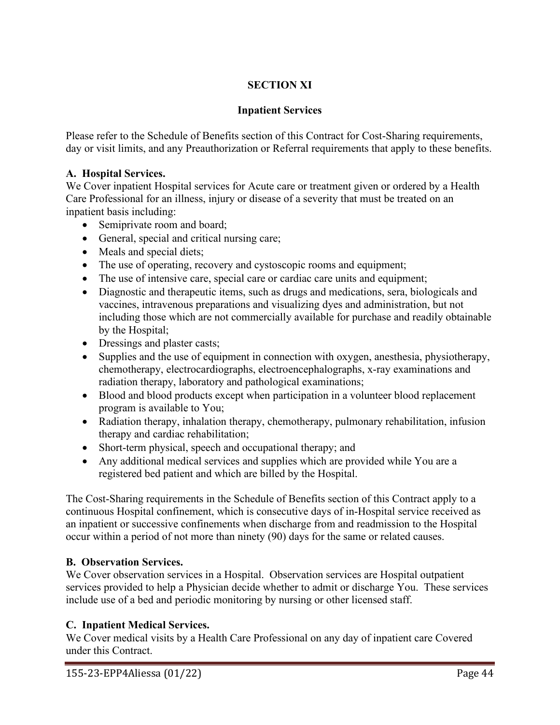# **SECTION XI**

# **Inpatient Services**

Please refer to the Schedule of Benefits section of this Contract for Cost-Sharing requirements, day or visit limits, and any Preauthorization or Referral requirements that apply to these benefits.

#### **A. Hospital Services.**

We Cover inpatient Hospital services for Acute care or treatment given or ordered by a Health Care Professional for an illness, injury or disease of a severity that must be treated on an inpatient basis including:

- Semiprivate room and board;
- General, special and critical nursing care;
- Meals and special diets;
- The use of operating, recovery and cystoscopic rooms and equipment;
- The use of intensive care, special care or cardiac care units and equipment;
- Diagnostic and therapeutic items, such as drugs and medications, sera, biologicals and vaccines, intravenous preparations and visualizing dyes and administration, but not including those which are not commercially available for purchase and readily obtainable by the Hospital;
- Dressings and plaster casts;
- Supplies and the use of equipment in connection with oxygen, anesthesia, physiotherapy, chemotherapy, electrocardiographs, electroencephalographs, x-ray examinations and radiation therapy, laboratory and pathological examinations;
- Blood and blood products except when participation in a volunteer blood replacement program is available to You;
- Radiation therapy, inhalation therapy, chemotherapy, pulmonary rehabilitation, infusion therapy and cardiac rehabilitation;
- Short-term physical, speech and occupational therapy; and
- Any additional medical services and supplies which are provided while You are a registered bed patient and which are billed by the Hospital.

The Cost-Sharing requirements in the Schedule of Benefits section of this Contract apply to a continuous Hospital confinement, which is consecutive days of in-Hospital service received as an inpatient or successive confinements when discharge from and readmission to the Hospital occur within a period of not more than ninety (90) days for the same or related causes.

# **B. Observation Services.**

We Cover observation services in a Hospital. Observation services are Hospital outpatient services provided to help a Physician decide whether to admit or discharge You. These services include use of a bed and periodic monitoring by nursing or other licensed staff.

# **C. Inpatient Medical Services.**

We Cover medical visits by a Health Care Professional on any day of inpatient care Covered under this Contract.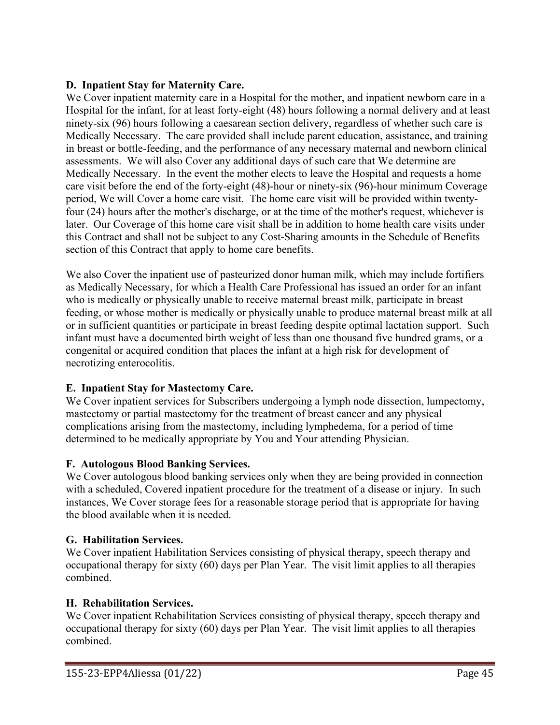### **D. Inpatient Stay for Maternity Care.**

We Cover inpatient maternity care in a Hospital for the mother, and inpatient newborn care in a Hospital for the infant, for at least forty-eight (48) hours following a normal delivery and at least ninety-six (96) hours following a caesarean section delivery, regardless of whether such care is Medically Necessary. The care provided shall include parent education, assistance, and training in breast or bottle-feeding, and the performance of any necessary maternal and newborn clinical assessments. We will also Cover any additional days of such care that We determine are Medically Necessary. In the event the mother elects to leave the Hospital and requests a home care visit before the end of the forty-eight (48)-hour or ninety-six (96)-hour minimum Coverage period, We will Cover a home care visit. The home care visit will be provided within twentyfour (24) hours after the mother's discharge, or at the time of the mother's request, whichever is later. Our Coverage of this home care visit shall be in addition to home health care visits under this Contract and shall not be subject to any Cost-Sharing amounts in the Schedule of Benefits section of this Contract that apply to home care benefits.

We also Cover the inpatient use of pasteurized donor human milk, which may include fortifiers as Medically Necessary, for which a Health Care Professional has issued an order for an infant who is medically or physically unable to receive maternal breast milk, participate in breast feeding, or whose mother is medically or physically unable to produce maternal breast milk at all or in sufficient quantities or participate in breast feeding despite optimal lactation support. Such infant must have a documented birth weight of less than one thousand five hundred grams, or a congenital or acquired condition that places the infant at a high risk for development of necrotizing enterocolitis.

# **E. Inpatient Stay for Mastectomy Care.**

We Cover inpatient services for Subscribers undergoing a lymph node dissection, lumpectomy, mastectomy or partial mastectomy for the treatment of breast cancer and any physical complications arising from the mastectomy, including lymphedema, for a period of time determined to be medically appropriate by You and Your attending Physician.

#### **F. Autologous Blood Banking Services.**

We Cover autologous blood banking services only when they are being provided in connection with a scheduled, Covered inpatient procedure for the treatment of a disease or injury. In such instances, We Cover storage fees for a reasonable storage period that is appropriate for having the blood available when it is needed.

# **G. Habilitation Services.**

We Cover inpatient Habilitation Services consisting of physical therapy, speech therapy and occupational therapy for sixty (60) days per Plan Year. The visit limit applies to all therapies combined.

#### **H. Rehabilitation Services.**

We Cover inpatient Rehabilitation Services consisting of physical therapy, speech therapy and occupational therapy for sixty (60) days per Plan Year. The visit limit applies to all therapies combined.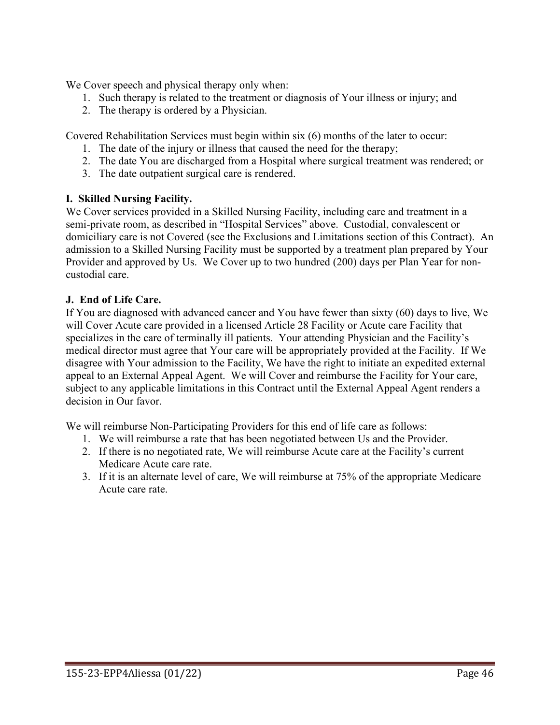We Cover speech and physical therapy only when:

- 1. Such therapy is related to the treatment or diagnosis of Your illness or injury; and
- 2. The therapy is ordered by a Physician.

Covered Rehabilitation Services must begin within six (6) months of the later to occur:

- 1. The date of the injury or illness that caused the need for the therapy;
- 2. The date You are discharged from a Hospital where surgical treatment was rendered; or
- 3. The date outpatient surgical care is rendered.

### **I. Skilled Nursing Facility.**

We Cover services provided in a Skilled Nursing Facility, including care and treatment in a semi-private room, as described in "Hospital Services" above. Custodial, convalescent or domiciliary care is not Covered (see the Exclusions and Limitations section of this Contract). An admission to a Skilled Nursing Facility must be supported by a treatment plan prepared by Your Provider and approved by Us. We Cover up to two hundred (200) days per Plan Year for noncustodial care.

### **J. End of Life Care.**

If You are diagnosed with advanced cancer and You have fewer than sixty (60) days to live, We will Cover Acute care provided in a licensed Article 28 Facility or Acute care Facility that specializes in the care of terminally ill patients. Your attending Physician and the Facility's medical director must agree that Your care will be appropriately provided at the Facility. If We disagree with Your admission to the Facility, We have the right to initiate an expedited external appeal to an External Appeal Agent. We will Cover and reimburse the Facility for Your care, subject to any applicable limitations in this Contract until the External Appeal Agent renders a decision in Our favor.

We will reimburse Non-Participating Providers for this end of life care as follows:

- 1. We will reimburse a rate that has been negotiated between Us and the Provider.
- 2. If there is no negotiated rate, We will reimburse Acute care at the Facility's current Medicare Acute care rate.
- 3. If it is an alternate level of care, We will reimburse at 75% of the appropriate Medicare Acute care rate.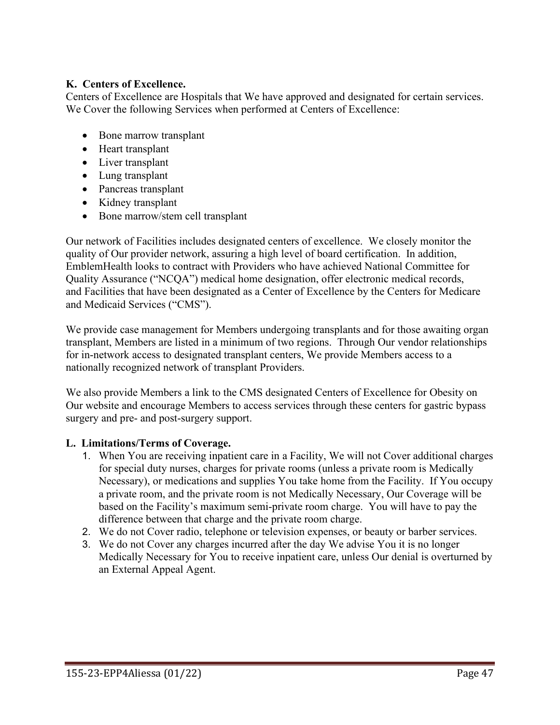#### **K. Centers of Excellence.**

Centers of Excellence are Hospitals that We have approved and designated for certain services. We Cover the following Services when performed at Centers of Excellence:

- Bone marrow transplant
- Heart transplant
- Liver transplant
- Lung transplant
- Pancreas transplant
- Kidney transplant
- Bone marrow/stem cell transplant

Our network of Facilities includes designated centers of excellence. We closely monitor the quality of Our provider network, assuring a high level of board certification. In addition, EmblemHealth looks to contract with Providers who have achieved National Committee for Quality Assurance ("NCQA") medical home designation, offer electronic medical records, and Facilities that have been designated as a Center of Excellence by the Centers for Medicare and Medicaid Services ("CMS").

We provide case management for Members undergoing transplants and for those awaiting organ transplant, Members are listed in a minimum of two regions. Through Our vendor relationships for in-network access to designated transplant centers, We provide Members access to a nationally recognized network of transplant Providers.

We also provide Members a link to the CMS designated Centers of Excellence for Obesity on Our website and encourage Members to access services through these centers for gastric bypass surgery and pre- and post-surgery support.

# **L. Limitations/Terms of Coverage.**

- 1. When You are receiving inpatient care in a Facility, We will not Cover additional charges for special duty nurses, charges for private rooms (unless a private room is Medically Necessary), or medications and supplies You take home from the Facility. If You occupy a private room, and the private room is not Medically Necessary, Our Coverage will be based on the Facility's maximum semi-private room charge. You will have to pay the difference between that charge and the private room charge.
- 2. We do not Cover radio, telephone or television expenses, or beauty or barber services.
- 3. We do not Cover any charges incurred after the day We advise You it is no longer Medically Necessary for You to receive inpatient care, unless Our denial is overturned by an External Appeal Agent.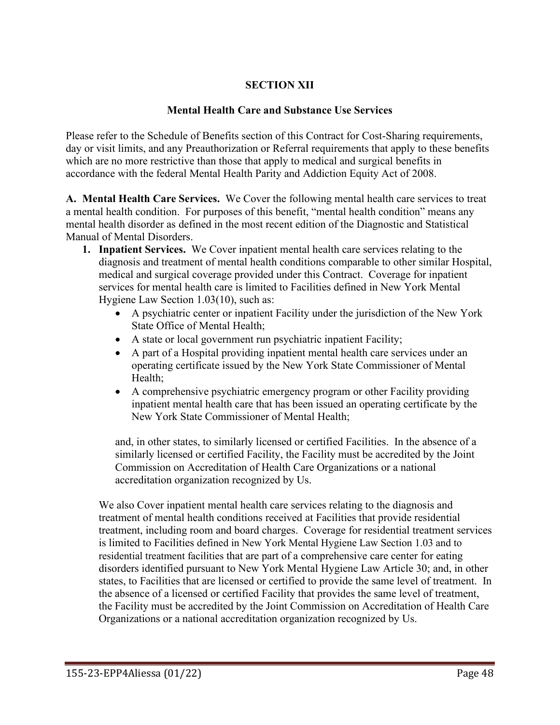# **SECTION XII**

#### **Mental Health Care and Substance Use Services**

Please refer to the Schedule of Benefits section of this Contract for Cost-Sharing requirements, day or visit limits, and any Preauthorization or Referral requirements that apply to these benefits which are no more restrictive than those that apply to medical and surgical benefits in accordance with the federal Mental Health Parity and Addiction Equity Act of 2008.

**A. Mental Health Care Services.** We Cover the following mental health care services to treat a mental health condition. For purposes of this benefit, "mental health condition" means any mental health disorder as defined in the most recent edition of the Diagnostic and Statistical Manual of Mental Disorders.

- **1. Inpatient Services.** We Cover inpatient mental health care services relating to the diagnosis and treatment of mental health conditions comparable to other similar Hospital, medical and surgical coverage provided under this Contract. Coverage for inpatient services for mental health care is limited to Facilities defined in New York Mental Hygiene Law Section 1.03(10), such as:
	- A psychiatric center or inpatient Facility under the jurisdiction of the New York State Office of Mental Health;
	- A state or local government run psychiatric inpatient Facility;
	- A part of a Hospital providing inpatient mental health care services under an operating certificate issued by the New York State Commissioner of Mental Health;
	- A comprehensive psychiatric emergency program or other Facility providing inpatient mental health care that has been issued an operating certificate by the New York State Commissioner of Mental Health;

and, in other states, to similarly licensed or certified Facilities. In the absence of a similarly licensed or certified Facility, the Facility must be accredited by the Joint Commission on Accreditation of Health Care Organizations or a national accreditation organization recognized by Us.

We also Cover inpatient mental health care services relating to the diagnosis and treatment of mental health conditions received at Facilities that provide residential treatment, including room and board charges. Coverage for residential treatment services is limited to Facilities defined in New York Mental Hygiene Law Section 1.03 and to residential treatment facilities that are part of a comprehensive care center for eating disorders identified pursuant to New York Mental Hygiene Law Article 30; and, in other states, to Facilities that are licensed or certified to provide the same level of treatment. In the absence of a licensed or certified Facility that provides the same level of treatment, the Facility must be accredited by the Joint Commission on Accreditation of Health Care Organizations or a national accreditation organization recognized by Us.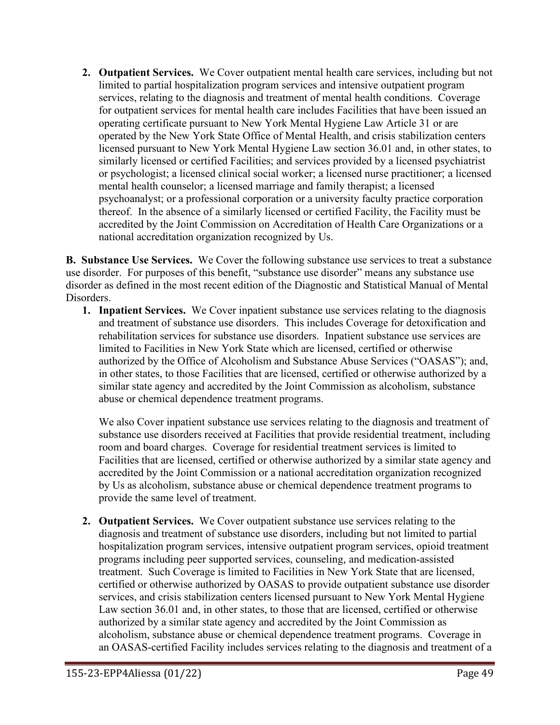**2. Outpatient Services.** We Cover outpatient mental health care services, including but not limited to partial hospitalization program services and intensive outpatient program services, relating to the diagnosis and treatment of mental health conditions. Coverage for outpatient services for mental health care includes Facilities that have been issued an operating certificate pursuant to New York Mental Hygiene Law Article 31 or are operated by the New York State Office of Mental Health, and crisis stabilization centers licensed pursuant to New York Mental Hygiene Law section 36.01 and, in other states, to similarly licensed or certified Facilities; and services provided by a licensed psychiatrist or psychologist; a licensed clinical social worker; a licensed nurse practitioner; a licensed mental health counselor; a licensed marriage and family therapist; a licensed psychoanalyst; or a professional corporation or a university faculty practice corporation thereof. In the absence of a similarly licensed or certified Facility, the Facility must be accredited by the Joint Commission on Accreditation of Health Care Organizations or a national accreditation organization recognized by Us.

**B. Substance Use Services.** We Cover the following substance use services to treat a substance use disorder. For purposes of this benefit, "substance use disorder" means any substance use disorder as defined in the most recent edition of the Diagnostic and Statistical Manual of Mental Disorders.

**1. Inpatient Services.** We Cover inpatient substance use services relating to the diagnosis and treatment of substance use disorders. This includes Coverage for detoxification and rehabilitation services for substance use disorders. Inpatient substance use services are limited to Facilities in New York State which are licensed, certified or otherwise authorized by the Office of Alcoholism and Substance Abuse Services ("OASAS"); and, in other states, to those Facilities that are licensed, certified or otherwise authorized by a similar state agency and accredited by the Joint Commission as alcoholism, substance abuse or chemical dependence treatment programs.

We also Cover inpatient substance use services relating to the diagnosis and treatment of substance use disorders received at Facilities that provide residential treatment, including room and board charges. Coverage for residential treatment services is limited to Facilities that are licensed, certified or otherwise authorized by a similar state agency and accredited by the Joint Commission or a national accreditation organization recognized by Us as alcoholism, substance abuse or chemical dependence treatment programs to provide the same level of treatment.

**2. Outpatient Services.** We Cover outpatient substance use services relating to the diagnosis and treatment of substance use disorders, including but not limited to partial hospitalization program services, intensive outpatient program services, opioid treatment programs including peer supported services, counseling, and medication-assisted treatment. Such Coverage is limited to Facilities in New York State that are licensed, certified or otherwise authorized by OASAS to provide outpatient substance use disorder services, and crisis stabilization centers licensed pursuant to New York Mental Hygiene Law section 36.01 and, in other states, to those that are licensed, certified or otherwise authorized by a similar state agency and accredited by the Joint Commission as alcoholism, substance abuse or chemical dependence treatment programs. Coverage in an OASAS-certified Facility includes services relating to the diagnosis and treatment of a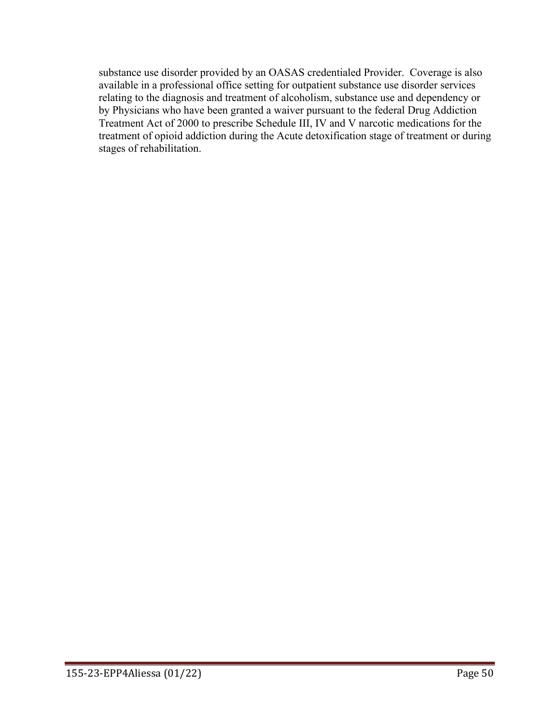substance use disorder provided by an OASAS credentialed Provider. Coverage is also available in a professional office setting for outpatient substance use disorder services relating to the diagnosis and treatment of alcoholism, substance use and dependency or by Physicians who have been granted a waiver pursuant to the federal Drug Addiction Treatment Act of 2000 to prescribe Schedule III, IV and V narcotic medications for the treatment of opioid addiction during the Acute detoxification stage of treatment or during stages of rehabilitation.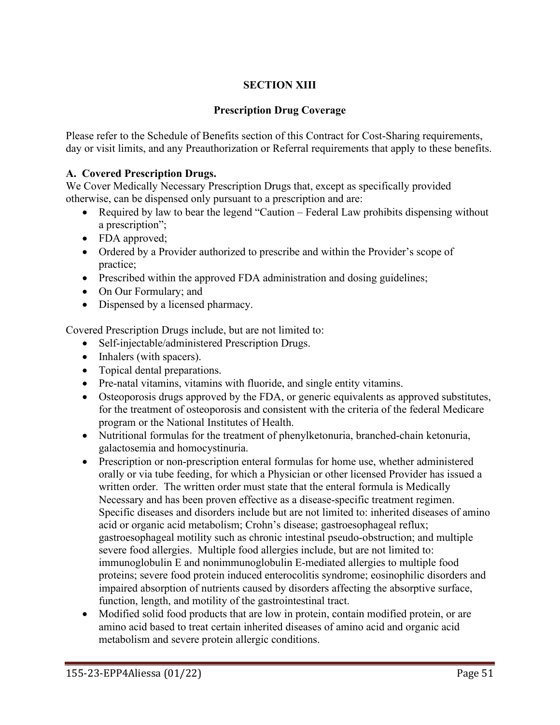# **SECTION XIII**

### **Prescription Drug Coverage**

Please refer to the Schedule of Benefits section of this Contract for Cost-Sharing requirements, day or visit limits, and any Preauthorization or Referral requirements that apply to these benefits.

#### **A. Covered Prescription Drugs.**

We Cover Medically Necessary Prescription Drugs that, except as specifically provided otherwise, can be dispensed only pursuant to a prescription and are:

- Required by law to bear the legend "Caution Federal Law prohibits dispensing without a prescription";
- FDA approved;
- Ordered by a Provider authorized to prescribe and within the Provider's scope of practice;
- Prescribed within the approved FDA administration and dosing guidelines;
- On Our Formulary; and
- Dispensed by a licensed pharmacy.

Covered Prescription Drugs include, but are not limited to:

- Self-injectable/administered Prescription Drugs.
- Inhalers (with spacers).
- Topical dental preparations.
- Pre-natal vitamins, vitamins with fluoride, and single entity vitamins.
- Osteoporosis drugs approved by the FDA, or generic equivalents as approved substitutes, for the treatment of osteoporosis and consistent with the criteria of the federal Medicare program or the National Institutes of Health.
- Nutritional formulas for the treatment of phenylketonuria, branched-chain ketonuria, galactosemia and homocystinuria.
- Prescription or non-prescription enteral formulas for home use, whether administered orally or via tube feeding, for which a Physician or other licensed Provider has issued a written order. The written order must state that the enteral formula is Medically Necessary and has been proven effective as a disease-specific treatment regimen. Specific diseases and disorders include but are not limited to: inherited diseases of amino acid or organic acid metabolism; Crohn's disease; gastroesophageal reflux; gastroesophageal motility such as chronic intestinal pseudo-obstruction; and multiple severe food allergies. Multiple food allergies include, but are not limited to: immunoglobulin E and nonimmunoglobulin E-mediated allergies to multiple food proteins; severe food protein induced enterocolitis syndrome; eosinophilic disorders and impaired absorption of nutrients caused by disorders affecting the absorptive surface, function, length, and motility of the gastrointestinal tract.
- Modified solid food products that are low in protein, contain modified protein, or are amino acid based to treat certain inherited diseases of amino acid and organic acid metabolism and severe protein allergic conditions.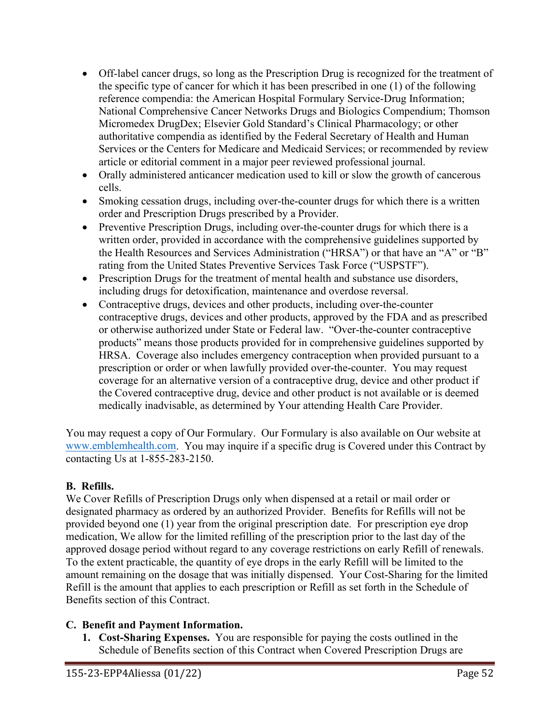- Off-label cancer drugs, so long as the Prescription Drug is recognized for the treatment of the specific type of cancer for which it has been prescribed in one (1) of the following reference compendia: the American Hospital Formulary Service-Drug Information; National Comprehensive Cancer Networks Drugs and Biologics Compendium; Thomson Micromedex DrugDex; Elsevier Gold Standard's Clinical Pharmacology; or other authoritative compendia as identified by the Federal Secretary of Health and Human Services or the Centers for Medicare and Medicaid Services; or recommended by review article or editorial comment in a major peer reviewed professional journal.
- Orally administered anticancer medication used to kill or slow the growth of cancerous cells.
- Smoking cessation drugs, including over-the-counter drugs for which there is a written order and Prescription Drugs prescribed by a Provider.
- Preventive Prescription Drugs, including over-the-counter drugs for which there is a written order, provided in accordance with the comprehensive guidelines supported by the Health Resources and Services Administration ("HRSA") or that have an "A" or "B" rating from the United States Preventive Services Task Force ("USPSTF").
- Prescription Drugs for the treatment of mental health and substance use disorders, including drugs for detoxification, maintenance and overdose reversal.
- Contraceptive drugs, devices and other products, including over-the-counter contraceptive drugs, devices and other products, approved by the FDA and as prescribed or otherwise authorized under State or Federal law. "Over-the-counter contraceptive products" means those products provided for in comprehensive guidelines supported by HRSA. Coverage also includes emergency contraception when provided pursuant to a prescription or order or when lawfully provided over-the-counter. You may request coverage for an alternative version of a contraceptive drug, device and other product if the Covered contraceptive drug, device and other product is not available or is deemed medically inadvisable, as determined by Your attending Health Care Provider.

You may request a copy of Our Formulary. Our Formulary is also available on Our website at [www.emblemhealth.com.](http://www.emblemhealth.com/) You may inquire if a specific drug is Covered under this Contract by contacting Us at 1-855-283-2150.

# **B. Refills.**

We Cover Refills of Prescription Drugs only when dispensed at a retail or mail order or designated pharmacy as ordered by an authorized Provider. Benefits for Refills will not be provided beyond one (1) year from the original prescription date. For prescription eye drop medication, We allow for the limited refilling of the prescription prior to the last day of the approved dosage period without regard to any coverage restrictions on early Refill of renewals. To the extent practicable, the quantity of eye drops in the early Refill will be limited to the amount remaining on the dosage that was initially dispensed. Your Cost-Sharing for the limited Refill is the amount that applies to each prescription or Refill as set forth in the Schedule of Benefits section of this Contract.

#### **C. Benefit and Payment Information.**

**1. Cost-Sharing Expenses.** You are responsible for paying the costs outlined in the Schedule of Benefits section of this Contract when Covered Prescription Drugs are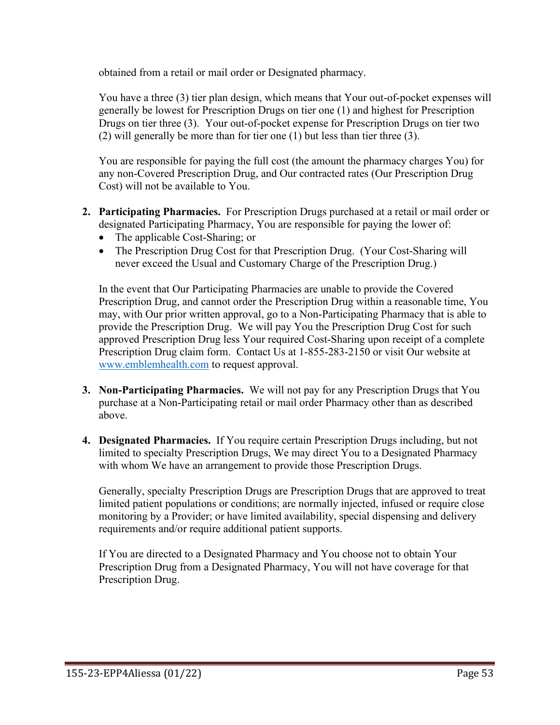obtained from a retail or mail order or Designated pharmacy.

You have a three (3) tier plan design, which means that Your out-of-pocket expenses will generally be lowest for Prescription Drugs on tier one (1) and highest for Prescription Drugs on tier three (3). Your out-of-pocket expense for Prescription Drugs on tier two (2) will generally be more than for tier one (1) but less than tier three (3).

You are responsible for paying the full cost (the amount the pharmacy charges You) for any non-Covered Prescription Drug, and Our contracted rates (Our Prescription Drug Cost) will not be available to You.

- **2. Participating Pharmacies.** For Prescription Drugs purchased at a retail or mail order or designated Participating Pharmacy, You are responsible for paying the lower of:
	- The applicable Cost-Sharing; or
	- The Prescription Drug Cost for that Prescription Drug. (Your Cost-Sharing will never exceed the Usual and Customary Charge of the Prescription Drug.)

In the event that Our Participating Pharmacies are unable to provide the Covered Prescription Drug, and cannot order the Prescription Drug within a reasonable time, You may, with Our prior written approval, go to a Non-Participating Pharmacy that is able to provide the Prescription Drug. We will pay You the Prescription Drug Cost for such approved Prescription Drug less Your required Cost-Sharing upon receipt of a complete Prescription Drug claim form. Contact Us at 1-855-283-2150 or visit Our website at [www.emblemhealth.com](http://www.emblemhealth.com/) to request approval.

- **3. Non-Participating Pharmacies.** We will not pay for any Prescription Drugs that You purchase at a Non-Participating retail or mail order Pharmacy other than as described above.
- **4. Designated Pharmacies.** If You require certain Prescription Drugs including, but not limited to specialty Prescription Drugs, We may direct You to a Designated Pharmacy with whom We have an arrangement to provide those Prescription Drugs.

Generally, specialty Prescription Drugs are Prescription Drugs that are approved to treat limited patient populations or conditions; are normally injected, infused or require close monitoring by a Provider; or have limited availability, special dispensing and delivery requirements and/or require additional patient supports.

If You are directed to a Designated Pharmacy and You choose not to obtain Your Prescription Drug from a Designated Pharmacy, You will not have coverage for that Prescription Drug.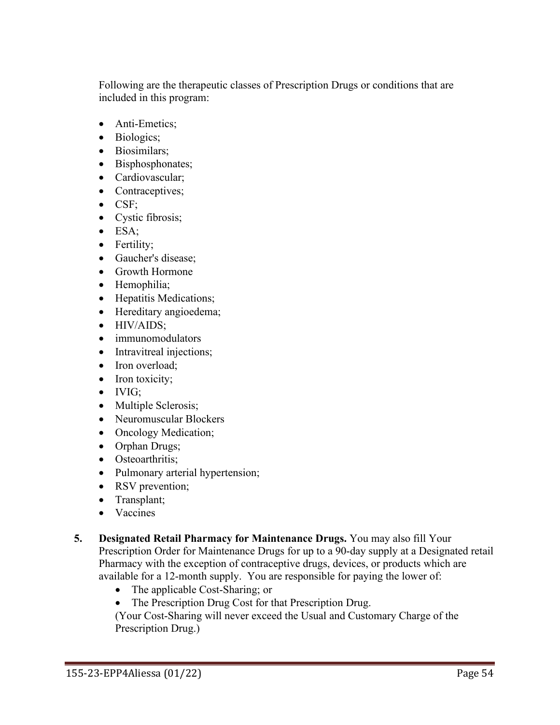Following are the therapeutic classes of Prescription Drugs or conditions that are included in this program:

- Anti-Emetics;
- Biologics;
- Biosimilars;
- Bisphosphonates;
- Cardiovascular;
- Contraceptives;
- CSF;
- Cystic fibrosis;
- ESA;
- Fertility;
- Gaucher's disease;
- Growth Hormone
- Hemophilia;
- Hepatitis Medications;
- Hereditary angioedema;
- HIV/AIDS;
- immunomodulators
- Intravitreal injections;
- Iron overload:
- Iron toxicity;
- IVIG;
- Multiple Sclerosis;
- Neuromuscular Blockers
- Oncology Medication;
- Orphan Drugs;
- Osteoarthritis:
- Pulmonary arterial hypertension;
- RSV prevention;
- Transplant;
- Vaccines
- **5. Designated Retail Pharmacy for Maintenance Drugs.** You may also fill Your Prescription Order for Maintenance Drugs for up to a 90-day supply at a Designated retail Pharmacy with the exception of contraceptive drugs, devices, or products which are available for a 12-month supply. You are responsible for paying the lower of:
	- The applicable Cost-Sharing; or
	- The Prescription Drug Cost for that Prescription Drug.

(Your Cost-Sharing will never exceed the Usual and Customary Charge of the Prescription Drug.)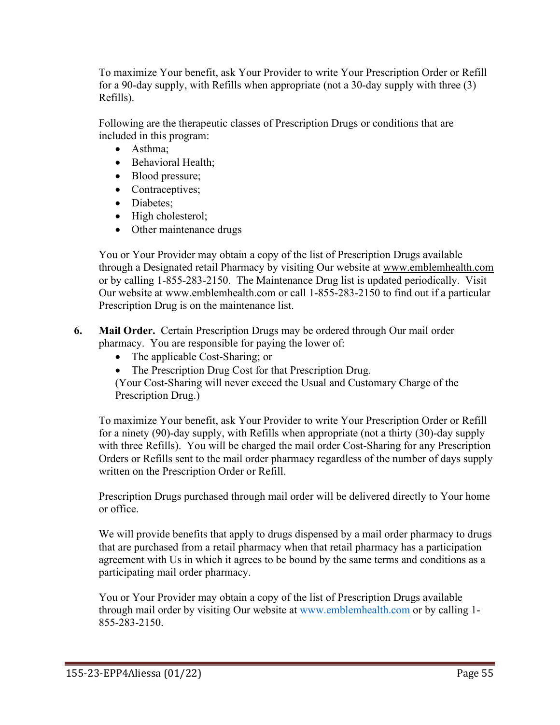To maximize Your benefit, ask Your Provider to write Your Prescription Order or Refill for a 90-day supply, with Refills when appropriate (not a 30-day supply with three (3) Refills).

Following are the therapeutic classes of Prescription Drugs or conditions that are included in this program:

- Asthma;
- Behavioral Health;
- Blood pressure;
- Contraceptives;
- Diabetes;
- High cholesterol;
- Other maintenance drugs

You or Your Provider may obtain a copy of the list of Prescription Drugs available through a Designated retail Pharmacy by visiting Our website at [www.emblemhealth.com](http://www.emblemhealth.com/) or by calling 1-855-283-2150. The Maintenance Drug list is updated periodically. Visit Our website at [www.emblemhealth.com](http://www.emblemhealth.com/) or call 1-855-283-2150 to find out if a particular Prescription Drug is on the maintenance list.

**6. Mail Order.** Certain Prescription Drugs may be ordered through Our mail order pharmacy. You are responsible for paying the lower of:

- The applicable Cost-Sharing; or
- The Prescription Drug Cost for that Prescription Drug.

(Your Cost-Sharing will never exceed the Usual and Customary Charge of the Prescription Drug.)

To maximize Your benefit, ask Your Provider to write Your Prescription Order or Refill for a ninety (90)-day supply, with Refills when appropriate (not a thirty (30)-day supply with three Refills). You will be charged the mail order Cost-Sharing for any Prescription Orders or Refills sent to the mail order pharmacy regardless of the number of days supply written on the Prescription Order or Refill.

Prescription Drugs purchased through mail order will be delivered directly to Your home or office.

We will provide benefits that apply to drugs dispensed by a mail order pharmacy to drugs that are purchased from a retail pharmacy when that retail pharmacy has a participation agreement with Us in which it agrees to be bound by the same terms and conditions as a participating mail order pharmacy.

You or Your Provider may obtain a copy of the list of Prescription Drugs available through mail order by visiting Our website at [www.emblemhealth.com](http://www.emblemhealth.com/) or by calling 1- 855-283-2150.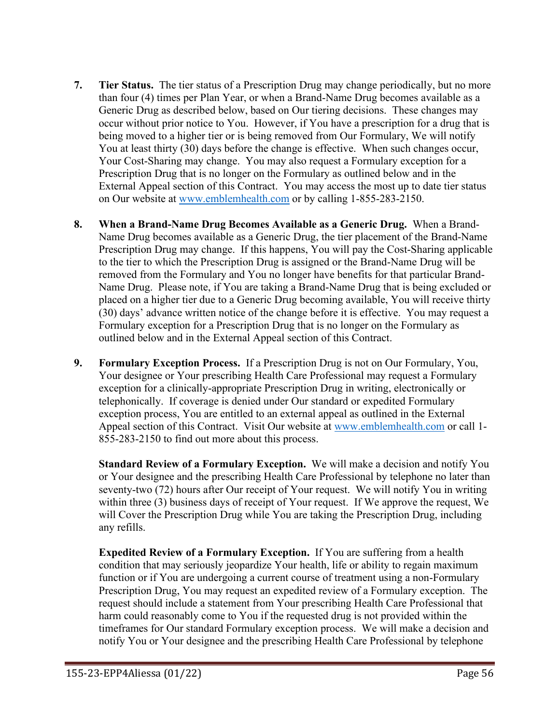- **7. Tier Status.** The tier status of a Prescription Drug may change periodically, but no more than four (4) times per Plan Year, or when a Brand-Name Drug becomes available as a Generic Drug as described below, based on Our tiering decisions. These changes may occur without prior notice to You. However, if You have a prescription for a drug that is being moved to a higher tier or is being removed from Our Formulary, We will notify You at least thirty (30) days before the change is effective. When such changes occur, Your Cost-Sharing may change. You may also request a Formulary exception for a Prescription Drug that is no longer on the Formulary as outlined below and in the External Appeal section of this Contract. You may access the most up to date tier status on Our website at [www.emblemhealth.com](http://www.emblemhealth.com/) or by calling 1-855-283-2150.
- **8. When a Brand-Name Drug Becomes Available as a Generic Drug.** When a Brand-Name Drug becomes available as a Generic Drug, the tier placement of the Brand-Name Prescription Drug may change. If this happens, You will pay the Cost-Sharing applicable to the tier to which the Prescription Drug is assigned or the Brand-Name Drug will be removed from the Formulary and You no longer have benefits for that particular Brand-Name Drug. Please note, if You are taking a Brand-Name Drug that is being excluded or placed on a higher tier due to a Generic Drug becoming available, You will receive thirty (30) days' advance written notice of the change before it is effective. You may request a Formulary exception for a Prescription Drug that is no longer on the Formulary as outlined below and in the External Appeal section of this Contract.
- **9. Formulary Exception Process.** If a Prescription Drug is not on Our Formulary, You, Your designee or Your prescribing Health Care Professional may request a Formulary exception for a clinically-appropriate Prescription Drug in writing, electronically or telephonically. If coverage is denied under Our standard or expedited Formulary exception process, You are entitled to an external appeal as outlined in the External Appeal section of this Contract. Visit Our website at [www.emblemhealth.com](http://www.emblemhealth.com/) or call 1-855-283-2150 to find out more about this process.

**Standard Review of a Formulary Exception.** We will make a decision and notify You or Your designee and the prescribing Health Care Professional by telephone no later than seventy-two (72) hours after Our receipt of Your request. We will notify You in writing within three (3) business days of receipt of Your request. If We approve the request, We will Cover the Prescription Drug while You are taking the Prescription Drug, including any refills.

**Expedited Review of a Formulary Exception.** If You are suffering from a health condition that may seriously jeopardize Your health, life or ability to regain maximum function or if You are undergoing a current course of treatment using a non-Formulary Prescription Drug, You may request an expedited review of a Formulary exception. The request should include a statement from Your prescribing Health Care Professional that harm could reasonably come to You if the requested drug is not provided within the timeframes for Our standard Formulary exception process. We will make a decision and notify You or Your designee and the prescribing Health Care Professional by telephone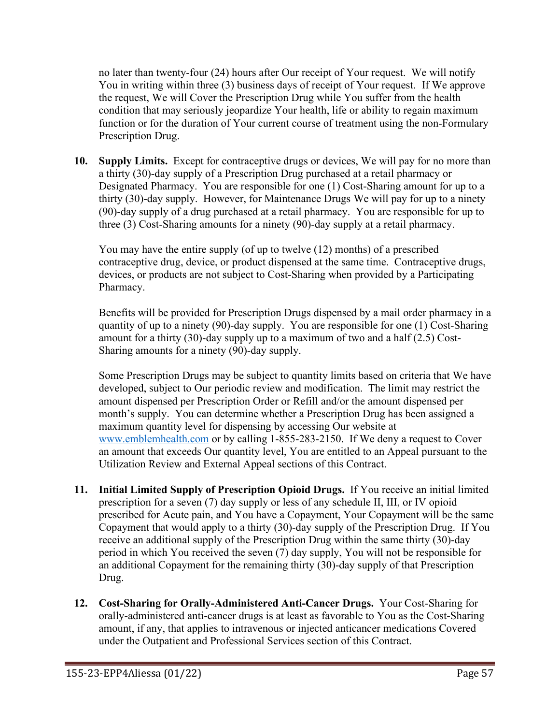no later than twenty-four (24) hours after Our receipt of Your request. We will notify You in writing within three (3) business days of receipt of Your request. If We approve the request, We will Cover the Prescription Drug while You suffer from the health condition that may seriously jeopardize Your health, life or ability to regain maximum function or for the duration of Your current course of treatment using the non-Formulary Prescription Drug.

**10. Supply Limits.** Except for contraceptive drugs or devices, We will pay for no more than a thirty (30)-day supply of a Prescription Drug purchased at a retail pharmacy or Designated Pharmacy. You are responsible for one (1) Cost-Sharing amount for up to a thirty (30)-day supply. However, for Maintenance Drugs We will pay for up to a ninety (90)-day supply of a drug purchased at a retail pharmacy. You are responsible for up to three (3) Cost-Sharing amounts for a ninety (90)-day supply at a retail pharmacy.

You may have the entire supply (of up to twelve (12) months) of a prescribed contraceptive drug, device, or product dispensed at the same time. Contraceptive drugs, devices, or products are not subject to Cost-Sharing when provided by a Participating Pharmacy.

Benefits will be provided for Prescription Drugs dispensed by a mail order pharmacy in a quantity of up to a ninety (90)-day supply. You are responsible for one (1) Cost-Sharing amount for a thirty (30)-day supply up to a maximum of two and a half (2.5) Cost-Sharing amounts for a ninety (90)-day supply.

Some Prescription Drugs may be subject to quantity limits based on criteria that We have developed, subject to Our periodic review and modification. The limit may restrict the amount dispensed per Prescription Order or Refill and/or the amount dispensed per month's supply. You can determine whether a Prescription Drug has been assigned a maximum quantity level for dispensing by accessing Our website at [www.emblemhealth.com](http://www.emblemhealth.com/) or by calling 1-855-283-2150. If We deny a request to Cover an amount that exceeds Our quantity level, You are entitled to an Appeal pursuant to the Utilization Review and External Appeal sections of this Contract.

- **11. Initial Limited Supply of Prescription Opioid Drugs.** If You receive an initial limited prescription for a seven (7) day supply or less of any schedule II, III, or IV opioid prescribed for Acute pain, and You have a Copayment, Your Copayment will be the same Copayment that would apply to a thirty (30)-day supply of the Prescription Drug. If You receive an additional supply of the Prescription Drug within the same thirty (30)-day period in which You received the seven (7) day supply, You will not be responsible for an additional Copayment for the remaining thirty (30)-day supply of that Prescription Drug.
- **12. Cost-Sharing for Orally-Administered Anti-Cancer Drugs.** Your Cost-Sharing for orally-administered anti-cancer drugs is at least as favorable to You as the Cost-Sharing amount, if any, that applies to intravenous or injected anticancer medications Covered under the Outpatient and Professional Services section of this Contract.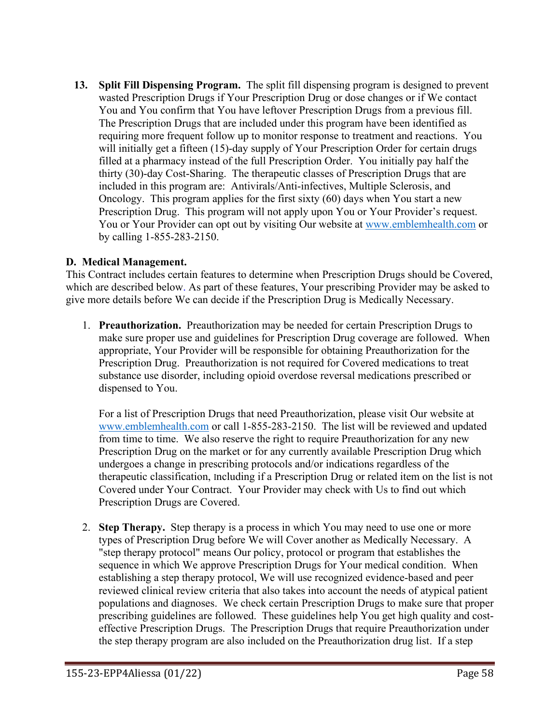**13. Split Fill Dispensing Program.** The split fill dispensing program is designed to prevent wasted Prescription Drugs if Your Prescription Drug or dose changes or if We contact You and You confirm that You have leftover Prescription Drugs from a previous fill. The Prescription Drugs that are included under this program have been identified as requiring more frequent follow up to monitor response to treatment and reactions. You will initially get a fifteen (15)-day supply of Your Prescription Order for certain drugs filled at a pharmacy instead of the full Prescription Order. You initially pay half the thirty (30)-day Cost-Sharing. The therapeutic classes of Prescription Drugs that are included in this program are: Antivirals/Anti-infectives, Multiple Sclerosis, and Oncology. This program applies for the first sixty (60) days when You start a new Prescription Drug. This program will not apply upon You or Your Provider's request. You or Your Provider can opt out by visiting Our website at [www.emblemhealth.com](http://www.emblemhealth.com/) or by calling 1-855-283-2150.

### **D. Medical Management.**

This Contract includes certain features to determine when Prescription Drugs should be Covered, which are described below. As part of these features, Your prescribing Provider may be asked to give more details before We can decide if the Prescription Drug is Medically Necessary.

1. **Preauthorization.** Preauthorization may be needed for certain Prescription Drugs to make sure proper use and guidelines for Prescription Drug coverage are followed. When appropriate, Your Provider will be responsible for obtaining Preauthorization for the Prescription Drug. Preauthorization is not required for Covered medications to treat substance use disorder, including opioid overdose reversal medications prescribed or dispensed to You.

For a list of Prescription Drugs that need Preauthorization, please visit Our website at [www.emblemhealth.com](http://www.emblemhealth.com/) or call 1-855-283-2150. The list will be reviewed and updated from time to time. We also reserve the right to require Preauthorization for any new Prescription Drug on the market or for any currently available Prescription Drug which undergoes a change in prescribing protocols and/or indications regardless of the therapeutic classification, Including if a Prescription Drug or related item on the list is not Covered under Your Contract. Your Provider may check with Us to find out which Prescription Drugs are Covered.

2. **Step Therapy.** Step therapy is a process in which You may need to use one or more types of Prescription Drug before We will Cover another as Medically Necessary. A "step therapy protocol" means Our policy, protocol or program that establishes the sequence in which We approve Prescription Drugs for Your medical condition. When establishing a step therapy protocol, We will use recognized evidence-based and peer reviewed clinical review criteria that also takes into account the needs of atypical patient populations and diagnoses. We check certain Prescription Drugs to make sure that proper prescribing guidelines are followed. These guidelines help You get high quality and costeffective Prescription Drugs. The Prescription Drugs that require Preauthorization under the step therapy program are also included on the Preauthorization drug list. If a step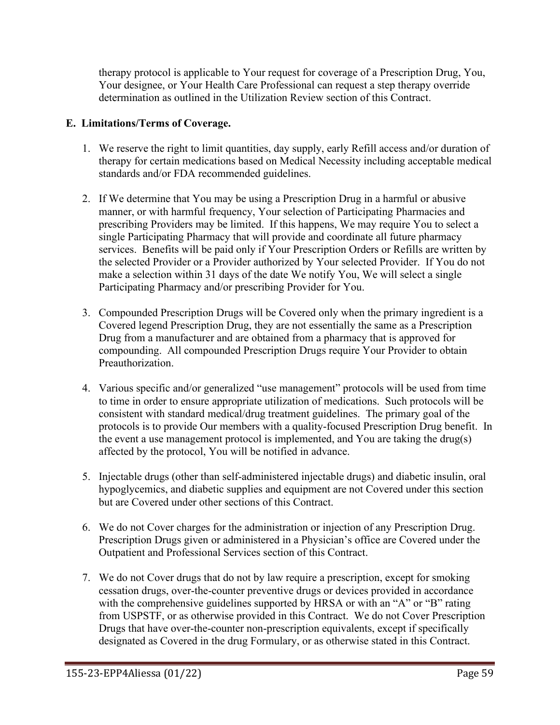therapy protocol is applicable to Your request for coverage of a Prescription Drug, You, Your designee, or Your Health Care Professional can request a step therapy override determination as outlined in the Utilization Review section of this Contract.

### **E. Limitations/Terms of Coverage.**

- 1. We reserve the right to limit quantities, day supply, early Refill access and/or duration of therapy for certain medications based on Medical Necessity including acceptable medical standards and/or FDA recommended guidelines.
- 2. If We determine that You may be using a Prescription Drug in a harmful or abusive manner, or with harmful frequency, Your selection of Participating Pharmacies and prescribing Providers may be limited. If this happens, We may require You to select a single Participating Pharmacy that will provide and coordinate all future pharmacy services. Benefits will be paid only if Your Prescription Orders or Refills are written by the selected Provider or a Provider authorized by Your selected Provider. If You do not make a selection within 31 days of the date We notify You, We will select a single Participating Pharmacy and/or prescribing Provider for You.
- 3. Compounded Prescription Drugs will be Covered only when the primary ingredient is a Covered legend Prescription Drug, they are not essentially the same as a Prescription Drug from a manufacturer and are obtained from a pharmacy that is approved for compounding. All compounded Prescription Drugs require Your Provider to obtain Preauthorization.
- 4. Various specific and/or generalized "use management" protocols will be used from time to time in order to ensure appropriate utilization of medications. Such protocols will be consistent with standard medical/drug treatment guidelines. The primary goal of the protocols is to provide Our members with a quality-focused Prescription Drug benefit. In the event a use management protocol is implemented, and You are taking the drug(s) affected by the protocol, You will be notified in advance.
- 5. Injectable drugs (other than self-administered injectable drugs) and diabetic insulin, oral hypoglycemics, and diabetic supplies and equipment are not Covered under this section but are Covered under other sections of this Contract.
- 6. We do not Cover charges for the administration or injection of any Prescription Drug. Prescription Drugs given or administered in a Physician's office are Covered under the Outpatient and Professional Services section of this Contract.
- 7. We do not Cover drugs that do not by law require a prescription, except for smoking cessation drugs, over-the-counter preventive drugs or devices provided in accordance with the comprehensive guidelines supported by HRSA or with an "A" or "B" rating from USPSTF, or as otherwise provided in this Contract. We do not Cover Prescription Drugs that have over-the-counter non-prescription equivalents, except if specifically designated as Covered in the drug Formulary, or as otherwise stated in this Contract.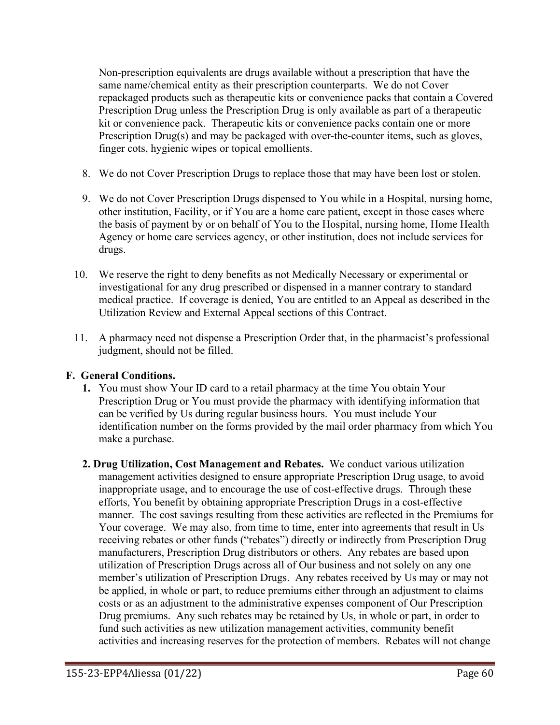Non-prescription equivalents are drugs available without a prescription that have the same name/chemical entity as their prescription counterparts. We do not Cover repackaged products such as therapeutic kits or convenience packs that contain a Covered Prescription Drug unless the Prescription Drug is only available as part of a therapeutic kit or convenience pack. Therapeutic kits or convenience packs contain one or more Prescription Drug(s) and may be packaged with over-the-counter items, such as gloves, finger cots, hygienic wipes or topical emollients.

- 8. We do not Cover Prescription Drugs to replace those that may have been lost or stolen.
- 9. We do not Cover Prescription Drugs dispensed to You while in a Hospital, nursing home, other institution, Facility, or if You are a home care patient, except in those cases where the basis of payment by or on behalf of You to the Hospital, nursing home, Home Health Agency or home care services agency, or other institution, does not include services for drugs.
- 10. We reserve the right to deny benefits as not Medically Necessary or experimental or investigational for any drug prescribed or dispensed in a manner contrary to standard medical practice. If coverage is denied, You are entitled to an Appeal as described in the Utilization Review and External Appeal sections of this Contract.
- 11. A pharmacy need not dispense a Prescription Order that, in the pharmacist's professional judgment, should not be filled.

#### **F. General Conditions.**

- **1.** You must show Your ID card to a retail pharmacy at the time You obtain Your Prescription Drug or You must provide the pharmacy with identifying information that can be verified by Us during regular business hours. You must include Your identification number on the forms provided by the mail order pharmacy from which You make a purchase.
- **2. Drug Utilization, Cost Management and Rebates.** We conduct various utilization management activities designed to ensure appropriate Prescription Drug usage, to avoid inappropriate usage, and to encourage the use of cost-effective drugs. Through these efforts, You benefit by obtaining appropriate Prescription Drugs in a cost-effective manner. The cost savings resulting from these activities are reflected in the Premiums for Your coverage. We may also, from time to time, enter into agreements that result in Us receiving rebates or other funds ("rebates") directly or indirectly from Prescription Drug manufacturers, Prescription Drug distributors or others. Any rebates are based upon utilization of Prescription Drugs across all of Our business and not solely on any one member's utilization of Prescription Drugs. Any rebates received by Us may or may not be applied, in whole or part, to reduce premiums either through an adjustment to claims costs or as an adjustment to the administrative expenses component of Our Prescription Drug premiums. Any such rebates may be retained by Us, in whole or part, in order to fund such activities as new utilization management activities, community benefit activities and increasing reserves for the protection of members. Rebates will not change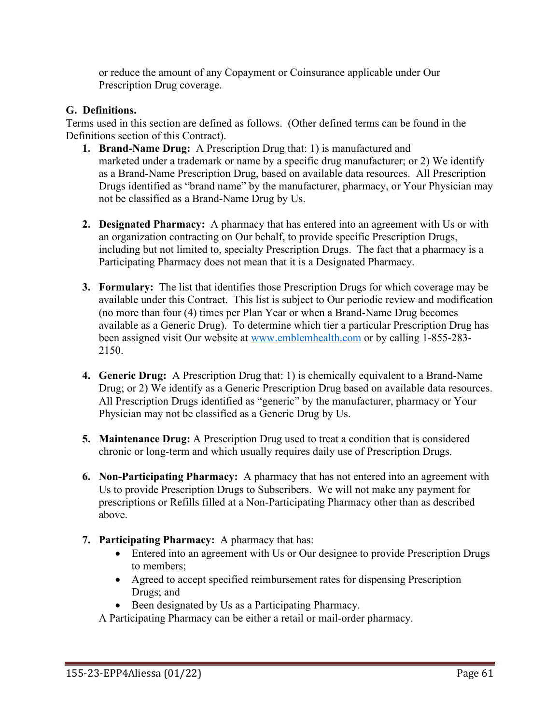or reduce the amount of any Copayment or Coinsurance applicable under Our Prescription Drug coverage.

# **G. Definitions.**

Terms used in this section are defined as follows. (Other defined terms can be found in the Definitions section of this Contract).

- **1. Brand-Name Drug:** A Prescription Drug that: 1) is manufactured and marketed under a trademark or name by a specific drug manufacturer; or 2) We identify as a Brand-Name Prescription Drug, based on available data resources. All Prescription Drugs identified as "brand name" by the manufacturer, pharmacy, or Your Physician may not be classified as a Brand-Name Drug by Us.
- **2. Designated Pharmacy:** A pharmacy that has entered into an agreement with Us or with an organization contracting on Our behalf, to provide specific Prescription Drugs, including but not limited to, specialty Prescription Drugs. The fact that a pharmacy is a Participating Pharmacy does not mean that it is a Designated Pharmacy.
- **3. Formulary:** The list that identifies those Prescription Drugs for which coverage may be available under this Contract. This list is subject to Our periodic review and modification (no more than four (4) times per Plan Year or when a Brand-Name Drug becomes available as a Generic Drug). To determine which tier a particular Prescription Drug has been assigned visit Our website at [www.emblemhealth.com](http://www.emblemhealth.com/) or by calling 1-855-283- 2150.
- **4. Generic Drug:** A Prescription Drug that: 1) is chemically equivalent to a Brand-Name Drug; or 2) We identify as a Generic Prescription Drug based on available data resources. All Prescription Drugs identified as "generic" by the manufacturer, pharmacy or Your Physician may not be classified as a Generic Drug by Us.
- **5. Maintenance Drug:** A Prescription Drug used to treat a condition that is considered chronic or long-term and which usually requires daily use of Prescription Drugs.
- **6. Non-Participating Pharmacy:** A pharmacy that has not entered into an agreement with Us to provide Prescription Drugs to Subscribers. We will not make any payment for prescriptions or Refills filled at a Non-Participating Pharmacy other than as described above.
- **7. Participating Pharmacy:** A pharmacy that has:
	- Entered into an agreement with Us or Our designee to provide Prescription Drugs to members;
	- Agreed to accept specified reimbursement rates for dispensing Prescription Drugs; and
	- Been designated by Us as a Participating Pharmacy.

A Participating Pharmacy can be either a retail or mail-order pharmacy.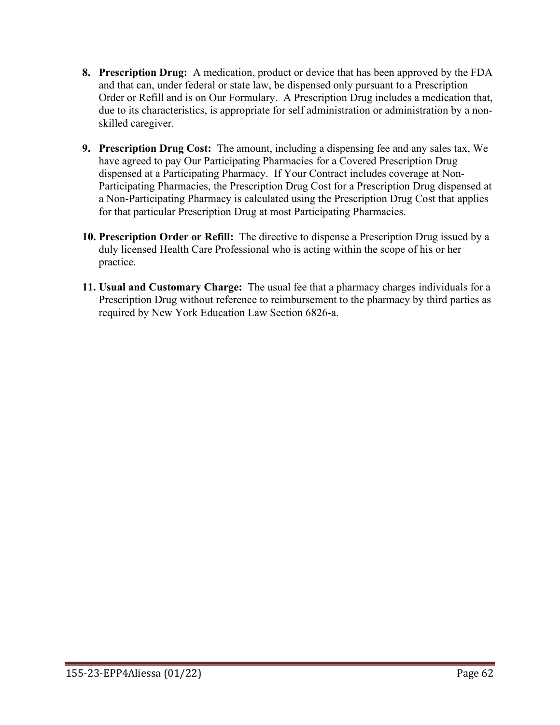- **8. Prescription Drug:** A medication, product or device that has been approved by the FDA and that can, under federal or state law, be dispensed only pursuant to a Prescription Order or Refill and is on Our Formulary. A Prescription Drug includes a medication that, due to its characteristics, is appropriate for self administration or administration by a nonskilled caregiver.
- **9. Prescription Drug Cost:** The amount, including a dispensing fee and any sales tax, We have agreed to pay Our Participating Pharmacies for a Covered Prescription Drug dispensed at a Participating Pharmacy. If Your Contract includes coverage at Non-Participating Pharmacies, the Prescription Drug Cost for a Prescription Drug dispensed at a Non-Participating Pharmacy is calculated using the Prescription Drug Cost that applies for that particular Prescription Drug at most Participating Pharmacies.
- **10. Prescription Order or Refill:** The directive to dispense a Prescription Drug issued by a duly licensed Health Care Professional who is acting within the scope of his or her practice.
- **11. Usual and Customary Charge:** The usual fee that a pharmacy charges individuals for a Prescription Drug without reference to reimbursement to the pharmacy by third parties as required by New York Education Law Section 6826-a.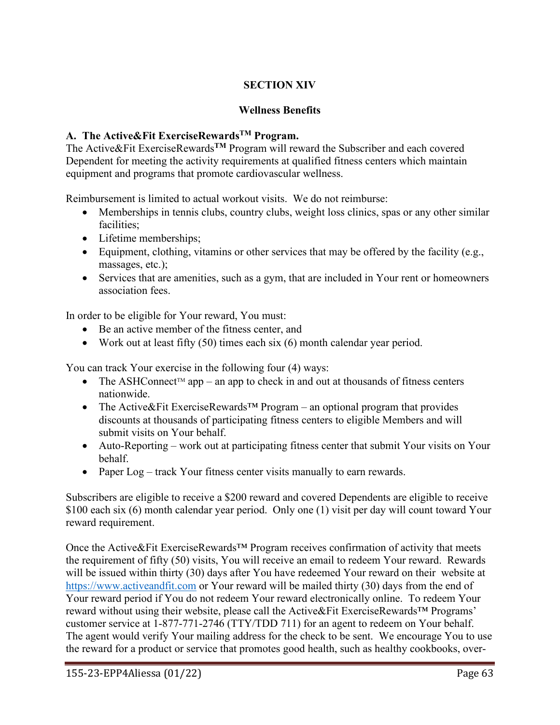# **SECTION XIV**

### **Wellness Benefits**

# **A. The Active&Fit ExerciseRewardsTM Program.**

The Active&Fit ExerciseRewards**TM** Program will reward the Subscriber and each covered Dependent for meeting the activity requirements at qualified fitness centers which maintain equipment and programs that promote cardiovascular wellness.

Reimbursement is limited to actual workout visits. We do not reimburse:

- Memberships in tennis clubs, country clubs, weight loss clinics, spas or any other similar facilities;
- Lifetime memberships;
- Equipment, clothing, vitamins or other services that may be offered by the facility (e.g., massages, etc.);
- Services that are amenities, such as a gym, that are included in Your rent or homeowners association fees.

In order to be eligible for Your reward, You must:

- Be an active member of the fitness center, and
- Work out at least fifty  $(50)$  times each six  $(6)$  month calendar year period.

You can track Your exercise in the following four (4) ways:

- The ASHConnect<sup>TM</sup> app an app to check in and out at thousands of fitness centers nationwide.
- The Active&Fit ExerciseRewards<sup>™</sup> Program an optional program that provides discounts at thousands of participating fitness centers to eligible Members and will submit visits on Your behalf.
- Auto-Reporting work out at participating fitness center that submit Your visits on Your behalf.
- Paper Log track Your fitness center visits manually to earn rewards.

Subscribers are eligible to receive a \$200 reward and covered Dependents are eligible to receive \$100 each six (6) month calendar year period. Only one (1) visit per day will count toward Your reward requirement.

Once the Active&Fit ExerciseRewards™ Program receives confirmation of activity that meets the requirement of fifty (50) visits, You will receive an email to redeem Your reward. Rewards will be issued within thirty (30) days after You have redeemed Your reward on their website at [https://www.activeandfit.com](https://www.exerciserewards.com/) or Your reward will be mailed thirty (30) days from the end of Your reward period if You do not redeem Your reward electronically online. To redeem Your reward without using their website, please call the Active&Fit ExerciseRewards™ Programs' customer service at 1-877-771-2746 (TTY/TDD 711) for an agent to redeem on Your behalf. The agent would verify Your mailing address for the check to be sent. We encourage You to use the reward for a product or service that promotes good health, such as healthy cookbooks, over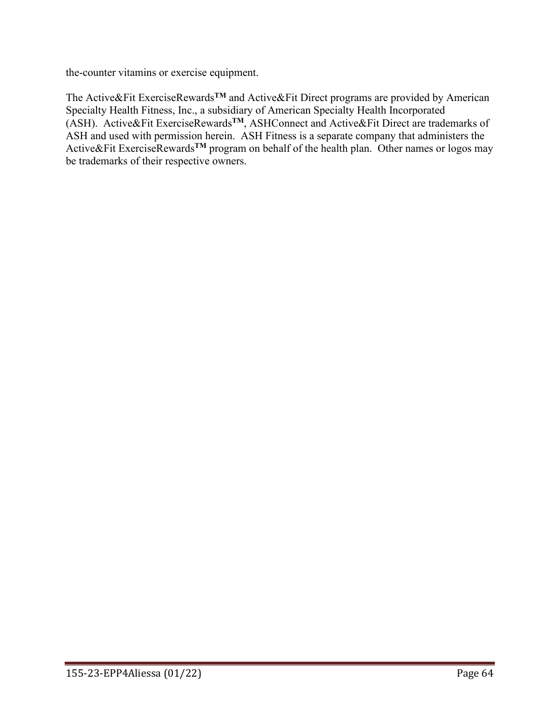the-counter vitamins or exercise equipment.

The Active&Fit ExerciseRewards**TM** and Active&Fit Direct programs are provided by American Specialty Health Fitness, Inc., a subsidiary of American Specialty Health Incorporated (ASH). Active&Fit ExerciseRewards**TM**, ASHConnect and Active&Fit Direct are trademarks of ASH and used with permission herein. ASH Fitness is a separate company that administers the Active&Fit ExerciseRewards**TM** program on behalf of the health plan. Other names or logos may be trademarks of their respective owners.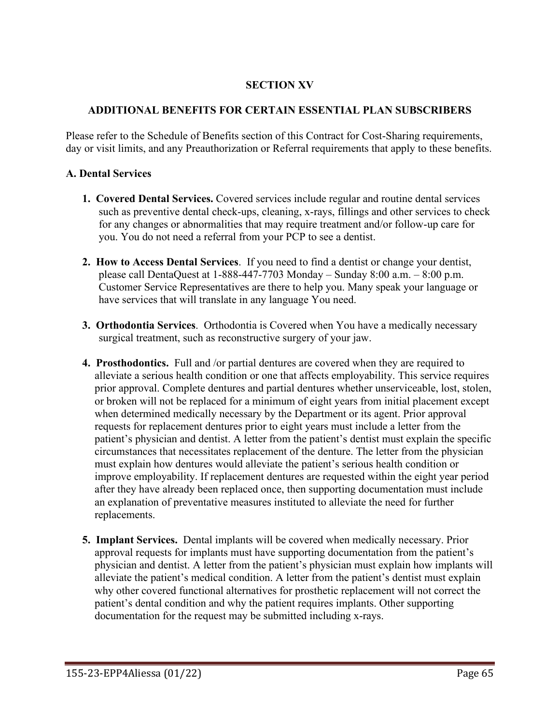### **SECTION XV**

### **ADDITIONAL BENEFITS FOR CERTAIN ESSENTIAL PLAN SUBSCRIBERS**

Please refer to the Schedule of Benefits section of this Contract for Cost-Sharing requirements, day or visit limits, and any Preauthorization or Referral requirements that apply to these benefits.

#### **A. Dental Services**

- **1. Covered Dental Services.** Covered services include regular and routine dental services such as preventive dental check-ups, cleaning, x-rays, fillings and other services to check for any changes or abnormalities that may require treatment and/or follow-up care for you. You do not need a referral from your PCP to see a dentist.
- **2. How to Access Dental Services**. If you need to find a dentist or change your dentist, please call DentaQuest at 1-888-447-7703 Monday – Sunday 8:00 a.m. – 8:00 p.m. Customer Service Representatives are there to help you. Many speak your language or have services that will translate in any language You need.
- **3. Orthodontia Services**. Orthodontia is Covered when You have a medically necessary surgical treatment, such as reconstructive surgery of your jaw.
- **4. Prosthodontics.** Full and /or partial dentures are covered when they are required to alleviate a serious health condition or one that affects employability. This service requires prior approval. Complete dentures and partial dentures whether unserviceable, lost, stolen, or broken will not be replaced for a minimum of eight years from initial placement except when determined medically necessary by the Department or its agent. Prior approval requests for replacement dentures prior to eight years must include a letter from the patient's physician and dentist. A letter from the patient's dentist must explain the specific circumstances that necessitates replacement of the denture. The letter from the physician must explain how dentures would alleviate the patient's serious health condition or improve employability. If replacement dentures are requested within the eight year period after they have already been replaced once, then supporting documentation must include an explanation of preventative measures instituted to alleviate the need for further replacements.
- **5. Implant Services.** Dental implants will be covered when medically necessary. Prior approval requests for implants must have supporting documentation from the patient's physician and dentist. A letter from the patient's physician must explain how implants will alleviate the patient's medical condition. A letter from the patient's dentist must explain why other covered functional alternatives for prosthetic replacement will not correct the patient's dental condition and why the patient requires implants. Other supporting documentation for the request may be submitted including x-rays.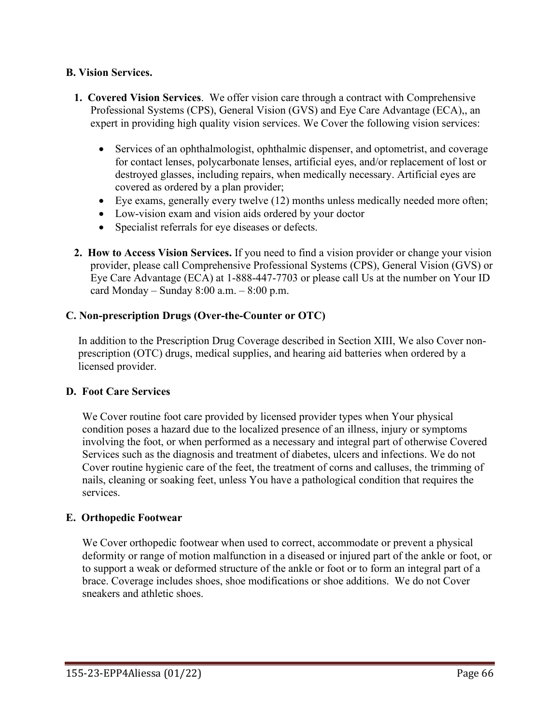#### **B. Vision Services.**

- **1. Covered Vision Services**. We offer vision care through a contract with Comprehensive Professional Systems (CPS), General Vision (GVS) and Eye Care Advantage (ECA),, an expert in providing high quality vision services. We Cover the following vision services:
	- Services of an ophthalmologist, ophthalmic dispenser, and optometrist, and coverage for contact lenses, polycarbonate lenses, artificial eyes, and/or replacement of lost or destroyed glasses, including repairs, when medically necessary. Artificial eyes are covered as ordered by a plan provider;
	- Eye exams, generally every twelve (12) months unless medically needed more often;
	- Low-vision exam and vision aids ordered by your doctor
	- Specialist referrals for eye diseases or defects.
- **2. How to Access Vision Services.** If you need to find a vision provider or change your vision provider, please call Comprehensive Professional Systems (CPS), General Vision (GVS) or Eye Care Advantage (ECA) at 1-888-447-7703 or please call Us at the number on Your ID card Monday – Sunday  $8:00$  a.m. –  $8:00$  p.m.

# **C. Non-prescription Drugs (Over-the-Counter or OTC)**

In addition to the Prescription Drug Coverage described in Section XIII, We also Cover nonprescription (OTC) drugs, medical supplies, and hearing aid batteries when ordered by a licensed provider.

# **D. Foot Care Services**

We Cover routine foot care provided by licensed provider types when Your physical condition poses a hazard due to the localized presence of an illness, injury or symptoms involving the foot, or when performed as a necessary and integral part of otherwise Covered Services such as the diagnosis and treatment of diabetes, ulcers and infections. We do not Cover routine hygienic care of the feet, the treatment of corns and calluses, the trimming of nails, cleaning or soaking feet, unless You have a pathological condition that requires the services.

#### **E. Orthopedic Footwear**

We Cover orthopedic footwear when used to correct, accommodate or prevent a physical deformity or range of motion malfunction in a diseased or injured part of the ankle or foot, or to support a weak or deformed structure of the ankle or foot or to form an integral part of a brace. Coverage includes shoes, shoe modifications or shoe additions. We do not Cover sneakers and athletic shoes.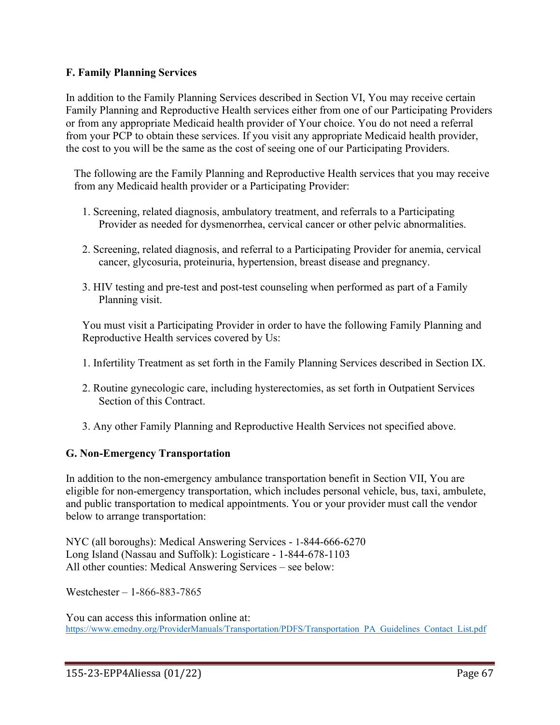#### **F. Family Planning Services**

In addition to the Family Planning Services described in Section VI, You may receive certain Family Planning and Reproductive Health services either from one of our Participating Providers or from any appropriate Medicaid health provider of Your choice. You do not need a referral from your PCP to obtain these services. If you visit any appropriate Medicaid health provider, the cost to you will be the same as the cost of seeing one of our Participating Providers.

The following are the Family Planning and Reproductive Health services that you may receive from any Medicaid health provider or a Participating Provider:

- 1. Screening, related diagnosis, ambulatory treatment, and referrals to a Participating Provider as needed for dysmenorrhea, cervical cancer or other pelvic abnormalities.
- 2. Screening, related diagnosis, and referral to a Participating Provider for anemia, cervical cancer, glycosuria, proteinuria, hypertension, breast disease and pregnancy.
- 3. HIV testing and pre-test and post-test counseling when performed as part of a Family Planning visit.

You must visit a Participating Provider in order to have the following Family Planning and Reproductive Health services covered by Us:

- 1. Infertility Treatment as set forth in the Family Planning Services described in Section IX.
- 2. Routine gynecologic care, including hysterectomies, as set forth in Outpatient Services Section of this Contract.
- 3. Any other Family Planning and Reproductive Health Services not specified above.

# **G. Non-Emergency Transportation**

In addition to the non-emergency ambulance transportation benefit in Section VII, You are eligible for non-emergency transportation, which includes personal vehicle, bus, taxi, ambulete, and public transportation to medical appointments. You or your provider must call the vendor below to arrange transportation:

NYC (all boroughs): Medical Answering Services - 1-844-666-6270 Long Island (Nassau and Suffolk): Logisticare - 1-844-678-1103 All other counties: Medical Answering Services – see below:

Westchester – 1-866-883-7865

You can access this information online at: [https://www.emedny.org/ProviderManuals/Transportation/PDFS/Transportation\\_PA\\_Guidelines\\_Contact\\_List.pdf](https://www.emedny.org/ProviderManuals/Transportation/PDFS/Transportation_PA_Guidelines_Contact_List.pdf)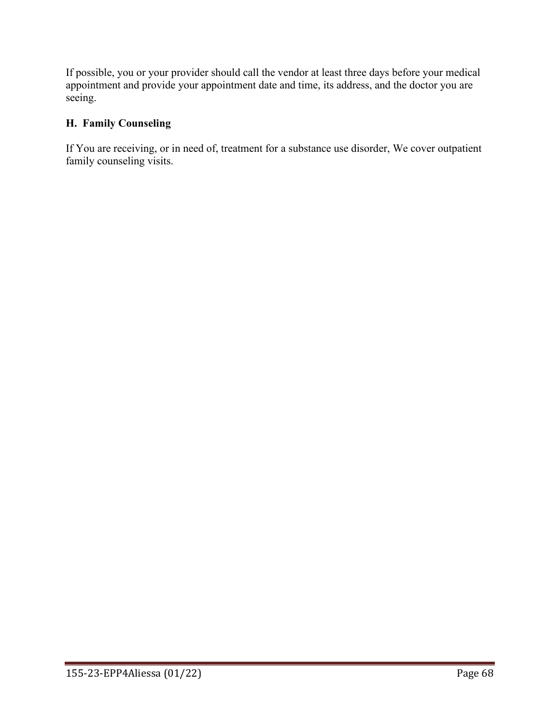If possible, you or your provider should call the vendor at least three days before your medical appointment and provide your appointment date and time, its address, and the doctor you are seeing.

# **H. Family Counseling**

If You are receiving, or in need of, treatment for a substance use disorder, We cover outpatient family counseling visits.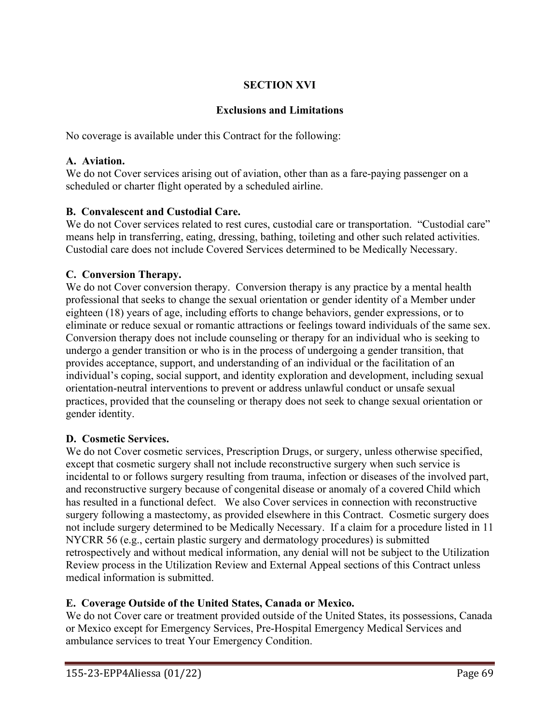# **SECTION XVI**

# **Exclusions and Limitations**

No coverage is available under this Contract for the following:

### **A. Aviation.**

We do not Cover services arising out of aviation, other than as a fare-paying passenger on a scheduled or charter flight operated by a scheduled airline.

### **B. Convalescent and Custodial Care.**

We do not Cover services related to rest cures, custodial care or transportation. "Custodial care" means help in transferring, eating, dressing, bathing, toileting and other such related activities. Custodial care does not include Covered Services determined to be Medically Necessary.

# **C. Conversion Therapy.**

We do not Cover conversion therapy. Conversion therapy is any practice by a mental health professional that seeks to change the sexual orientation or gender identity of a Member under eighteen (18) years of age, including efforts to change behaviors, gender expressions, or to eliminate or reduce sexual or romantic attractions or feelings toward individuals of the same sex. Conversion therapy does not include counseling or therapy for an individual who is seeking to undergo a gender transition or who is in the process of undergoing a gender transition, that provides acceptance, support, and understanding of an individual or the facilitation of an individual's coping, social support, and identity exploration and development, including sexual orientation-neutral interventions to prevent or address unlawful conduct or unsafe sexual practices, provided that the counseling or therapy does not seek to change sexual orientation or gender identity.

#### **D. Cosmetic Services.**

We do not Cover cosmetic services, Prescription Drugs, or surgery, unless otherwise specified, except that cosmetic surgery shall not include reconstructive surgery when such service is incidental to or follows surgery resulting from trauma, infection or diseases of the involved part, and reconstructive surgery because of congenital disease or anomaly of a covered Child which has resulted in a functional defect. We also Cover services in connection with reconstructive surgery following a mastectomy, as provided elsewhere in this Contract. Cosmetic surgery does not include surgery determined to be Medically Necessary. If a claim for a procedure listed in 11 NYCRR 56 (e.g., certain plastic surgery and dermatology procedures) is submitted retrospectively and without medical information, any denial will not be subject to the Utilization Review process in the Utilization Review and External Appeal sections of this Contract unless medical information is submitted.

# **E. Coverage Outside of the United States, Canada or Mexico.**

We do not Cover care or treatment provided outside of the United States, its possessions, Canada or Mexico except for Emergency Services, Pre-Hospital Emergency Medical Services and ambulance services to treat Your Emergency Condition.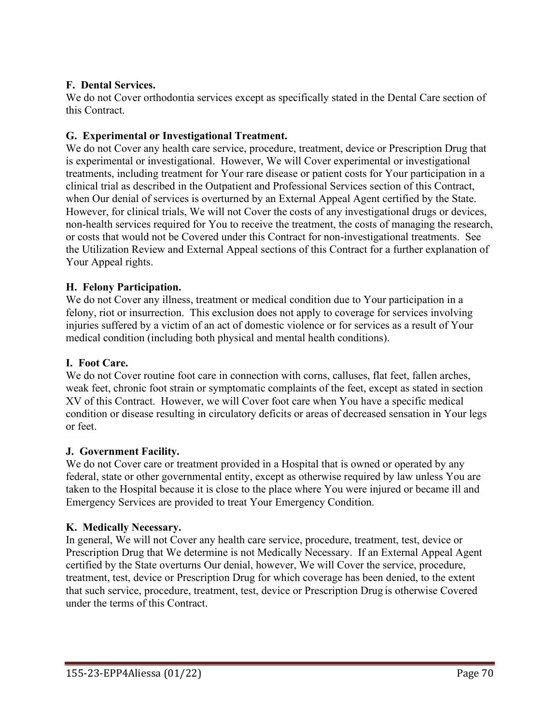### **F. Dental Services.**

We do not Cover orthodontia services except as specifically stated in the Dental Care section of this Contract.

### **G. Experimental or Investigational Treatment.**

We do not Cover any health care service, procedure, treatment, device or Prescription Drug that is experimental or investigational. However, We will Cover experimental or investigational treatments, including treatment for Your rare disease or patient costs for Your participation in a clinical trial as described in the Outpatient and Professional Services section of this Contract, when Our denial of services is overturned by an External Appeal Agent certified by the State. However, for clinical trials, We will not Cover the costs of any investigational drugs or devices, non-health services required for You to receive the treatment, the costs of managing the research, or costs that would not be Covered under this Contract for non-investigational treatments. See the Utilization Review and External Appeal sections of this Contract for a further explanation of Your Appeal rights.

### **H. Felony Participation.**

We do not Cover any illness, treatment or medical condition due to Your participation in a felony, riot or insurrection. This exclusion does not apply to coverage for services involving injuries suffered by a victim of an act of domestic violence or for services as a result of Your medical condition (including both physical and mental health conditions).

### **I. Foot Care.**

We do not Cover routine foot care in connection with corns, calluses, flat feet, fallen arches, weak feet, chronic foot strain or symptomatic complaints of the feet, except as stated in section XV of this Contract. However, we will Cover foot care when You have a specific medical condition or disease resulting in circulatory deficits or areas of decreased sensation in Your legs or feet.

### **J. Government Facility.**

We do not Cover care or treatment provided in a Hospital that is owned or operated by any federal, state or other governmental entity, except as otherwise required by law unless You are taken to the Hospital because it is close to the place where You were injured or became ill and Emergency Services are provided to treat Your Emergency Condition.

### **K. Medically Necessary.**

In general, We will not Cover any health care service, procedure, treatment, test, device or Prescription Drug that We determine is not Medically Necessary. If an External Appeal Agent certified by the State overturns Our denial, however, We will Cover the service, procedure, treatment, test, device or Prescription Drug for which coverage has been denied, to the extent that such service, procedure, treatment, test, device or Prescription Drug is otherwise Covered under the terms of this Contract.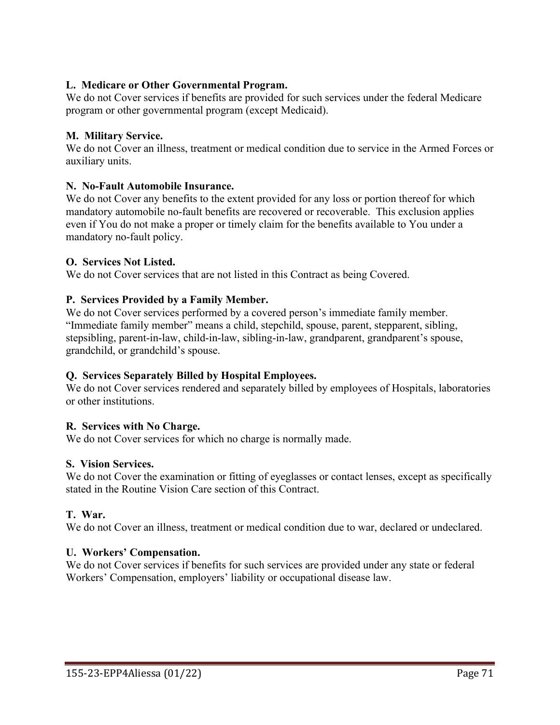### **L. Medicare or Other Governmental Program.**

We do not Cover services if benefits are provided for such services under the federal Medicare program or other governmental program (except Medicaid).

### **M. Military Service.**

We do not Cover an illness, treatment or medical condition due to service in the Armed Forces or auxiliary units.

### **N. No-Fault Automobile Insurance.**

We do not Cover any benefits to the extent provided for any loss or portion thereof for which mandatory automobile no-fault benefits are recovered or recoverable. This exclusion applies even if You do not make a proper or timely claim for the benefits available to You under a mandatory no-fault policy.

### **O. Services Not Listed.**

We do not Cover services that are not listed in this Contract as being Covered.

### **P. Services Provided by a Family Member.**

We do not Cover services performed by a covered person's immediate family member. "Immediate family member" means a child, stepchild, spouse, parent, stepparent, sibling, stepsibling, parent-in-law, child-in-law, sibling-in-law, grandparent, grandparent's spouse, grandchild, or grandchild's spouse.

### **Q. Services Separately Billed by Hospital Employees.**

We do not Cover services rendered and separately billed by employees of Hospitals, laboratories or other institutions.

### **R. Services with No Charge.**

We do not Cover services for which no charge is normally made.

### **S. Vision Services.**

We do not Cover the examination or fitting of eyeglasses or contact lenses, except as specifically stated in the Routine Vision Care section of this Contract.

### **T. War.**

We do not Cover an illness, treatment or medical condition due to war, declared or undeclared.

#### **U. Workers' Compensation.**

We do not Cover services if benefits for such services are provided under any state or federal Workers' Compensation, employers' liability or occupational disease law.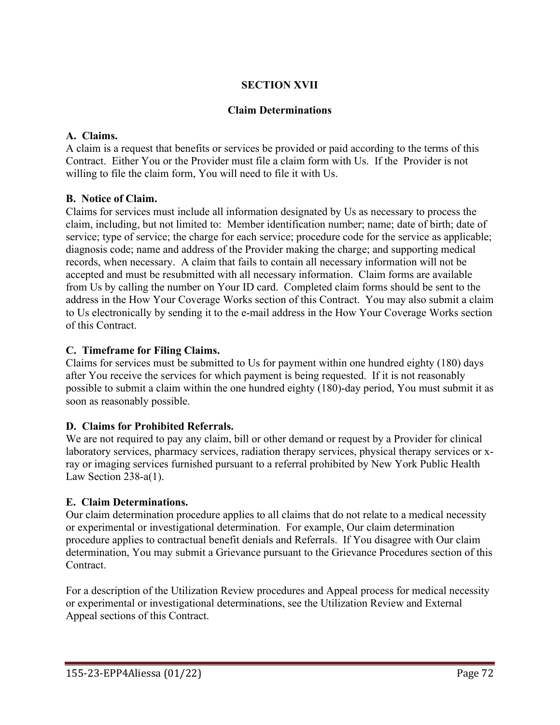# **SECTION XVII**

### **Claim Determinations**

### **A. Claims.**

A claim is a request that benefits or services be provided or paid according to the terms of this Contract. Either You or the Provider must file a claim form with Us. If the Provider is not willing to file the claim form, You will need to file it with Us.

### **B. Notice of Claim.**

Claims for services must include all information designated by Us as necessary to process the claim, including, but not limited to: Member identification number; name; date of birth; date of service; type of service; the charge for each service; procedure code for the service as applicable; diagnosis code; name and address of the Provider making the charge; and supporting medical records, when necessary. A claim that fails to contain all necessary information will not be accepted and must be resubmitted with all necessary information. Claim forms are available from Us by calling the number on Your ID card. Completed claim forms should be sent to the address in the How Your Coverage Works section of this Contract. You may also submit a claim to Us electronically by sending it to the e-mail address in the How Your Coverage Works section of this Contract.

### **C. Timeframe for Filing Claims.**

Claims for services must be submitted to Us for payment within one hundred eighty (180) days after You receive the services for which payment is being requested. If it is not reasonably possible to submit a claim within the one hundred eighty (180)-day period, You must submit it as soon as reasonably possible.

# **D. Claims for Prohibited Referrals.**

We are not required to pay any claim, bill or other demand or request by a Provider for clinical laboratory services, pharmacy services, radiation therapy services, physical therapy services or xray or imaging services furnished pursuant to a referral prohibited by New York Public Health Law Section 238-a(1).

### **E. Claim Determinations.**

Our claim determination procedure applies to all claims that do not relate to a medical necessity or experimental or investigational determination. For example, Our claim determination procedure applies to contractual benefit denials and Referrals. If You disagree with Our claim determination, You may submit a Grievance pursuant to the Grievance Procedures section of this Contract.

For a description of the Utilization Review procedures and Appeal process for medical necessity or experimental or investigational determinations, see the Utilization Review and External Appeal sections of this Contract.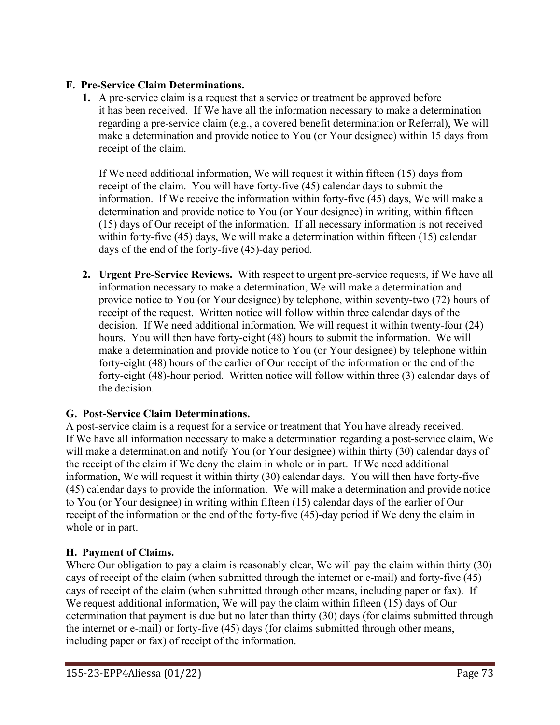### **F. Pre-Service Claim Determinations.**

**1.** A pre-service claim is a request that a service or treatment be approved before it has been received. If We have all the information necessary to make a determination regarding a pre-service claim (e.g., a covered benefit determination or Referral), We will make a determination and provide notice to You (or Your designee) within 15 days from receipt of the claim.

If We need additional information, We will request it within fifteen (15) days from receipt of the claim. You will have forty-five (45) calendar days to submit the information. If We receive the information within forty-five (45) days, We will make a determination and provide notice to You (or Your designee) in writing, within fifteen (15) days of Our receipt of the information. If all necessary information is not received within forty-five (45) days, We will make a determination within fifteen (15) calendar days of the end of the forty-five (45)-day period.

**2. Urgent Pre-Service Reviews.** With respect to urgent pre-service requests, if We have all information necessary to make a determination, We will make a determination and provide notice to You (or Your designee) by telephone, within seventy-two (72) hours of receipt of the request. Written notice will follow within three calendar days of the decision. If We need additional information, We will request it within twenty-four (24) hours. You will then have forty-eight (48) hours to submit the information. We will make a determination and provide notice to You (or Your designee) by telephone within forty-eight (48) hours of the earlier of Our receipt of the information or the end of the forty-eight (48)-hour period. Written notice will follow within three (3) calendar days of the decision.

# **G. Post-Service Claim Determinations.**

A post-service claim is a request for a service or treatment that You have already received. If We have all information necessary to make a determination regarding a post-service claim, We will make a determination and notify You (or Your designee) within thirty (30) calendar days of the receipt of the claim if We deny the claim in whole or in part. If We need additional information, We will request it within thirty (30) calendar days. You will then have forty-five (45) calendar days to provide the information. We will make a determination and provide notice to You (or Your designee) in writing within fifteen (15) calendar days of the earlier of Our receipt of the information or the end of the forty-five (45)-day period if We deny the claim in whole or in part.

# **H. Payment of Claims.**

Where Our obligation to pay a claim is reasonably clear, We will pay the claim within thirty (30) days of receipt of the claim (when submitted through the internet or e-mail) and forty-five (45) days of receipt of the claim (when submitted through other means, including paper or fax). If We request additional information, We will pay the claim within fifteen (15) days of Our determination that payment is due but no later than thirty (30) days (for claims submitted through the internet or e-mail) or forty-five (45) days (for claims submitted through other means, including paper or fax) of receipt of the information.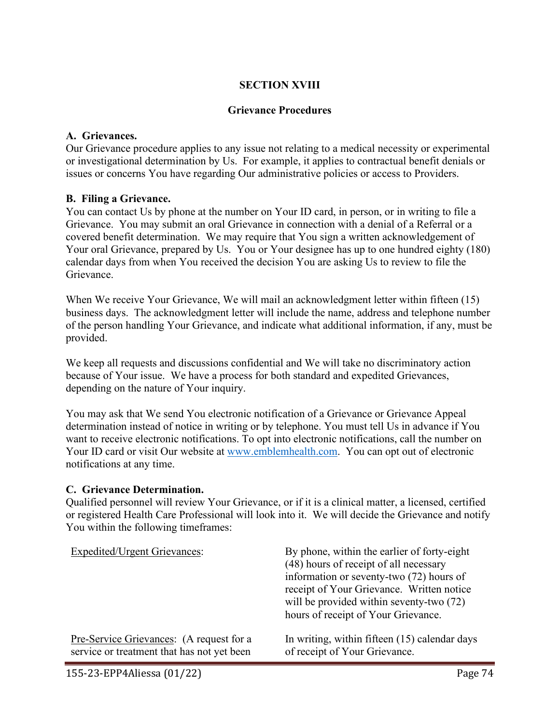### **SECTION XVIII**

#### **Grievance Procedures**

#### **A. Grievances.**

Our Grievance procedure applies to any issue not relating to a medical necessity or experimental or investigational determination by Us. For example, it applies to contractual benefit denials or issues or concerns You have regarding Our administrative policies or access to Providers.

#### **B. Filing a Grievance.**

You can contact Us by phone at the number on Your ID card, in person, or in writing to file a Grievance. You may submit an oral Grievance in connection with a denial of a Referral or a covered benefit determination. We may require that You sign a written acknowledgement of Your oral Grievance, prepared by Us. You or Your designee has up to one hundred eighty (180) calendar days from when You received the decision You are asking Us to review to file the Grievance.

When We receive Your Grievance, We will mail an acknowledgment letter within fifteen (15) business days. The acknowledgment letter will include the name, address and telephone number of the person handling Your Grievance, and indicate what additional information, if any, must be provided.

We keep all requests and discussions confidential and We will take no discriminatory action because of Your issue. We have a process for both standard and expedited Grievances, depending on the nature of Your inquiry.

You may ask that We send You electronic notification of a Grievance or Grievance Appeal determination instead of notice in writing or by telephone. You must tell Us in advance if You want to receive electronic notifications. To opt into electronic notifications, call the number on Your ID card or visit Our website at [www.emblemhealth.com.](http://www.emblemhealth.com/) You can opt out of electronic notifications at any time.

#### **C. Grievance Determination.**

Qualified personnel will review Your Grievance, or if it is a clinical matter, a licensed, certified or registered Health Care Professional will look into it. We will decide the Grievance and notify You within the following timeframes:

| <b>Expedited/Urgent Grievances:</b>        | By phone, within the earlier of forty-eight<br>(48) hours of receipt of all necessary<br>information or seventy-two (72) hours of<br>receipt of Your Grievance. Written notice<br>will be provided within seventy-two (72)<br>hours of receipt of Your Grievance. |
|--------------------------------------------|-------------------------------------------------------------------------------------------------------------------------------------------------------------------------------------------------------------------------------------------------------------------|
| Pre-Service Grievances: (A request for a   | In writing, within fifteen (15) calendar days                                                                                                                                                                                                                     |
| service or treatment that has not yet been | of receipt of Your Grievance.                                                                                                                                                                                                                                     |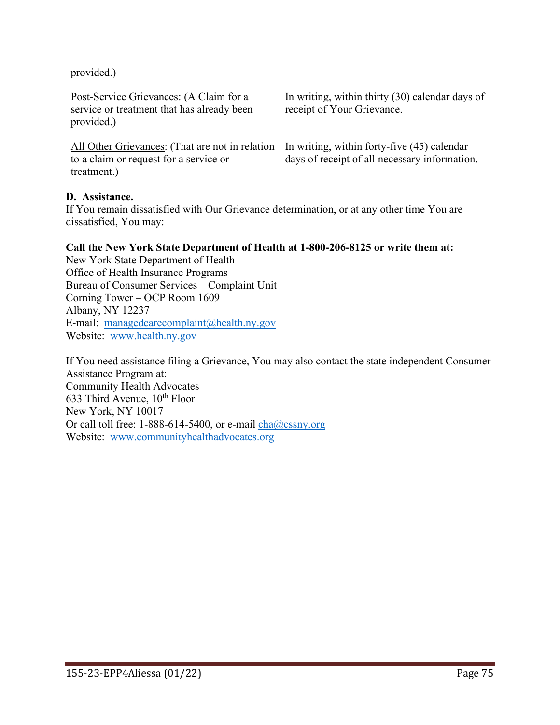provided.)

Post-Service Grievances: (A Claim for a service or treatment that has already been provided.)

All Other Grievances: (That are not in relation to a claim or request for a service or treatment.)

In writing, within thirty (30) calendar days of receipt of Your Grievance.

In writing, within forty-five (45) calendar days of receipt of all necessary information.

### **D. Assistance.**

If You remain dissatisfied with Our Grievance determination, or at any other time You are dissatisfied, You may:

#### **Call the New York State Department of Health at 1-800-206-8125 or write them at:**

New York State Department of Health Office of Health Insurance Programs Bureau of Consumer Services – Complaint Unit Corning Tower – OCP Room 1609 Albany, NY 12237 E-mail: [managedcarecomplaint@health.ny.gov](mailto:managedcarecomplaint@health.ny.gov) Website: [www.health.ny.gov](http://www.health.ny.gov/) 

If You need assistance filing a Grievance, You may also contact the state independent Consumer Assistance Program at: Community Health Advocates 633 Third Avenue,  $10^{th}$  Floor New York, NY 10017 Or call toll free: 1-888-614-5400, or e-mail  $cha@cssny.org$ Website: [www.communityhealthadvocates.org](http://www.communityhealthadvocates.org/)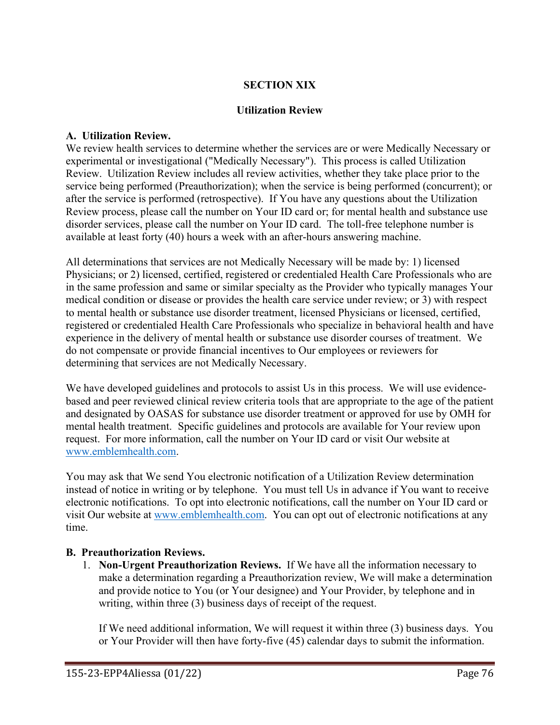### **SECTION XIX**

#### **Utilization Review**

#### **A. Utilization Review.**

We review health services to determine whether the services are or were Medically Necessary or experimental or investigational ("Medically Necessary"). This process is called Utilization Review. Utilization Review includes all review activities, whether they take place prior to the service being performed (Preauthorization); when the service is being performed (concurrent); or after the service is performed (retrospective). If You have any questions about the Utilization Review process, please call the number on Your ID card or; for mental health and substance use disorder services, please call the number on Your ID card. The toll-free telephone number is available at least forty (40) hours a week with an after-hours answering machine.

All determinations that services are not Medically Necessary will be made by: 1) licensed Physicians; or 2) licensed, certified, registered or credentialed Health Care Professionals who are in the same profession and same or similar specialty as the Provider who typically manages Your medical condition or disease or provides the health care service under review; or 3) with respect to mental health or substance use disorder treatment, licensed Physicians or licensed, certified, registered or credentialed Health Care Professionals who specialize in behavioral health and have experience in the delivery of mental health or substance use disorder courses of treatment. We do not compensate or provide financial incentives to Our employees or reviewers for determining that services are not Medically Necessary.

We have developed guidelines and protocols to assist Us in this process. We will use evidencebased and peer reviewed clinical review criteria tools that are appropriate to the age of the patient and designated by OASAS for substance use disorder treatment or approved for use by OMH for mental health treatment. Specific guidelines and protocols are available for Your review upon request. For more information, call the number on Your ID card or visit Our website at [www.emblemhealth.com.](http://www.emblemhealth.com/)

You may ask that We send You electronic notification of a Utilization Review determination instead of notice in writing or by telephone. You must tell Us in advance if You want to receive electronic notifications. To opt into electronic notifications, call the number on Your ID card or visit Our website at [www.emblemhealth.com.](http://www.emblemhealth.com/) You can opt out of electronic notifications at any time.

### **B. Preauthorization Reviews.**

1. **Non-Urgent Preauthorization Reviews.** If We have all the information necessary to make a determination regarding a Preauthorization review, We will make a determination and provide notice to You (or Your designee) and Your Provider, by telephone and in writing, within three (3) business days of receipt of the request.

If We need additional information, We will request it within three (3) business days. You or Your Provider will then have forty-five (45) calendar days to submit the information.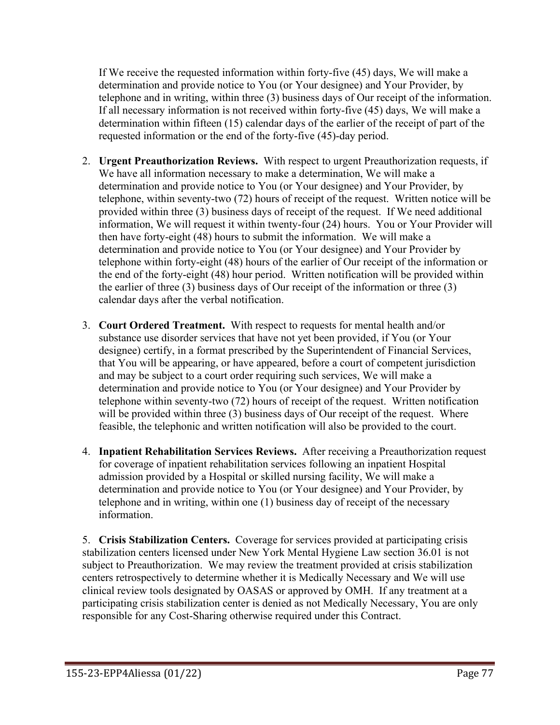If We receive the requested information within forty-five (45) days, We will make a determination and provide notice to You (or Your designee) and Your Provider, by telephone and in writing, within three (3) business days of Our receipt of the information. If all necessary information is not received within forty-five (45) days, We will make a determination within fifteen (15) calendar days of the earlier of the receipt of part of the requested information or the end of the forty-five (45)-day period.

- 2. **Urgent Preauthorization Reviews.** With respect to urgent Preauthorization requests, if We have all information necessary to make a determination, We will make a determination and provide notice to You (or Your designee) and Your Provider, by telephone, within seventy-two (72) hours of receipt of the request. Written notice will be provided within three (3) business days of receipt of the request. If We need additional information, We will request it within twenty-four (24) hours. You or Your Provider will then have forty-eight (48) hours to submit the information. We will make a determination and provide notice to You (or Your designee) and Your Provider by telephone within forty-eight (48) hours of the earlier of Our receipt of the information or the end of the forty-eight (48) hour period. Written notification will be provided within the earlier of three (3) business days of Our receipt of the information or three (3) calendar days after the verbal notification.
- 3. **Court Ordered Treatment.** With respect to requests for mental health and/or substance use disorder services that have not yet been provided, if You (or Your designee) certify, in a format prescribed by the Superintendent of Financial Services, that You will be appearing, or have appeared, before a court of competent jurisdiction and may be subject to a court order requiring such services, We will make a determination and provide notice to You (or Your designee) and Your Provider by telephone within seventy-two (72) hours of receipt of the request. Written notification will be provided within three (3) business days of Our receipt of the request. Where feasible, the telephonic and written notification will also be provided to the court.
- 4. **Inpatient Rehabilitation Services Reviews.** After receiving a Preauthorization request for coverage of inpatient rehabilitation services following an inpatient Hospital admission provided by a Hospital or skilled nursing facility, We will make a determination and provide notice to You (or Your designee) and Your Provider, by telephone and in writing, within one (1) business day of receipt of the necessary information.

5. **Crisis Stabilization Centers.** Coverage for services provided at participating crisis stabilization centers licensed under New York Mental Hygiene Law section 36.01 is not subject to Preauthorization. We may review the treatment provided at crisis stabilization centers retrospectively to determine whether it is Medically Necessary and We will use clinical review tools designated by OASAS or approved by OMH. If any treatment at a participating crisis stabilization center is denied as not Medically Necessary, You are only responsible for any Cost-Sharing otherwise required under this Contract.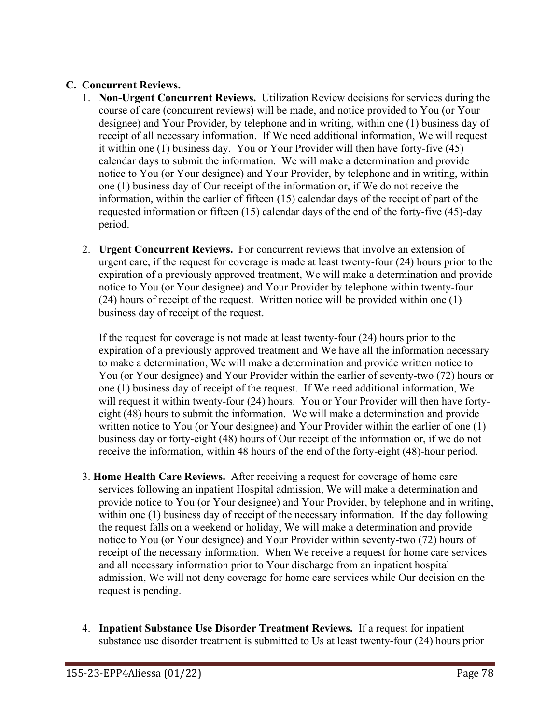### **C. Concurrent Reviews.**

- 1. **Non-Urgent Concurrent Reviews.** Utilization Review decisions for services during the course of care (concurrent reviews) will be made, and notice provided to You (or Your designee) and Your Provider, by telephone and in writing, within one (1) business day of receipt of all necessary information. If We need additional information, We will request it within one (1) business day. You or Your Provider will then have forty-five (45) calendar days to submit the information. We will make a determination and provide notice to You (or Your designee) and Your Provider, by telephone and in writing, within one (1) business day of Our receipt of the information or, if We do not receive the information, within the earlier of fifteen (15) calendar days of the receipt of part of the requested information or fifteen (15) calendar days of the end of the forty-five (45)-day period.
- 2. **Urgent Concurrent Reviews.** For concurrent reviews that involve an extension of urgent care, if the request for coverage is made at least twenty-four (24) hours prior to the expiration of a previously approved treatment, We will make a determination and provide notice to You (or Your designee) and Your Provider by telephone within twenty-four (24) hours of receipt of the request. Written notice will be provided within one (1) business day of receipt of the request.

If the request for coverage is not made at least twenty-four (24) hours prior to the expiration of a previously approved treatment and We have all the information necessary to make a determination, We will make a determination and provide written notice to You (or Your designee) and Your Provider within the earlier of seventy-two (72) hours or one (1) business day of receipt of the request. If We need additional information, We will request it within twenty-four (24) hours. You or Your Provider will then have fortyeight (48) hours to submit the information. We will make a determination and provide written notice to You (or Your designee) and Your Provider within the earlier of one (1) business day or forty-eight (48) hours of Our receipt of the information or, if we do not receive the information, within 48 hours of the end of the forty-eight (48)-hour period.

- 3. **Home Health Care Reviews.** After receiving a request for coverage of home care services following an inpatient Hospital admission, We will make a determination and provide notice to You (or Your designee) and Your Provider, by telephone and in writing, within one (1) business day of receipt of the necessary information. If the day following the request falls on a weekend or holiday, We will make a determination and provide notice to You (or Your designee) and Your Provider within seventy-two (72) hours of receipt of the necessary information. When We receive a request for home care services and all necessary information prior to Your discharge from an inpatient hospital admission, We will not deny coverage for home care services while Our decision on the request is pending.
- 4. **Inpatient Substance Use Disorder Treatment Reviews.** If a request for inpatient substance use disorder treatment is submitted to Us at least twenty-four (24) hours prior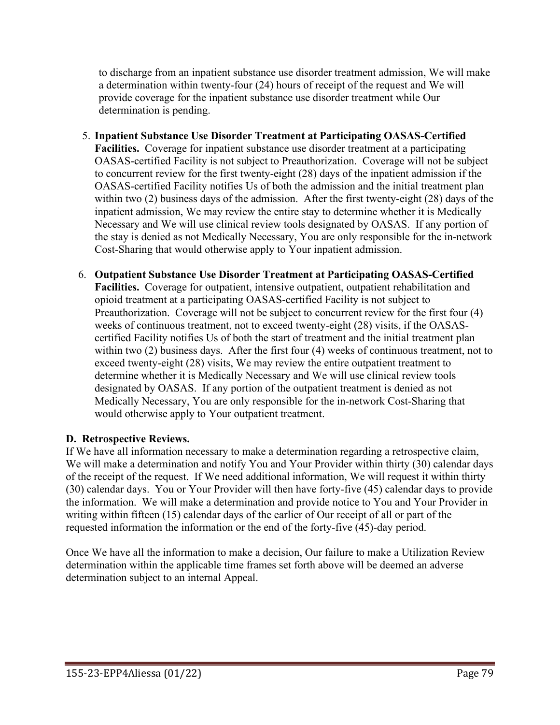to discharge from an inpatient substance use disorder treatment admission, We will make a determination within twenty-four (24) hours of receipt of the request and We will provide coverage for the inpatient substance use disorder treatment while Our determination is pending.

- 5. **Inpatient Substance Use Disorder Treatment at Participating OASAS-Certified Facilities.** Coverage for inpatient substance use disorder treatment at a participating OASAS-certified Facility is not subject to Preauthorization. Coverage will not be subject to concurrent review for the first twenty-eight (28) days of the inpatient admission if the OASAS-certified Facility notifies Us of both the admission and the initial treatment plan within two (2) business days of the admission. After the first twenty-eight (28) days of the inpatient admission, We may review the entire stay to determine whether it is Medically Necessary and We will use clinical review tools designated by OASAS. If any portion of the stay is denied as not Medically Necessary, You are only responsible for the in-network Cost-Sharing that would otherwise apply to Your inpatient admission.
- 6. **Outpatient Substance Use Disorder Treatment at Participating OASAS-Certified Facilities.** Coverage for outpatient, intensive outpatient, outpatient rehabilitation and opioid treatment at a participating OASAS-certified Facility is not subject to Preauthorization. Coverage will not be subject to concurrent review for the first four (4) weeks of continuous treatment, not to exceed twenty-eight (28) visits, if the OASAScertified Facility notifies Us of both the start of treatment and the initial treatment plan within two (2) business days. After the first four (4) weeks of continuous treatment, not to exceed twenty-eight (28) visits, We may review the entire outpatient treatment to determine whether it is Medically Necessary and We will use clinical review tools designated by OASAS. If any portion of the outpatient treatment is denied as not Medically Necessary, You are only responsible for the in-network Cost-Sharing that would otherwise apply to Your outpatient treatment.

# **D. Retrospective Reviews.**

If We have all information necessary to make a determination regarding a retrospective claim, We will make a determination and notify You and Your Provider within thirty (30) calendar days of the receipt of the request. If We need additional information, We will request it within thirty (30) calendar days. You or Your Provider will then have forty-five (45) calendar days to provide the information. We will make a determination and provide notice to You and Your Provider in writing within fifteen (15) calendar days of the earlier of Our receipt of all or part of the requested information the information or the end of the forty-five (45)-day period.

Once We have all the information to make a decision, Our failure to make a Utilization Review determination within the applicable time frames set forth above will be deemed an adverse determination subject to an internal Appeal.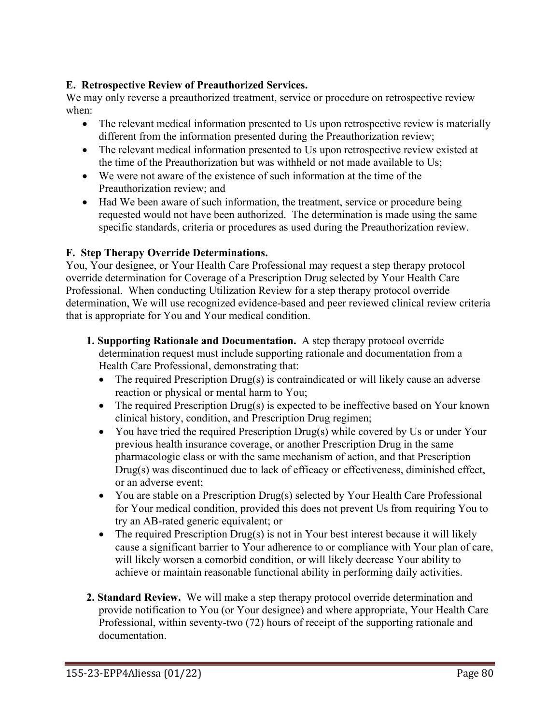### **E. Retrospective Review of Preauthorized Services.**

We may only reverse a preauthorized treatment, service or procedure on retrospective review when:

- The relevant medical information presented to Us upon retrospective review is materially different from the information presented during the Preauthorization review;
- The relevant medical information presented to Us upon retrospective review existed at the time of the Preauthorization but was withheld or not made available to Us;
- We were not aware of the existence of such information at the time of the Preauthorization review; and
- Had We been aware of such information, the treatment, service or procedure being requested would not have been authorized. The determination is made using the same specific standards, criteria or procedures as used during the Preauthorization review.

### **F. Step Therapy Override Determinations.**

You, Your designee, or Your Health Care Professional may request a step therapy protocol override determination for Coverage of a Prescription Drug selected by Your Health Care Professional. When conducting Utilization Review for a step therapy protocol override determination, We will use recognized evidence-based and peer reviewed clinical review criteria that is appropriate for You and Your medical condition.

- **1. Supporting Rationale and Documentation.** A step therapy protocol override determination request must include supporting rationale and documentation from a Health Care Professional, demonstrating that:
	- The required Prescription Drug(s) is contraindicated or will likely cause an adverse reaction or physical or mental harm to You;
	- The required Prescription Drug(s) is expected to be ineffective based on Your known clinical history, condition, and Prescription Drug regimen;
	- You have tried the required Prescription Drug(s) while covered by Us or under Your previous health insurance coverage, or another Prescription Drug in the same pharmacologic class or with the same mechanism of action, and that Prescription Drug(s) was discontinued due to lack of efficacy or effectiveness, diminished effect, or an adverse event;
	- You are stable on a Prescription Drug(s) selected by Your Health Care Professional for Your medical condition, provided this does not prevent Us from requiring You to try an AB-rated generic equivalent; or
	- The required Prescription Drug(s) is not in Your best interest because it will likely cause a significant barrier to Your adherence to or compliance with Your plan of care, will likely worsen a comorbid condition, or will likely decrease Your ability to achieve or maintain reasonable functional ability in performing daily activities.
- **2. Standard Review.** We will make a step therapy protocol override determination and provide notification to You (or Your designee) and where appropriate, Your Health Care Professional, within seventy-two (72) hours of receipt of the supporting rationale and documentation.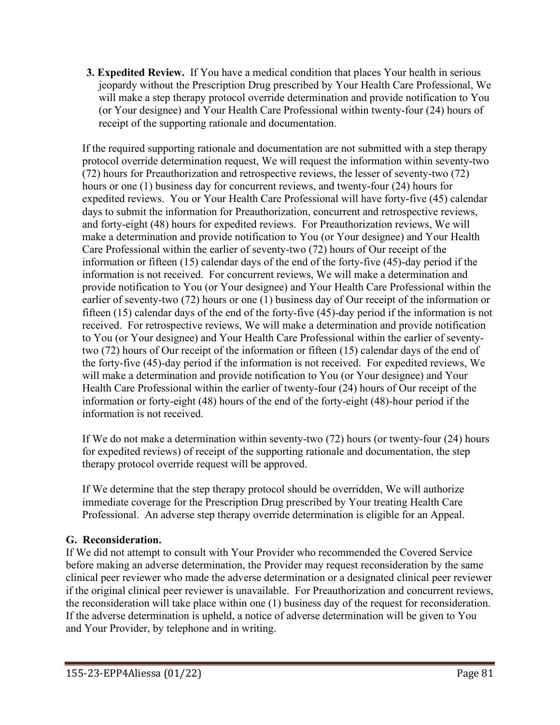**3. Expedited Review.** If You have a medical condition that places Your health in serious jeopardy without the Prescription Drug prescribed by Your Health Care Professional, We will make a step therapy protocol override determination and provide notification to You (or Your designee) and Your Health Care Professional within twenty-four (24) hours of receipt of the supporting rationale and documentation.

If the required supporting rationale and documentation are not submitted with a step therapy protocol override determination request, We will request the information within seventy-two (72) hours for Preauthorization and retrospective reviews, the lesser of seventy-two (72) hours or one (1) business day for concurrent reviews, and twenty-four (24) hours for expedited reviews. You or Your Health Care Professional will have forty-five (45) calendar days to submit the information for Preauthorization, concurrent and retrospective reviews, and forty-eight (48) hours for expedited reviews. For Preauthorization reviews, We will make a determination and provide notification to You (or Your designee) and Your Health Care Professional within the earlier of seventy-two (72) hours of Our receipt of the information or fifteen (15) calendar days of the end of the forty-five (45)-day period if the information is not received. For concurrent reviews, We will make a determination and provide notification to You (or Your designee) and Your Health Care Professional within the earlier of seventy-two (72) hours or one (1) business day of Our receipt of the information or fifteen (15) calendar days of the end of the forty-five (45)-day period if the information is not received. For retrospective reviews, We will make a determination and provide notification to You (or Your designee) and Your Health Care Professional within the earlier of seventytwo (72) hours of Our receipt of the information or fifteen (15) calendar days of the end of the forty-five (45)-day period if the information is not received. For expedited reviews, We will make a determination and provide notification to You (or Your designee) and Your Health Care Professional within the earlier of twenty-four (24) hours of Our receipt of the information or forty-eight (48) hours of the end of the forty-eight (48)-hour period if the information is not received.

If We do not make a determination within seventy-two (72) hours (or twenty-four (24) hours for expedited reviews) of receipt of the supporting rationale and documentation, the step therapy protocol override request will be approved.

If We determine that the step therapy protocol should be overridden, We will authorize immediate coverage for the Prescription Drug prescribed by Your treating Health Care Professional. An adverse step therapy override determination is eligible for an Appeal.

# **G. Reconsideration.**

If We did not attempt to consult with Your Provider who recommended the Covered Service before making an adverse determination, the Provider may request reconsideration by the same clinical peer reviewer who made the adverse determination or a designated clinical peer reviewer if the original clinical peer reviewer is unavailable. For Preauthorization and concurrent reviews, the reconsideration will take place within one (1) business day of the request for reconsideration. If the adverse determination is upheld, a notice of adverse determination will be given to You and Your Provider, by telephone and in writing.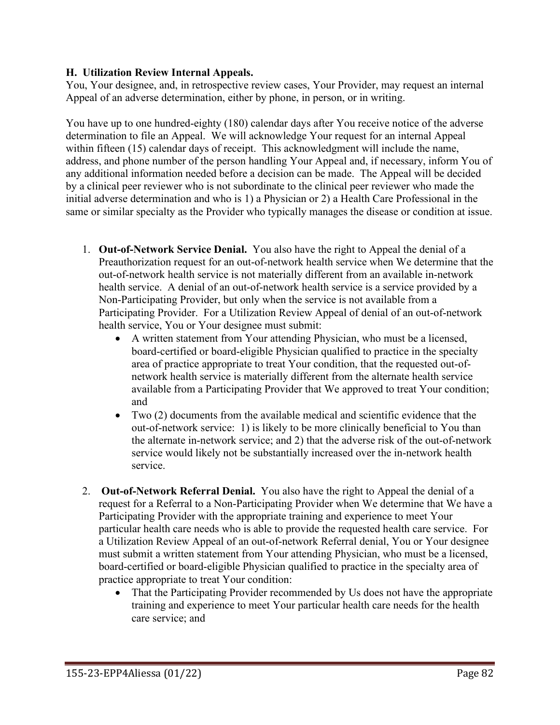### **H. Utilization Review Internal Appeals.**

You, Your designee, and, in retrospective review cases, Your Provider, may request an internal Appeal of an adverse determination, either by phone, in person, or in writing.

You have up to one hundred-eighty (180) calendar days after You receive notice of the adverse determination to file an Appeal. We will acknowledge Your request for an internal Appeal within fifteen (15) calendar days of receipt. This acknowledgment will include the name, address, and phone number of the person handling Your Appeal and, if necessary, inform You of any additional information needed before a decision can be made. The Appeal will be decided by a clinical peer reviewer who is not subordinate to the clinical peer reviewer who made the initial adverse determination and who is 1) a Physician or 2) a Health Care Professional in the same or similar specialty as the Provider who typically manages the disease or condition at issue.

- 1. **Out-of-Network Service Denial.** You also have the right to Appeal the denial of a Preauthorization request for an out-of-network health service when We determine that the out-of-network health service is not materially different from an available in-network health service. A denial of an out-of-network health service is a service provided by a Non-Participating Provider, but only when the service is not available from a Participating Provider. For a Utilization Review Appeal of denial of an out-of-network health service, You or Your designee must submit:
	- A written statement from Your attending Physician, who must be a licensed, board-certified or board-eligible Physician qualified to practice in the specialty area of practice appropriate to treat Your condition, that the requested out-ofnetwork health service is materially different from the alternate health service available from a Participating Provider that We approved to treat Your condition; and
	- Two (2) documents from the available medical and scientific evidence that the out-of-network service: 1) is likely to be more clinically beneficial to You than the alternate in-network service; and 2) that the adverse risk of the out-of-network service would likely not be substantially increased over the in-network health service.
- 2. **Out-of-Network Referral Denial.** You also have the right to Appeal the denial of a request for a Referral to a Non-Participating Provider when We determine that We have a Participating Provider with the appropriate training and experience to meet Your particular health care needs who is able to provide the requested health care service. For a Utilization Review Appeal of an out-of-network Referral denial, You or Your designee must submit a written statement from Your attending Physician, who must be a licensed, board-certified or board-eligible Physician qualified to practice in the specialty area of practice appropriate to treat Your condition:
	- That the Participating Provider recommended by Us does not have the appropriate training and experience to meet Your particular health care needs for the health care service; and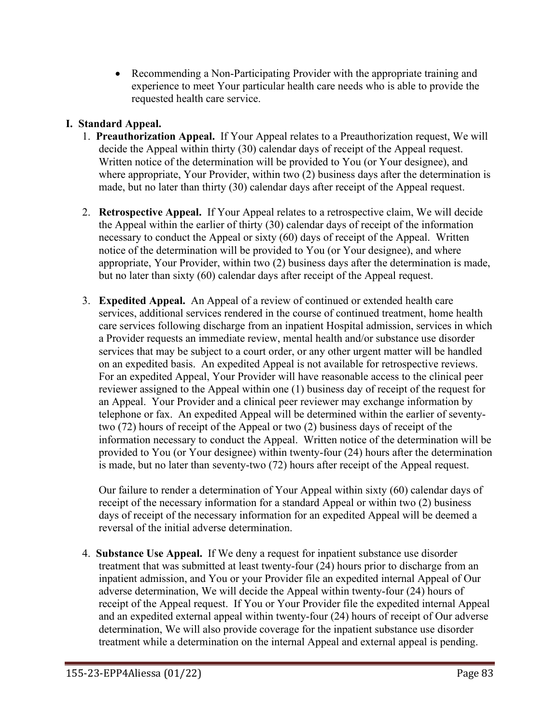• Recommending a Non-Participating Provider with the appropriate training and experience to meet Your particular health care needs who is able to provide the requested health care service.

# **I. Standard Appeal.**

- 1. **Preauthorization Appeal.** If Your Appeal relates to a Preauthorization request, We will decide the Appeal within thirty (30) calendar days of receipt of the Appeal request. Written notice of the determination will be provided to You (or Your designee), and where appropriate, Your Provider, within two (2) business days after the determination is made, but no later than thirty (30) calendar days after receipt of the Appeal request.
- 2. **Retrospective Appeal.** If Your Appeal relates to a retrospective claim, We will decide the Appeal within the earlier of thirty (30) calendar days of receipt of the information necessary to conduct the Appeal or sixty (60) days of receipt of the Appeal. Written notice of the determination will be provided to You (or Your designee), and where appropriate, Your Provider, within two (2) business days after the determination is made, but no later than sixty (60) calendar days after receipt of the Appeal request.
- 3. **Expedited Appeal.** An Appeal of a review of continued or extended health care services, additional services rendered in the course of continued treatment, home health care services following discharge from an inpatient Hospital admission, services in which a Provider requests an immediate review, mental health and/or substance use disorder services that may be subject to a court order, or any other urgent matter will be handled on an expedited basis. An expedited Appeal is not available for retrospective reviews. For an expedited Appeal, Your Provider will have reasonable access to the clinical peer reviewer assigned to the Appeal within one (1) business day of receipt of the request for an Appeal. Your Provider and a clinical peer reviewer may exchange information by telephone or fax. An expedited Appeal will be determined within the earlier of seventytwo (72) hours of receipt of the Appeal or two (2) business days of receipt of the information necessary to conduct the Appeal. Written notice of the determination will be provided to You (or Your designee) within twenty-four (24) hours after the determination is made, but no later than seventy-two (72) hours after receipt of the Appeal request.

Our failure to render a determination of Your Appeal within sixty (60) calendar days of receipt of the necessary information for a standard Appeal or within two (2) business days of receipt of the necessary information for an expedited Appeal will be deemed a reversal of the initial adverse determination.

4. **Substance Use Appeal.** If We deny a request for inpatient substance use disorder treatment that was submitted at least twenty-four (24) hours prior to discharge from an inpatient admission, and You or your Provider file an expedited internal Appeal of Our adverse determination, We will decide the Appeal within twenty-four (24) hours of receipt of the Appeal request. If You or Your Provider file the expedited internal Appeal and an expedited external appeal within twenty-four (24) hours of receipt of Our adverse determination, We will also provide coverage for the inpatient substance use disorder treatment while a determination on the internal Appeal and external appeal is pending.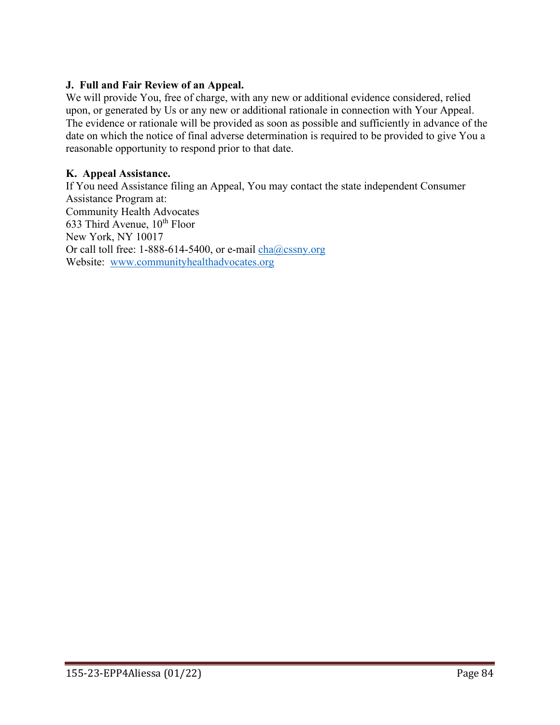### **J. Full and Fair Review of an Appeal.**

We will provide You, free of charge, with any new or additional evidence considered, relied upon, or generated by Us or any new or additional rationale in connection with Your Appeal. The evidence or rationale will be provided as soon as possible and sufficiently in advance of the date on which the notice of final adverse determination is required to be provided to give You a reasonable opportunity to respond prior to that date.

### **K. Appeal Assistance.**

If You need Assistance filing an Appeal, You may contact the state independent Consumer Assistance Program at: Community Health Advocates 633 Third Avenue,  $10^{th}$  Floor New York, NY 10017 Or call toll free: 1-888-614-5400, or e-mail  $cha@cssny.org$ Website: [www.communityhealthadvocates.org](http://www.communityhealthadvocates.org/)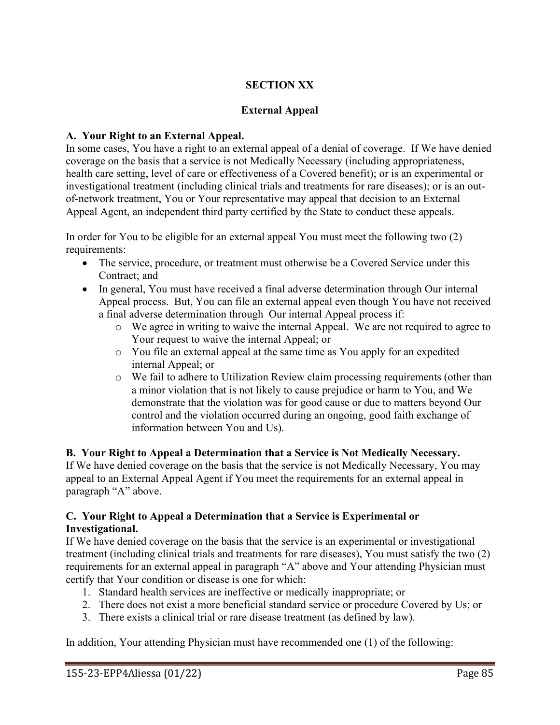# **SECTION XX**

# **External Appeal**

# **A. Your Right to an External Appeal.**

In some cases, You have a right to an external appeal of a denial of coverage. If We have denied coverage on the basis that a service is not Medically Necessary (including appropriateness, health care setting, level of care or effectiveness of a Covered benefit); or is an experimental or investigational treatment (including clinical trials and treatments for rare diseases); or is an outof-network treatment, You or Your representative may appeal that decision to an External Appeal Agent, an independent third party certified by the State to conduct these appeals.

In order for You to be eligible for an external appeal You must meet the following two (2) requirements:

- The service, procedure, or treatment must otherwise be a Covered Service under this Contract; and
- In general, You must have received a final adverse determination through Our internal Appeal process. But, You can file an external appeal even though You have not received a final adverse determination through Our internal Appeal process if:
	- o We agree in writing to waive the internal Appeal. We are not required to agree to Your request to waive the internal Appeal; or
	- o You file an external appeal at the same time as You apply for an expedited internal Appeal; or
	- o We fail to adhere to Utilization Review claim processing requirements (other than a minor violation that is not likely to cause prejudice or harm to You, and We demonstrate that the violation was for good cause or due to matters beyond Our control and the violation occurred during an ongoing, good faith exchange of information between You and Us).

**B. Your Right to Appeal a Determination that a Service is Not Medically Necessary.** If We have denied coverage on the basis that the service is not Medically Necessary, You may appeal to an External Appeal Agent if You meet the requirements for an external appeal in paragraph "A" above.

### **C. Your Right to Appeal a Determination that a Service is Experimental or Investigational.**

If We have denied coverage on the basis that the service is an experimental or investigational treatment (including clinical trials and treatments for rare diseases), You must satisfy the two (2) requirements for an external appeal in paragraph "A" above and Your attending Physician must certify that Your condition or disease is one for which:

- 1. Standard health services are ineffective or medically inappropriate; or
- 2. There does not exist a more beneficial standard service or procedure Covered by Us; or
- 3. There exists a clinical trial or rare disease treatment (as defined by law).

In addition, Your attending Physician must have recommended one (1) of the following: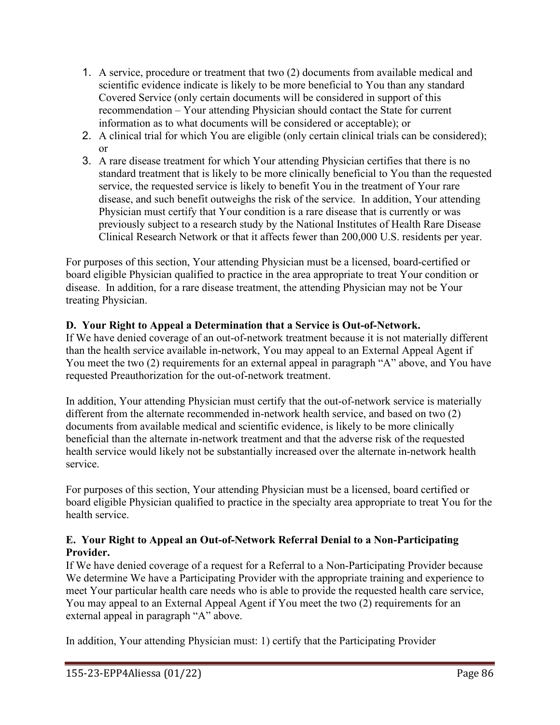- 1. A service, procedure or treatment that two (2) documents from available medical and scientific evidence indicate is likely to be more beneficial to You than any standard Covered Service (only certain documents will be considered in support of this recommendation – Your attending Physician should contact the State for current information as to what documents will be considered or acceptable); or
- 2. A clinical trial for which You are eligible (only certain clinical trials can be considered); or
- 3. A rare disease treatment for which Your attending Physician certifies that there is no standard treatment that is likely to be more clinically beneficial to You than the requested service, the requested service is likely to benefit You in the treatment of Your rare disease, and such benefit outweighs the risk of the service. In addition, Your attending Physician must certify that Your condition is a rare disease that is currently or was previously subject to a research study by the National Institutes of Health Rare Disease Clinical Research Network or that it affects fewer than 200,000 U.S. residents per year.

For purposes of this section, Your attending Physician must be a licensed, board-certified or board eligible Physician qualified to practice in the area appropriate to treat Your condition or disease. In addition, for a rare disease treatment, the attending Physician may not be Your treating Physician.

# **D. Your Right to Appeal a Determination that a Service is Out-of-Network.**

If We have denied coverage of an out-of-network treatment because it is not materially different than the health service available in-network, You may appeal to an External Appeal Agent if You meet the two (2) requirements for an external appeal in paragraph "A" above, and You have requested Preauthorization for the out-of-network treatment.

In addition, Your attending Physician must certify that the out-of-network service is materially different from the alternate recommended in-network health service, and based on two (2) documents from available medical and scientific evidence, is likely to be more clinically beneficial than the alternate in-network treatment and that the adverse risk of the requested health service would likely not be substantially increased over the alternate in-network health service.

For purposes of this section, Your attending Physician must be a licensed, board certified or board eligible Physician qualified to practice in the specialty area appropriate to treat You for the health service.

# **E. Your Right to Appeal an Out-of-Network Referral Denial to a Non-Participating Provider.**

If We have denied coverage of a request for a Referral to a Non-Participating Provider because We determine We have a Participating Provider with the appropriate training and experience to meet Your particular health care needs who is able to provide the requested health care service, You may appeal to an External Appeal Agent if You meet the two (2) requirements for an external appeal in paragraph "A" above.

In addition, Your attending Physician must: 1) certify that the Participating Provider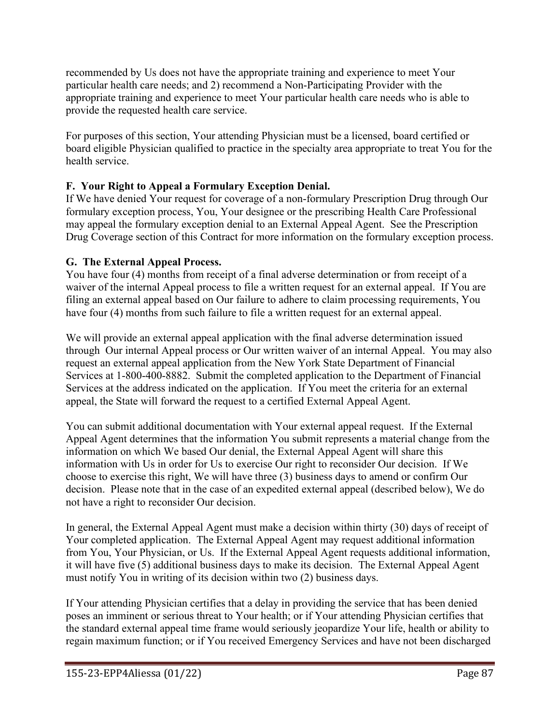recommended by Us does not have the appropriate training and experience to meet Your particular health care needs; and 2) recommend a Non-Participating Provider with the appropriate training and experience to meet Your particular health care needs who is able to provide the requested health care service.

For purposes of this section, Your attending Physician must be a licensed, board certified or board eligible Physician qualified to practice in the specialty area appropriate to treat You for the health service.

# **F. Your Right to Appeal a Formulary Exception Denial.**

If We have denied Your request for coverage of a non-formulary Prescription Drug through Our formulary exception process, You, Your designee or the prescribing Health Care Professional may appeal the formulary exception denial to an External Appeal Agent. See the Prescription Drug Coverage section of this Contract for more information on the formulary exception process.

# **G. The External Appeal Process.**

You have four (4) months from receipt of a final adverse determination or from receipt of a waiver of the internal Appeal process to file a written request for an external appeal. If You are filing an external appeal based on Our failure to adhere to claim processing requirements, You have four (4) months from such failure to file a written request for an external appeal.

We will provide an external appeal application with the final adverse determination issued through Our internal Appeal process or Our written waiver of an internal Appeal. You may also request an external appeal application from the New York State Department of Financial Services at 1-800-400-8882. Submit the completed application to the Department of Financial Services at the address indicated on the application. If You meet the criteria for an external appeal, the State will forward the request to a certified External Appeal Agent.

You can submit additional documentation with Your external appeal request. If the External Appeal Agent determines that the information You submit represents a material change from the information on which We based Our denial, the External Appeal Agent will share this information with Us in order for Us to exercise Our right to reconsider Our decision. If We choose to exercise this right, We will have three (3) business days to amend or confirm Our decision. Please note that in the case of an expedited external appeal (described below), We do not have a right to reconsider Our decision.

In general, the External Appeal Agent must make a decision within thirty (30) days of receipt of Your completed application. The External Appeal Agent may request additional information from You, Your Physician, or Us. If the External Appeal Agent requests additional information, it will have five (5) additional business days to make its decision. The External Appeal Agent must notify You in writing of its decision within two (2) business days.

If Your attending Physician certifies that a delay in providing the service that has been denied poses an imminent or serious threat to Your health; or if Your attending Physician certifies that the standard external appeal time frame would seriously jeopardize Your life, health or ability to regain maximum function; or if You received Emergency Services and have not been discharged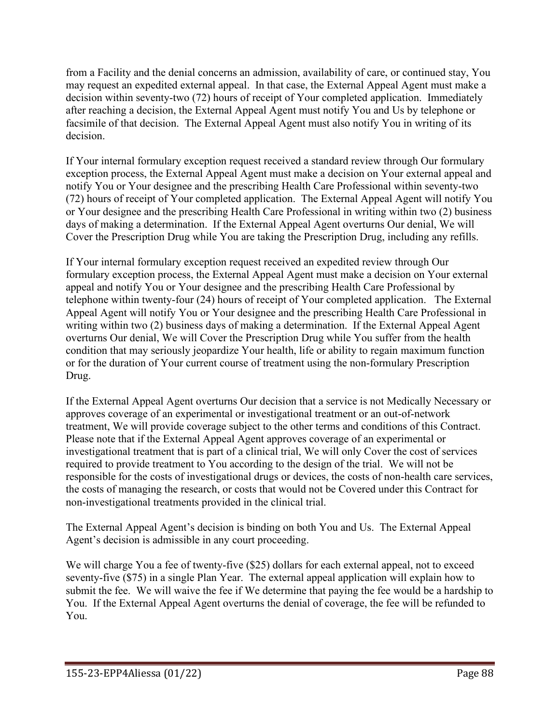from a Facility and the denial concerns an admission, availability of care, or continued stay, You may request an expedited external appeal. In that case, the External Appeal Agent must make a decision within seventy-two (72) hours of receipt of Your completed application. Immediately after reaching a decision, the External Appeal Agent must notify You and Us by telephone or facsimile of that decision. The External Appeal Agent must also notify You in writing of its decision.

If Your internal formulary exception request received a standard review through Our formulary exception process, the External Appeal Agent must make a decision on Your external appeal and notify You or Your designee and the prescribing Health Care Professional within seventy-two (72) hours of receipt of Your completed application. The External Appeal Agent will notify You or Your designee and the prescribing Health Care Professional in writing within two (2) business days of making a determination. If the External Appeal Agent overturns Our denial, We will Cover the Prescription Drug while You are taking the Prescription Drug, including any refills.

If Your internal formulary exception request received an expedited review through Our formulary exception process, the External Appeal Agent must make a decision on Your external appeal and notify You or Your designee and the prescribing Health Care Professional by telephone within twenty-four (24) hours of receipt of Your completed application. The External Appeal Agent will notify You or Your designee and the prescribing Health Care Professional in writing within two (2) business days of making a determination. If the External Appeal Agent overturns Our denial, We will Cover the Prescription Drug while You suffer from the health condition that may seriously jeopardize Your health, life or ability to regain maximum function or for the duration of Your current course of treatment using the non-formulary Prescription Drug.

If the External Appeal Agent overturns Our decision that a service is not Medically Necessary or approves coverage of an experimental or investigational treatment or an out-of-network treatment, We will provide coverage subject to the other terms and conditions of this Contract. Please note that if the External Appeal Agent approves coverage of an experimental or investigational treatment that is part of a clinical trial, We will only Cover the cost of services required to provide treatment to You according to the design of the trial. We will not be responsible for the costs of investigational drugs or devices, the costs of non-health care services, the costs of managing the research, or costs that would not be Covered under this Contract for non-investigational treatments provided in the clinical trial.

The External Appeal Agent's decision is binding on both You and Us. The External Appeal Agent's decision is admissible in any court proceeding.

We will charge You a fee of twenty-five (\$25) dollars for each external appeal, not to exceed seventy-five (\$75) in a single Plan Year. The external appeal application will explain how to submit the fee. We will waive the fee if We determine that paying the fee would be a hardship to You. If the External Appeal Agent overturns the denial of coverage, the fee will be refunded to You.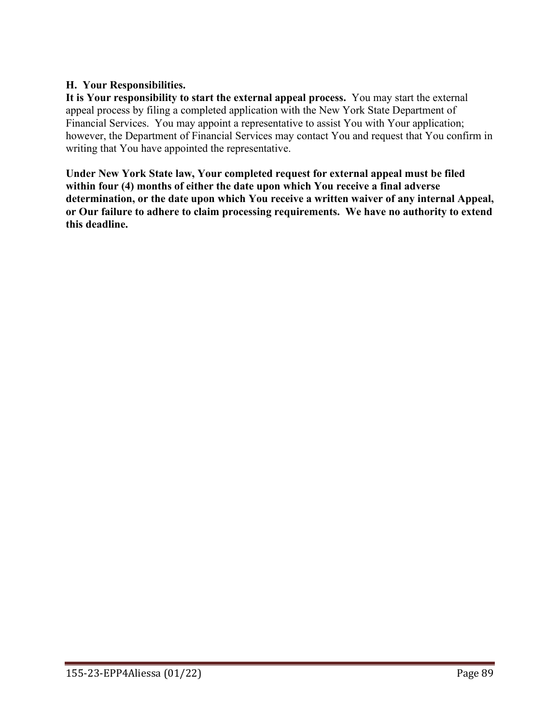### **H. Your Responsibilities.**

**It is Your responsibility to start the external appeal process.** You may start the external appeal process by filing a completed application with the New York State Department of Financial Services. You may appoint a representative to assist You with Your application; however, the Department of Financial Services may contact You and request that You confirm in writing that You have appointed the representative.

**Under New York State law, Your completed request for external appeal must be filed within four (4) months of either the date upon which You receive a final adverse determination, or the date upon which You receive a written waiver of any internal Appeal, or Our failure to adhere to claim processing requirements. We have no authority to extend this deadline.**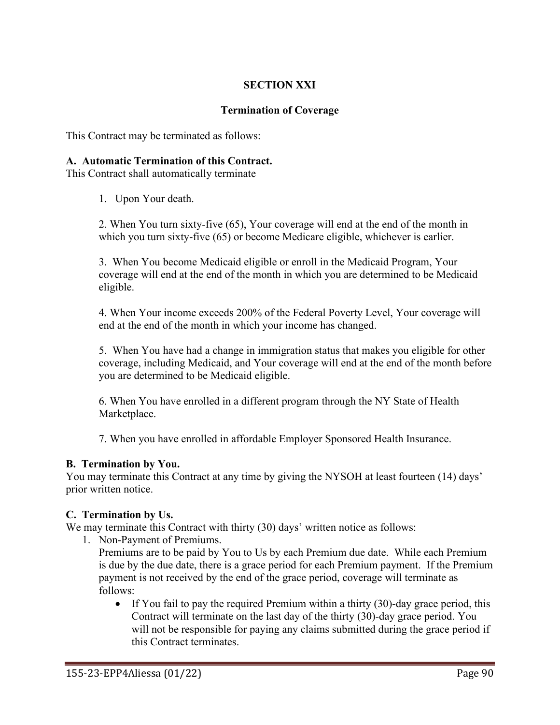# **SECTION XXI**

#### **Termination of Coverage**

This Contract may be terminated as follows:

#### **A. Automatic Termination of this Contract.**

This Contract shall automatically terminate

1. Upon Your death.

2. When You turn sixty-five (65), Your coverage will end at the end of the month in which you turn sixty-five (65) or become Medicare eligible, whichever is earlier.

3. When You become Medicaid eligible or enroll in the Medicaid Program, Your coverage will end at the end of the month in which you are determined to be Medicaid eligible.

4. When Your income exceeds 200% of the Federal Poverty Level, Your coverage will end at the end of the month in which your income has changed.

5. When You have had a change in immigration status that makes you eligible for other coverage, including Medicaid, and Your coverage will end at the end of the month before you are determined to be Medicaid eligible.

6. When You have enrolled in a different program through the NY State of Health Marketplace.

7. When you have enrolled in affordable Employer Sponsored Health Insurance.

#### **B. Termination by You.**

You may terminate this Contract at any time by giving the NYSOH at least fourteen (14) days' prior written notice.

#### **C. Termination by Us.**

We may terminate this Contract with thirty (30) days' written notice as follows:

1. Non-Payment of Premiums.

Premiums are to be paid by You to Us by each Premium due date. While each Premium is due by the due date, there is a grace period for each Premium payment. If the Premium payment is not received by the end of the grace period, coverage will terminate as follows:

• If You fail to pay the required Premium within a thirty (30)-day grace period, this Contract will terminate on the last day of the thirty (30)-day grace period. You will not be responsible for paying any claims submitted during the grace period if this Contract terminates.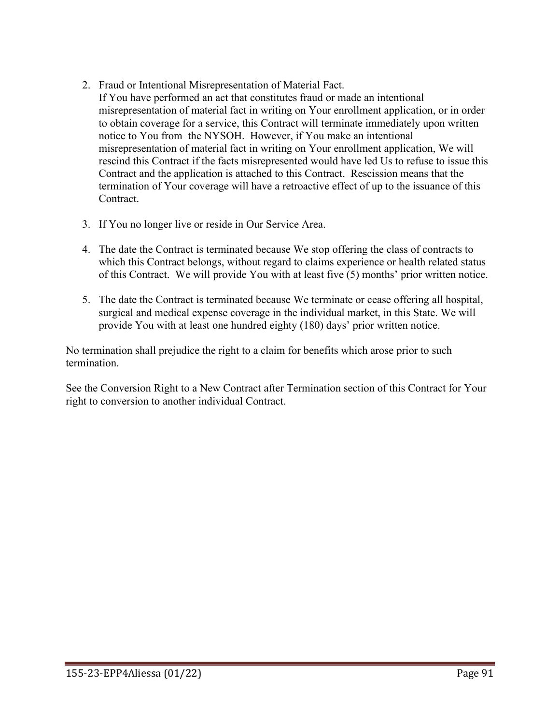- 2. Fraud or Intentional Misrepresentation of Material Fact. If You have performed an act that constitutes fraud or made an intentional misrepresentation of material fact in writing on Your enrollment application, or in order to obtain coverage for a service, this Contract will terminate immediately upon written notice to You from the NYSOH. However, if You make an intentional misrepresentation of material fact in writing on Your enrollment application, We will rescind this Contract if the facts misrepresented would have led Us to refuse to issue this Contract and the application is attached to this Contract. Rescission means that the termination of Your coverage will have a retroactive effect of up to the issuance of this Contract.
- 3. If You no longer live or reside in Our Service Area.
- 4. The date the Contract is terminated because We stop offering the class of contracts to which this Contract belongs, without regard to claims experience or health related status of this Contract. We will provide You with at least five (5) months' prior written notice.
- 5. The date the Contract is terminated because We terminate or cease offering all hospital, surgical and medical expense coverage in the individual market, in this State. We will provide You with at least one hundred eighty (180) days' prior written notice.

No termination shall prejudice the right to a claim for benefits which arose prior to such termination.

See the Conversion Right to a New Contract after Termination section of this Contract for Your right to conversion to another individual Contract.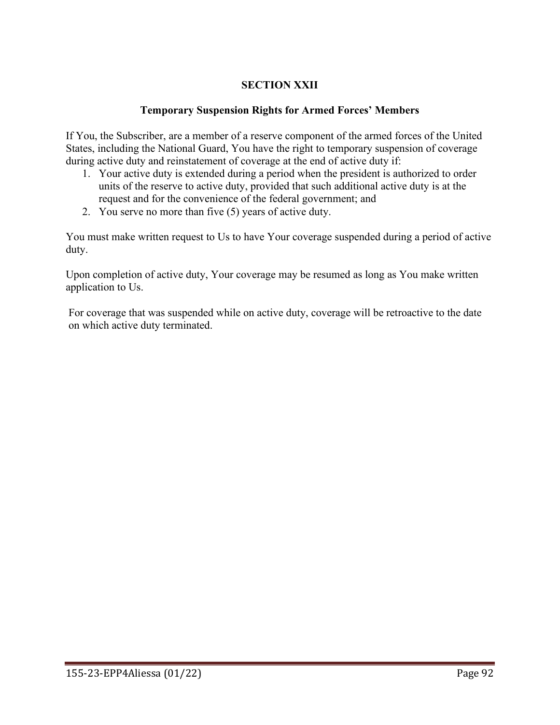# **SECTION XXII**

### **Temporary Suspension Rights for Armed Forces' Members**

If You, the Subscriber, are a member of a reserve component of the armed forces of the United States, including the National Guard, You have the right to temporary suspension of coverage during active duty and reinstatement of coverage at the end of active duty if:

- 1. Your active duty is extended during a period when the president is authorized to order units of the reserve to active duty, provided that such additional active duty is at the request and for the convenience of the federal government; and
- 2. You serve no more than five (5) years of active duty.

You must make written request to Us to have Your coverage suspended during a period of active duty.

Upon completion of active duty, Your coverage may be resumed as long as You make written application to Us.

For coverage that was suspended while on active duty, coverage will be retroactive to the date on which active duty terminated.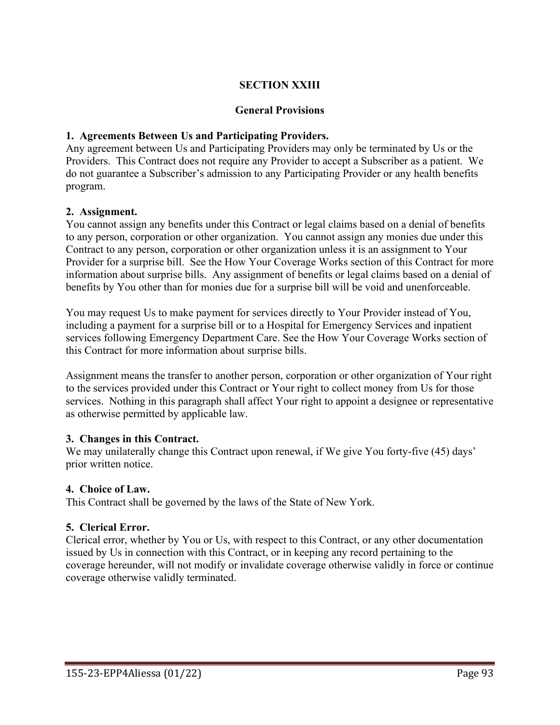### **SECTION XXIII**

#### **General Provisions**

#### **1. Agreements Between Us and Participating Providers.**

Any agreement between Us and Participating Providers may only be terminated by Us or the Providers. This Contract does not require any Provider to accept a Subscriber as a patient. We do not guarantee a Subscriber's admission to any Participating Provider or any health benefits program.

#### **2. Assignment.**

You cannot assign any benefits under this Contract or legal claims based on a denial of benefits to any person, corporation or other organization. You cannot assign any monies due under this Contract to any person, corporation or other organization unless it is an assignment to Your Provider for a surprise bill. See the How Your Coverage Works section of this Contract for more information about surprise bills. Any assignment of benefits or legal claims based on a denial of benefits by You other than for monies due for a surprise bill will be void and unenforceable.

You may request Us to make payment for services directly to Your Provider instead of You, including a payment for a surprise bill or to a Hospital for Emergency Services and inpatient services following Emergency Department Care. See the How Your Coverage Works section of this Contract for more information about surprise bills.

Assignment means the transfer to another person, corporation or other organization of Your right to the services provided under this Contract or Your right to collect money from Us for those services. Nothing in this paragraph shall affect Your right to appoint a designee or representative as otherwise permitted by applicable law.

#### **3. Changes in this Contract.**

We may unilaterally change this Contract upon renewal, if We give You forty-five (45) days' prior written notice.

#### **4. Choice of Law.**

This Contract shall be governed by the laws of the State of New York.

#### **5. Clerical Error.**

Clerical error, whether by You or Us, with respect to this Contract, or any other documentation issued by Us in connection with this Contract, or in keeping any record pertaining to the coverage hereunder, will not modify or invalidate coverage otherwise validly in force or continue coverage otherwise validly terminated.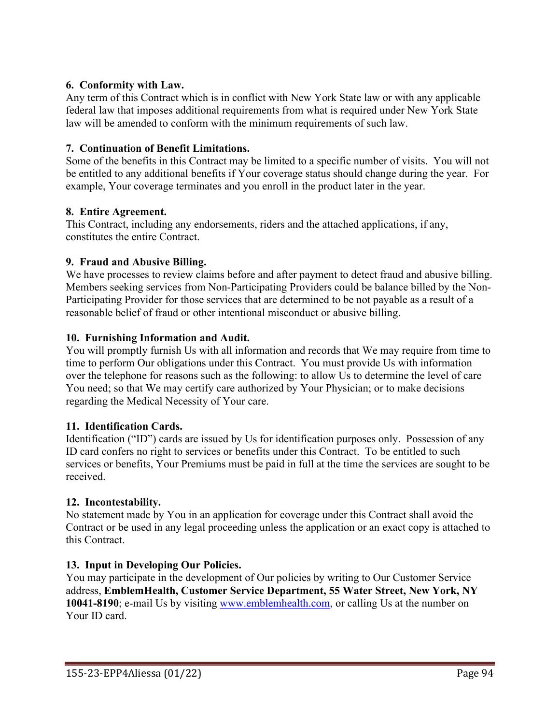### **6. Conformity with Law.**

Any term of this Contract which is in conflict with New York State law or with any applicable federal law that imposes additional requirements from what is required under New York State law will be amended to conform with the minimum requirements of such law.

### **7. Continuation of Benefit Limitations.**

Some of the benefits in this Contract may be limited to a specific number of visits. You will not be entitled to any additional benefits if Your coverage status should change during the year. For example, Your coverage terminates and you enroll in the product later in the year.

### **8. Entire Agreement.**

This Contract, including any endorsements, riders and the attached applications, if any, constitutes the entire Contract.

### **9. Fraud and Abusive Billing.**

We have processes to review claims before and after payment to detect fraud and abusive billing. Members seeking services from Non-Participating Providers could be balance billed by the Non-Participating Provider for those services that are determined to be not payable as a result of a reasonable belief of fraud or other intentional misconduct or abusive billing.

### **10. Furnishing Information and Audit.**

You will promptly furnish Us with all information and records that We may require from time to time to perform Our obligations under this Contract. You must provide Us with information over the telephone for reasons such as the following: to allow Us to determine the level of care You need; so that We may certify care authorized by Your Physician; or to make decisions regarding the Medical Necessity of Your care.

### **11. Identification Cards.**

Identification ("ID") cards are issued by Us for identification purposes only. Possession of any ID card confers no right to services or benefits under this Contract. To be entitled to such services or benefits, Your Premiums must be paid in full at the time the services are sought to be received.

### **12. Incontestability.**

No statement made by You in an application for coverage under this Contract shall avoid the Contract or be used in any legal proceeding unless the application or an exact copy is attached to this Contract.

# **13. Input in Developing Our Policies.**

You may participate in the development of Our policies by writing to Our Customer Service address, **EmblemHealth, Customer Service Department, 55 Water Street, New York, NY 10041-8190**; e-mail Us by visiting [www.emblemhealth.com,](http://www.emblemhealth.com/) or calling Us at the number on Your ID card.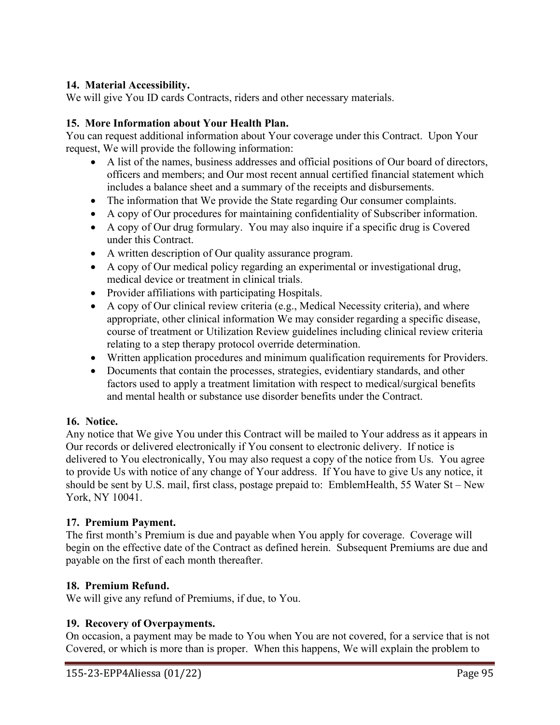### **14. Material Accessibility.**

We will give You ID cards Contracts, riders and other necessary materials.

### **15. More Information about Your Health Plan.**

You can request additional information about Your coverage under this Contract. Upon Your request, We will provide the following information:

- A list of the names, business addresses and official positions of Our board of directors, officers and members; and Our most recent annual certified financial statement which includes a balance sheet and a summary of the receipts and disbursements.
- The information that We provide the State regarding Our consumer complaints.
- A copy of Our procedures for maintaining confidentiality of Subscriber information.
- A copy of Our drug formulary. You may also inquire if a specific drug is Covered under this Contract.
- A written description of Our quality assurance program.
- A copy of Our medical policy regarding an experimental or investigational drug, medical device or treatment in clinical trials.
- Provider affiliations with participating Hospitals.
- A copy of Our clinical review criteria (e.g., Medical Necessity criteria), and where appropriate, other clinical information We may consider regarding a specific disease, course of treatment or Utilization Review guidelines including clinical review criteria relating to a step therapy protocol override determination.
- Written application procedures and minimum qualification requirements for Providers.
- Documents that contain the processes, strategies, evidentiary standards, and other factors used to apply a treatment limitation with respect to medical/surgical benefits and mental health or substance use disorder benefits under the Contract.

### **16. Notice.**

Any notice that We give You under this Contract will be mailed to Your address as it appears in Our records or delivered electronically if You consent to electronic delivery. If notice is delivered to You electronically, You may also request a copy of the notice from Us. You agree to provide Us with notice of any change of Your address. If You have to give Us any notice, it should be sent by U.S. mail, first class, postage prepaid to: EmblemHealth, 55 Water St – New York, NY 10041.

### **17. Premium Payment.**

The first month's Premium is due and payable when You apply for coverage. Coverage will begin on the effective date of the Contract as defined herein. Subsequent Premiums are due and payable on the first of each month thereafter.

### **18. Premium Refund.**

We will give any refund of Premiums, if due, to You.

### **19. Recovery of Overpayments.**

On occasion, a payment may be made to You when You are not covered, for a service that is not Covered, or which is more than is proper. When this happens, We will explain the problem to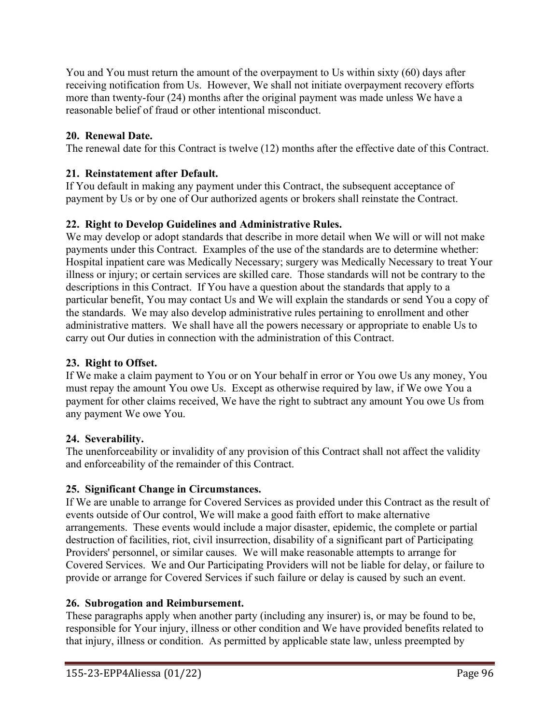You and You must return the amount of the overpayment to Us within sixty (60) days after receiving notification from Us. However, We shall not initiate overpayment recovery efforts more than twenty-four (24) months after the original payment was made unless We have a reasonable belief of fraud or other intentional misconduct.

# **20. Renewal Date.**

The renewal date for this Contract is twelve (12) months after the effective date of this Contract.

# **21. Reinstatement after Default.**

If You default in making any payment under this Contract, the subsequent acceptance of payment by Us or by one of Our authorized agents or brokers shall reinstate the Contract.

# **22. Right to Develop Guidelines and Administrative Rules.**

We may develop or adopt standards that describe in more detail when We will or will not make payments under this Contract. Examples of the use of the standards are to determine whether: Hospital inpatient care was Medically Necessary; surgery was Medically Necessary to treat Your illness or injury; or certain services are skilled care. Those standards will not be contrary to the descriptions in this Contract. If You have a question about the standards that apply to a particular benefit, You may contact Us and We will explain the standards or send You a copy of the standards. We may also develop administrative rules pertaining to enrollment and other administrative matters. We shall have all the powers necessary or appropriate to enable Us to carry out Our duties in connection with the administration of this Contract.

# **23. Right to Offset.**

If We make a claim payment to You or on Your behalf in error or You owe Us any money, You must repay the amount You owe Us. Except as otherwise required by law, if We owe You a payment for other claims received, We have the right to subtract any amount You owe Us from any payment We owe You.

# **24. Severability.**

The unenforceability or invalidity of any provision of this Contract shall not affect the validity and enforceability of the remainder of this Contract.

# **25. Significant Change in Circumstances.**

If We are unable to arrange for Covered Services as provided under this Contract as the result of events outside of Our control, We will make a good faith effort to make alternative arrangements. These events would include a major disaster, epidemic, the complete or partial destruction of facilities, riot, civil insurrection, disability of a significant part of Participating Providers' personnel, or similar causes. We will make reasonable attempts to arrange for Covered Services. We and Our Participating Providers will not be liable for delay, or failure to provide or arrange for Covered Services if such failure or delay is caused by such an event.

# **26. Subrogation and Reimbursement.**

These paragraphs apply when another party (including any insurer) is, or may be found to be, responsible for Your injury, illness or other condition and We have provided benefits related to that injury, illness or condition. As permitted by applicable state law, unless preempted by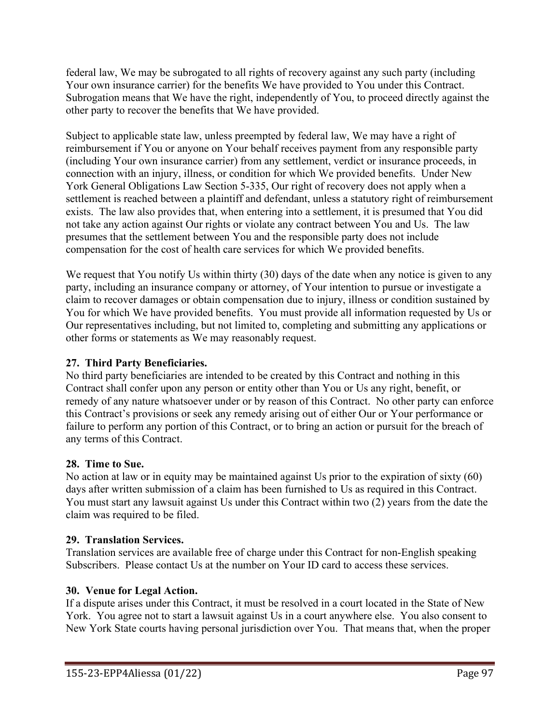federal law, We may be subrogated to all rights of recovery against any such party (including Your own insurance carrier) for the benefits We have provided to You under this Contract. Subrogation means that We have the right, independently of You, to proceed directly against the other party to recover the benefits that We have provided.

Subject to applicable state law, unless preempted by federal law, We may have a right of reimbursement if You or anyone on Your behalf receives payment from any responsible party (including Your own insurance carrier) from any settlement, verdict or insurance proceeds, in connection with an injury, illness, or condition for which We provided benefits. Under New York General Obligations Law Section 5-335, Our right of recovery does not apply when a settlement is reached between a plaintiff and defendant, unless a statutory right of reimbursement exists. The law also provides that, when entering into a settlement, it is presumed that You did not take any action against Our rights or violate any contract between You and Us. The law presumes that the settlement between You and the responsible party does not include compensation for the cost of health care services for which We provided benefits.

We request that You notify Us within thirty (30) days of the date when any notice is given to any party, including an insurance company or attorney, of Your intention to pursue or investigate a claim to recover damages or obtain compensation due to injury, illness or condition sustained by You for which We have provided benefits. You must provide all information requested by Us or Our representatives including, but not limited to, completing and submitting any applications or other forms or statements as We may reasonably request.

# **27. Third Party Beneficiaries.**

No third party beneficiaries are intended to be created by this Contract and nothing in this Contract shall confer upon any person or entity other than You or Us any right, benefit, or remedy of any nature whatsoever under or by reason of this Contract. No other party can enforce this Contract's provisions or seek any remedy arising out of either Our or Your performance or failure to perform any portion of this Contract, or to bring an action or pursuit for the breach of any terms of this Contract.

### **28. Time to Sue.**

No action at law or in equity may be maintained against Us prior to the expiration of sixty (60) days after written submission of a claim has been furnished to Us as required in this Contract. You must start any lawsuit against Us under this Contract within two (2) years from the date the claim was required to be filed.

### **29. Translation Services.**

Translation services are available free of charge under this Contract for non-English speaking Subscribers. Please contact Us at the number on Your ID card to access these services.

### **30. Venue for Legal Action.**

If a dispute arises under this Contract, it must be resolved in a court located in the State of New York. You agree not to start a lawsuit against Us in a court anywhere else. You also consent to New York State courts having personal jurisdiction over You. That means that, when the proper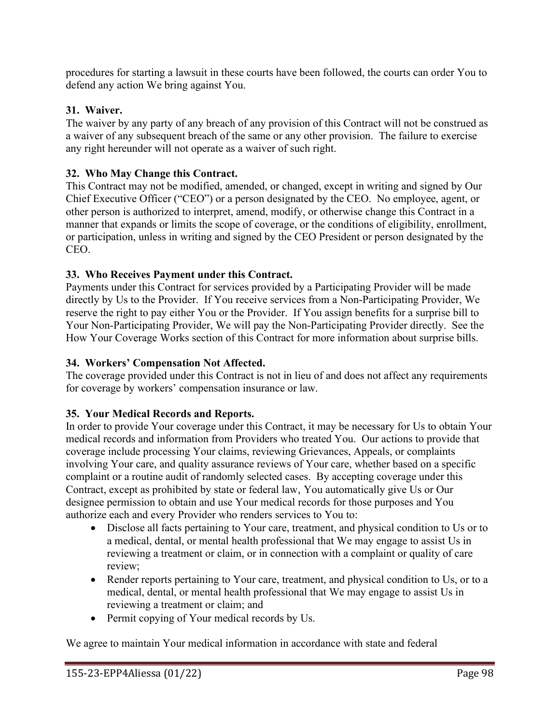procedures for starting a lawsuit in these courts have been followed, the courts can order You to defend any action We bring against You.

### **31. Waiver.**

The waiver by any party of any breach of any provision of this Contract will not be construed as a waiver of any subsequent breach of the same or any other provision. The failure to exercise any right hereunder will not operate as a waiver of such right.

### **32. Who May Change this Contract.**

This Contract may not be modified, amended, or changed, except in writing and signed by Our Chief Executive Officer ("CEO") or a person designated by the CEO. No employee, agent, or other person is authorized to interpret, amend, modify, or otherwise change this Contract in a manner that expands or limits the scope of coverage, or the conditions of eligibility, enrollment, or participation, unless in writing and signed by the CEO President or person designated by the CEO.

### **33. Who Receives Payment under this Contract.**

Payments under this Contract for services provided by a Participating Provider will be made directly by Us to the Provider. If You receive services from a Non-Participating Provider, We reserve the right to pay either You or the Provider. If You assign benefits for a surprise bill to Your Non-Participating Provider, We will pay the Non-Participating Provider directly. See the How Your Coverage Works section of this Contract for more information about surprise bills.

### **34. Workers' Compensation Not Affected.**

The coverage provided under this Contract is not in lieu of and does not affect any requirements for coverage by workers' compensation insurance or law.

### **35. Your Medical Records and Reports.**

In order to provide Your coverage under this Contract, it may be necessary for Us to obtain Your medical records and information from Providers who treated You. Our actions to provide that coverage include processing Your claims, reviewing Grievances, Appeals, or complaints involving Your care, and quality assurance reviews of Your care, whether based on a specific complaint or a routine audit of randomly selected cases. By accepting coverage under this Contract, except as prohibited by state or federal law, You automatically give Us or Our designee permission to obtain and use Your medical records for those purposes and You authorize each and every Provider who renders services to You to:

- Disclose all facts pertaining to Your care, treatment, and physical condition to Us or to a medical, dental, or mental health professional that We may engage to assist Us in reviewing a treatment or claim, or in connection with a complaint or quality of care review;
- Render reports pertaining to Your care, treatment, and physical condition to Us, or to a medical, dental, or mental health professional that We may engage to assist Us in reviewing a treatment or claim; and
- Permit copying of Your medical records by Us.

We agree to maintain Your medical information in accordance with state and federal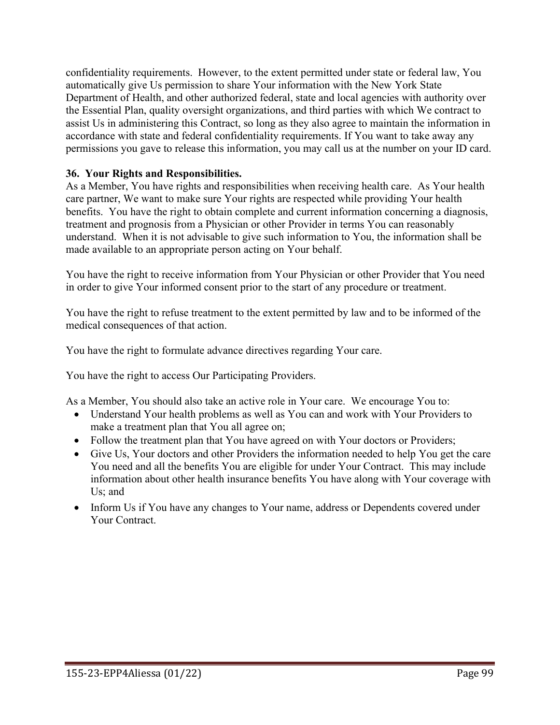confidentiality requirements. However, to the extent permitted under state or federal law, You automatically give Us permission to share Your information with the New York State Department of Health, and other authorized federal, state and local agencies with authority over the Essential Plan, quality oversight organizations, and third parties with which We contract to assist Us in administering this Contract, so long as they also agree to maintain the information in accordance with state and federal confidentiality requirements. If You want to take away any permissions you gave to release this information, you may call us at the number on your ID card.

### **36. Your Rights and Responsibilities.**

As a Member, You have rights and responsibilities when receiving health care. As Your health care partner, We want to make sure Your rights are respected while providing Your health benefits. You have the right to obtain complete and current information concerning a diagnosis, treatment and prognosis from a Physician or other Provider in terms You can reasonably understand. When it is not advisable to give such information to You, the information shall be made available to an appropriate person acting on Your behalf.

You have the right to receive information from Your Physician or other Provider that You need in order to give Your informed consent prior to the start of any procedure or treatment.

You have the right to refuse treatment to the extent permitted by law and to be informed of the medical consequences of that action.

You have the right to formulate advance directives regarding Your care.

You have the right to access Our Participating Providers.

As a Member, You should also take an active role in Your care. We encourage You to:

- Understand Your health problems as well as You can and work with Your Providers to make a treatment plan that You all agree on;
- Follow the treatment plan that You have agreed on with Your doctors or Providers;
- Give Us, Your doctors and other Providers the information needed to help You get the care You need and all the benefits You are eligible for under Your Contract. This may include information about other health insurance benefits You have along with Your coverage with Us; and
- Inform Us if You have any changes to Your name, address or Dependents covered under Your Contract.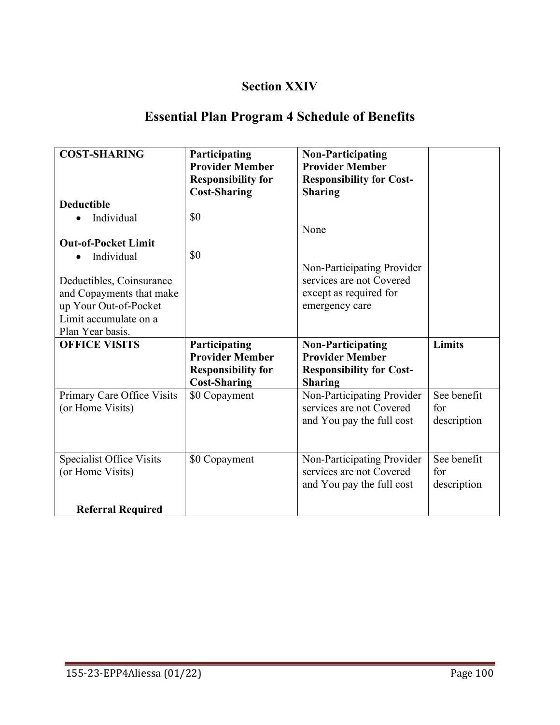# **Section XXIV**

# **Essential Plan Program 4 Schedule of Benefits**

| <b>COST-SHARING</b>             | Participating<br><b>Provider Member</b><br><b>Responsibility for</b> | <b>Non-Participating</b><br><b>Provider Member</b><br><b>Responsibility for Cost-</b> |               |
|---------------------------------|----------------------------------------------------------------------|---------------------------------------------------------------------------------------|---------------|
| <b>Deductible</b>               | <b>Cost-Sharing</b>                                                  | <b>Sharing</b>                                                                        |               |
| Individual                      | \$0                                                                  |                                                                                       |               |
|                                 |                                                                      | None                                                                                  |               |
| <b>Out-of-Pocket Limit</b>      |                                                                      |                                                                                       |               |
| Individual                      | \$0                                                                  |                                                                                       |               |
| Deductibles, Coinsurance        |                                                                      | Non-Participating Provider<br>services are not Covered                                |               |
| and Copayments that make        |                                                                      | except as required for                                                                |               |
| up Your Out-of-Pocket           |                                                                      | emergency care                                                                        |               |
| Limit accumulate on a           |                                                                      |                                                                                       |               |
| Plan Year basis.                |                                                                      |                                                                                       |               |
| <b>OFFICE VISITS</b>            | Participating                                                        | <b>Non-Participating</b>                                                              | <b>Limits</b> |
|                                 | <b>Provider Member</b>                                               | <b>Provider Member</b>                                                                |               |
|                                 | <b>Responsibility for</b><br><b>Cost-Sharing</b>                     | <b>Responsibility for Cost-</b><br><b>Sharing</b>                                     |               |
| Primary Care Office Visits      | \$0 Copayment                                                        | Non-Participating Provider                                                            | See benefit   |
| (or Home Visits)                |                                                                      | services are not Covered                                                              | for           |
|                                 |                                                                      | and You pay the full cost                                                             | description   |
|                                 |                                                                      |                                                                                       |               |
| <b>Specialist Office Visits</b> | \$0 Copayment                                                        | Non-Participating Provider                                                            | See benefit   |
| (or Home Visits)                |                                                                      | services are not Covered                                                              | for           |
|                                 |                                                                      | and You pay the full cost                                                             | description   |
| <b>Referral Required</b>        |                                                                      |                                                                                       |               |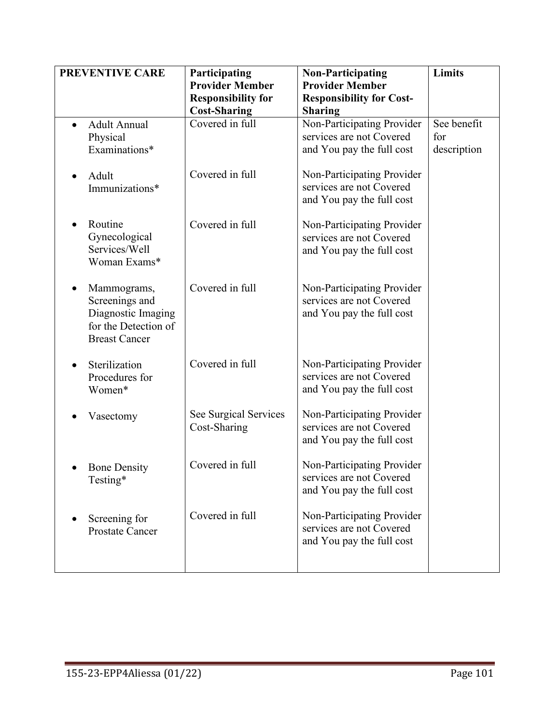| <b>PREVENTIVE CARE</b>                                                                              | Participating<br><b>Provider Member</b><br><b>Responsibility for</b><br><b>Cost-Sharing</b> | <b>Non-Participating</b><br><b>Provider Member</b><br><b>Responsibility for Cost-</b><br><b>Sharing</b> | Limits                            |
|-----------------------------------------------------------------------------------------------------|---------------------------------------------------------------------------------------------|---------------------------------------------------------------------------------------------------------|-----------------------------------|
| <b>Adult Annual</b><br>$\bullet$<br>Physical<br>Examinations*                                       | Covered in full                                                                             | Non-Participating Provider<br>services are not Covered<br>and You pay the full cost                     | See benefit<br>for<br>description |
| Adult<br>Immunizations*                                                                             | Covered in full                                                                             | Non-Participating Provider<br>services are not Covered<br>and You pay the full cost                     |                                   |
| Routine<br>Gynecological<br>Services/Well<br>Woman Exams*                                           | Covered in full                                                                             | Non-Participating Provider<br>services are not Covered<br>and You pay the full cost                     |                                   |
| Mammograms,<br>Screenings and<br>Diagnostic Imaging<br>for the Detection of<br><b>Breast Cancer</b> | Covered in full                                                                             | Non-Participating Provider<br>services are not Covered<br>and You pay the full cost                     |                                   |
| Sterilization<br>Procedures for<br>Women*                                                           | Covered in full                                                                             | Non-Participating Provider<br>services are not Covered<br>and You pay the full cost                     |                                   |
| Vasectomy                                                                                           | See Surgical Services<br>Cost-Sharing                                                       | Non-Participating Provider<br>services are not Covered<br>and You pay the full cost                     |                                   |
| <b>Bone Density</b><br>Testing*                                                                     | Covered in full                                                                             | Non-Participating Provider<br>services are not Covered<br>and You pay the full cost                     |                                   |
| Screening for<br><b>Prostate Cancer</b>                                                             | Covered in full                                                                             | Non-Participating Provider<br>services are not Covered<br>and You pay the full cost                     |                                   |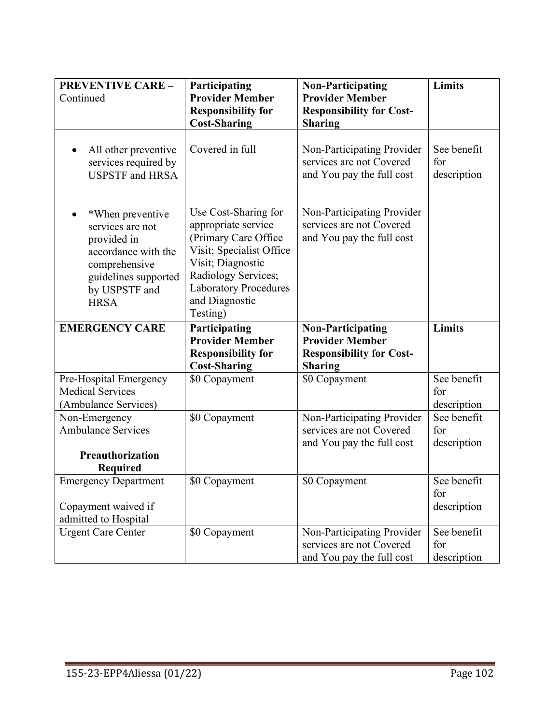| <b>PREVENTIVE CARE -</b><br>Continued                                                                                                               | Participating<br><b>Provider Member</b>                                                                                                                                                                   | <b>Non-Participating</b><br><b>Provider Member</b>                                                      | Limits                            |
|-----------------------------------------------------------------------------------------------------------------------------------------------------|-----------------------------------------------------------------------------------------------------------------------------------------------------------------------------------------------------------|---------------------------------------------------------------------------------------------------------|-----------------------------------|
|                                                                                                                                                     | <b>Responsibility for</b><br><b>Cost-Sharing</b>                                                                                                                                                          | <b>Responsibility for Cost-</b><br><b>Sharing</b>                                                       |                                   |
| All other preventive<br>$\bullet$<br>services required by<br><b>USPSTF</b> and HRSA                                                                 | Covered in full                                                                                                                                                                                           | Non-Participating Provider<br>services are not Covered<br>and You pay the full cost                     | See benefit<br>for<br>description |
| *When preventive<br>services are not<br>provided in<br>accordance with the<br>comprehensive<br>guidelines supported<br>by USPSTF and<br><b>HRSA</b> | Use Cost-Sharing for<br>appropriate service<br>(Primary Care Office<br>Visit; Specialist Office<br>Visit; Diagnostic<br>Radiology Services;<br><b>Laboratory Procedures</b><br>and Diagnostic<br>Testing) | Non-Participating Provider<br>services are not Covered<br>and You pay the full cost                     |                                   |
| <b>EMERGENCY CARE</b>                                                                                                                               | Participating<br><b>Provider Member</b><br><b>Responsibility for</b><br><b>Cost-Sharing</b>                                                                                                               | <b>Non-Participating</b><br><b>Provider Member</b><br><b>Responsibility for Cost-</b><br><b>Sharing</b> | Limits                            |
| Pre-Hospital Emergency                                                                                                                              | \$0 Copayment                                                                                                                                                                                             | \$0 Copayment                                                                                           | See benefit                       |
| <b>Medical Services</b><br>(Ambulance Services)                                                                                                     |                                                                                                                                                                                                           |                                                                                                         | for<br>description                |
| Non-Emergency                                                                                                                                       | \$0 Copayment                                                                                                                                                                                             | Non-Participating Provider                                                                              | See benefit                       |
| <b>Ambulance Services</b>                                                                                                                           |                                                                                                                                                                                                           | services are not Covered<br>and You pay the full cost                                                   | for<br>description                |
| Preauthorization                                                                                                                                    |                                                                                                                                                                                                           |                                                                                                         |                                   |
| <b>Required</b>                                                                                                                                     |                                                                                                                                                                                                           |                                                                                                         |                                   |
| <b>Emergency Department</b>                                                                                                                         | \$0 Copayment                                                                                                                                                                                             | \$0 Copayment                                                                                           | See benefit                       |
| Copayment waived if<br>admitted to Hospital                                                                                                         |                                                                                                                                                                                                           |                                                                                                         | for<br>description                |
| <b>Urgent Care Center</b>                                                                                                                           | \$0 Copayment                                                                                                                                                                                             | Non-Participating Provider<br>services are not Covered<br>and You pay the full cost                     | See benefit<br>for<br>description |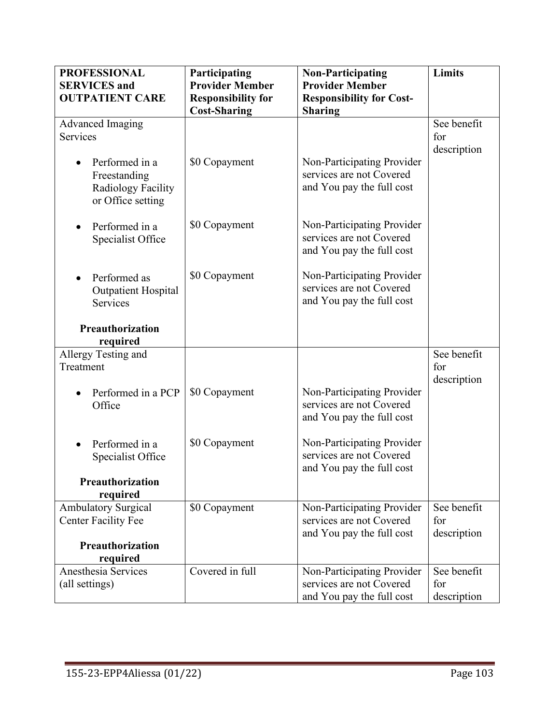| <b>PROFESSIONAL</b>                    | Participating             | <b>Non-Participating</b>        | Limits      |
|----------------------------------------|---------------------------|---------------------------------|-------------|
| <b>SERVICES</b> and                    | <b>Provider Member</b>    | <b>Provider Member</b>          |             |
| <b>OUTPATIENT CARE</b>                 | <b>Responsibility for</b> | <b>Responsibility for Cost-</b> |             |
|                                        | <b>Cost-Sharing</b>       | <b>Sharing</b>                  |             |
| Advanced Imaging                       |                           |                                 | See benefit |
| Services                               |                           |                                 | for         |
|                                        |                           |                                 | description |
| Performed in a                         | \$0 Copayment             | Non-Participating Provider      |             |
| Freestanding                           |                           | services are not Covered        |             |
| Radiology Facility                     |                           | and You pay the full cost       |             |
| or Office setting                      |                           |                                 |             |
|                                        |                           |                                 |             |
| Performed in a                         | \$0 Copayment             | Non-Participating Provider      |             |
| Specialist Office                      |                           | services are not Covered        |             |
|                                        |                           | and You pay the full cost       |             |
|                                        | \$0 Copayment             | Non-Participating Provider      |             |
| Performed as                           |                           | services are not Covered        |             |
| <b>Outpatient Hospital</b><br>Services |                           | and You pay the full cost       |             |
|                                        |                           |                                 |             |
| Preauthorization                       |                           |                                 |             |
| required                               |                           |                                 |             |
| Allergy Testing and                    |                           |                                 | See benefit |
| Treatment                              |                           |                                 | for         |
|                                        |                           |                                 | description |
| Performed in a PCP                     | \$0 Copayment             | Non-Participating Provider      |             |
| Office                                 |                           | services are not Covered        |             |
|                                        |                           | and You pay the full cost       |             |
|                                        |                           |                                 |             |
| Performed in a                         | \$0 Copayment             | Non-Participating Provider      |             |
| Specialist Office                      |                           | services are not Covered        |             |
|                                        |                           | and You pay the full cost       |             |
| Preauthorization                       |                           |                                 |             |
| required                               |                           |                                 |             |
| Ambulatory Surgical                    | \$0 Copayment             | Non-Participating Provider      | See benefit |
| <b>Center Facility Fee</b>             |                           | services are not Covered        | for         |
| <b>Preauthorization</b>                |                           | and You pay the full cost       | description |
| required                               |                           |                                 |             |
| Anesthesia Services                    | Covered in full           | Non-Participating Provider      | See benefit |
| (all settings)                         |                           | services are not Covered        | for         |
|                                        |                           | and You pay the full cost       | description |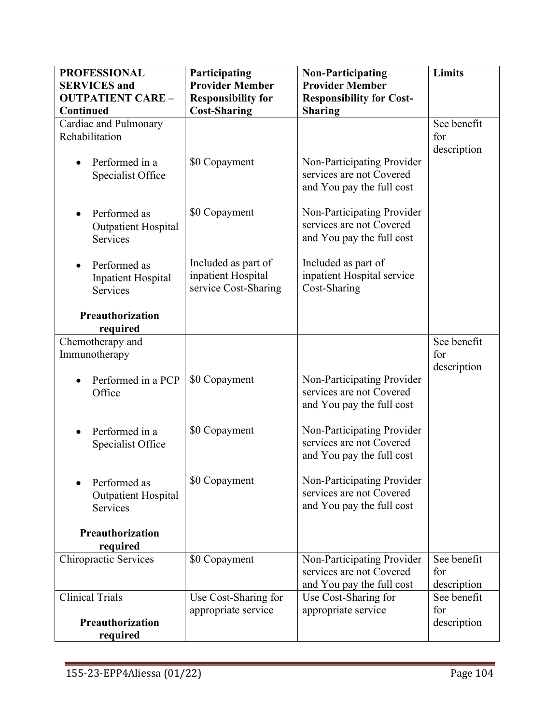| <b>PROFESSIONAL</b>          | Participating             | <b>Non-Participating</b>                   | <b>Limits</b> |
|------------------------------|---------------------------|--------------------------------------------|---------------|
| <b>SERVICES</b> and          | <b>Provider Member</b>    | <b>Provider Member</b>                     |               |
| <b>OUTPATIENT CARE -</b>     | <b>Responsibility for</b> | <b>Responsibility for Cost-</b>            |               |
| Continued                    | <b>Cost-Sharing</b>       | <b>Sharing</b>                             |               |
| Cardiac and Pulmonary        |                           |                                            | See benefit   |
| Rehabilitation               |                           |                                            | for           |
|                              |                           |                                            | description   |
| Performed in a               | \$0 Copayment             | Non-Participating Provider                 |               |
| Specialist Office            |                           | services are not Covered                   |               |
|                              |                           | and You pay the full cost                  |               |
|                              |                           |                                            |               |
| Performed as                 | \$0 Copayment             | Non-Participating Provider                 |               |
| <b>Outpatient Hospital</b>   |                           | services are not Covered                   |               |
| Services                     |                           | and You pay the full cost                  |               |
|                              |                           |                                            |               |
| Performed as                 | Included as part of       | Included as part of                        |               |
| <b>Inpatient Hospital</b>    | inpatient Hospital        | inpatient Hospital service<br>Cost-Sharing |               |
| Services                     | service Cost-Sharing      |                                            |               |
|                              |                           |                                            |               |
| <b>Preauthorization</b>      |                           |                                            |               |
| required<br>Chemotherapy and |                           |                                            | See benefit   |
| Immunotherapy                |                           |                                            | for           |
|                              |                           |                                            | description   |
| Performed in a PCP           | \$0 Copayment             | Non-Participating Provider                 |               |
| Office                       |                           | services are not Covered                   |               |
|                              |                           | and You pay the full cost                  |               |
|                              |                           |                                            |               |
| Performed in a               | \$0 Copayment             | Non-Participating Provider                 |               |
| Specialist Office            |                           | services are not Covered                   |               |
|                              |                           | and You pay the full cost                  |               |
|                              |                           |                                            |               |
| Performed as                 | \$0 Copayment             | Non-Participating Provider                 |               |
| <b>Outpatient Hospital</b>   |                           | services are not Covered                   |               |
| Services                     |                           | and You pay the full cost                  |               |
|                              |                           |                                            |               |
| Preauthorization             |                           |                                            |               |
| required                     |                           |                                            |               |
| Chiropractic Services        | \$0 Copayment             | Non-Participating Provider                 | See benefit   |
|                              |                           | services are not Covered                   | for           |
|                              |                           | and You pay the full cost                  | description   |
| <b>Clinical Trials</b>       | Use Cost-Sharing for      | Use Cost-Sharing for                       | See benefit   |
|                              | appropriate service       | appropriate service                        | for           |
| Preauthorization             |                           |                                            | description   |
| required                     |                           |                                            |               |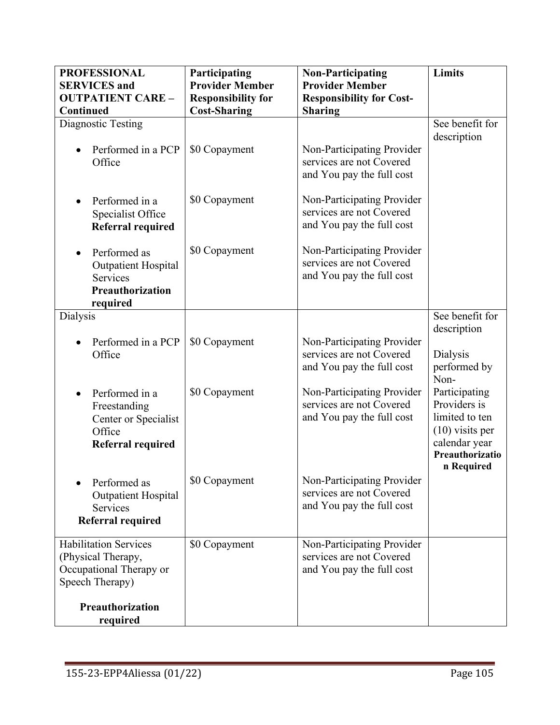| <b>PROFESSIONAL</b><br><b>SERVICES</b> and<br><b>OUTPATIENT CARE -</b><br>Continued              | Participating<br><b>Provider Member</b><br><b>Responsibility for</b><br><b>Cost-Sharing</b> | <b>Non-Participating</b><br><b>Provider Member</b><br><b>Responsibility for Cost-</b><br><b>Sharing</b> | <b>Limits</b>                                                                                                          |
|--------------------------------------------------------------------------------------------------|---------------------------------------------------------------------------------------------|---------------------------------------------------------------------------------------------------------|------------------------------------------------------------------------------------------------------------------------|
| Diagnostic Testing<br>Performed in a PCP<br>Office                                               | \$0 Copayment                                                                               | Non-Participating Provider<br>services are not Covered<br>and You pay the full cost                     | See benefit for<br>description                                                                                         |
| Performed in a<br>Specialist Office<br>Referral required                                         | \$0 Copayment                                                                               | Non-Participating Provider<br>services are not Covered<br>and You pay the full cost                     |                                                                                                                        |
| Performed as<br><b>Outpatient Hospital</b><br><b>Services</b><br>Preauthorization<br>required    | \$0 Copayment                                                                               | Non-Participating Provider<br>services are not Covered<br>and You pay the full cost                     |                                                                                                                        |
| <b>Dialysis</b>                                                                                  |                                                                                             |                                                                                                         | See benefit for<br>description                                                                                         |
| Performed in a PCP<br>Office                                                                     | \$0 Copayment                                                                               | Non-Participating Provider<br>services are not Covered<br>and You pay the full cost                     | Dialysis<br>performed by<br>Non-                                                                                       |
| Performed in a<br>Freestanding<br>Center or Specialist<br>Office<br>Referral required            | \$0 Copayment                                                                               | Non-Participating Provider<br>services are not Covered<br>and You pay the full cost                     | Participating<br>Providers is<br>limited to ten<br>$(10)$ visits per<br>calendar year<br>Preauthorizatio<br>n Required |
| Performed as<br><b>Outpatient Hospital</b><br>Services<br>Referral required                      | \$0 Copayment                                                                               | Non-Participating Provider<br>services are not Covered<br>and You pay the full cost                     |                                                                                                                        |
| <b>Habilitation Services</b><br>(Physical Therapy,<br>Occupational Therapy or<br>Speech Therapy) | \$0 Copayment                                                                               | Non-Participating Provider<br>services are not Covered<br>and You pay the full cost                     |                                                                                                                        |
| Preauthorization<br>required                                                                     |                                                                                             |                                                                                                         |                                                                                                                        |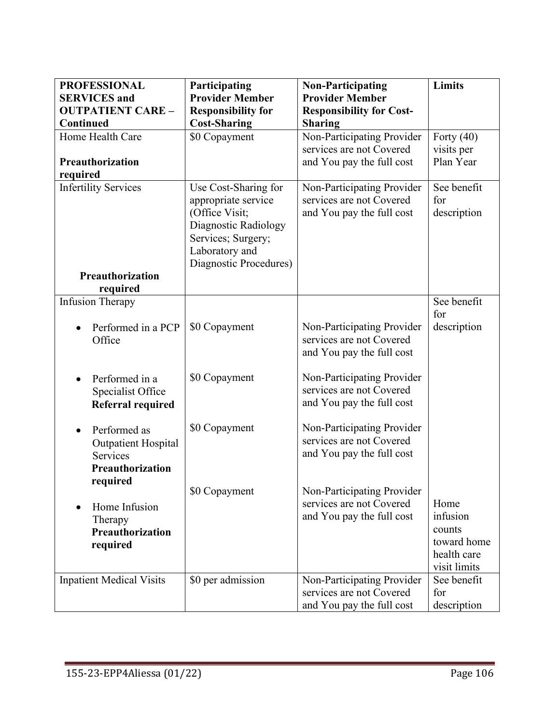| <b>PROFESSIONAL</b>             | Participating             | <b>Non-Participating</b>        | Limits       |
|---------------------------------|---------------------------|---------------------------------|--------------|
| <b>SERVICES</b> and             | <b>Provider Member</b>    | <b>Provider Member</b>          |              |
| <b>OUTPATIENT CARE -</b>        | <b>Responsibility for</b> | <b>Responsibility for Cost-</b> |              |
| Continued                       | <b>Cost-Sharing</b>       | <b>Sharing</b>                  |              |
| Home Health Care                | \$0 Copayment             | Non-Participating Provider      | Forty $(40)$ |
|                                 |                           | services are not Covered        | visits per   |
| Preauthorization                |                           | and You pay the full cost       | Plan Year    |
| required                        |                           |                                 |              |
| <b>Infertility Services</b>     | Use Cost-Sharing for      | Non-Participating Provider      | See benefit  |
|                                 | appropriate service       | services are not Covered        | for          |
|                                 | (Office Visit;            | and You pay the full cost       | description  |
|                                 | Diagnostic Radiology      |                                 |              |
|                                 | Services; Surgery;        |                                 |              |
|                                 | Laboratory and            |                                 |              |
|                                 | Diagnostic Procedures)    |                                 |              |
| <b>Preauthorization</b>         |                           |                                 |              |
| required                        |                           |                                 | See benefit  |
| <b>Infusion Therapy</b>         |                           |                                 | for          |
| Performed in a PCP              | \$0 Copayment             | Non-Participating Provider      | description  |
| Office                          |                           | services are not Covered        |              |
|                                 |                           | and You pay the full cost       |              |
|                                 |                           |                                 |              |
| Performed in a                  | \$0 Copayment             | Non-Participating Provider      |              |
| Specialist Office               |                           | services are not Covered        |              |
| <b>Referral required</b>        |                           | and You pay the full cost       |              |
|                                 |                           |                                 |              |
| Performed as                    | \$0 Copayment             | Non-Participating Provider      |              |
| <b>Outpatient Hospital</b>      |                           | services are not Covered        |              |
| Services                        |                           | and You pay the full cost       |              |
| Preauthorization                |                           |                                 |              |
| required                        |                           |                                 |              |
|                                 | \$0 Copayment             | Non-Participating Provider      |              |
| Home Infusion                   |                           | services are not Covered        | Home         |
| Therapy                         |                           | and You pay the full cost       | infusion     |
| Preauthorization                |                           |                                 | counts       |
| required                        |                           |                                 | toward home  |
|                                 |                           |                                 | health care  |
|                                 |                           |                                 | visit limits |
| <b>Inpatient Medical Visits</b> | \$0 per admission         | Non-Participating Provider      | See benefit  |
|                                 |                           | services are not Covered        | for          |
|                                 |                           | and You pay the full cost       | description  |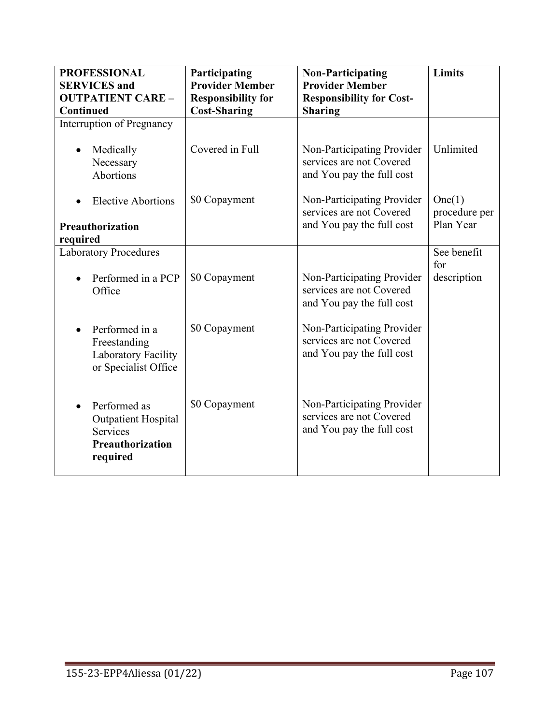| <b>PROFESSIONAL</b><br><b>SERVICES</b> and<br><b>OUTPATIENT CARE -</b>                        | Participating<br><b>Provider Member</b><br><b>Responsibility for</b> | <b>Non-Participating</b><br><b>Provider Member</b><br><b>Responsibility for Cost-</b> | Limits                  |
|-----------------------------------------------------------------------------------------------|----------------------------------------------------------------------|---------------------------------------------------------------------------------------|-------------------------|
| Continued<br>Interruption of Pregnancy                                                        | <b>Cost-Sharing</b>                                                  | <b>Sharing</b>                                                                        |                         |
| Medically                                                                                     | Covered in Full                                                      | Non-Participating Provider                                                            | Unlimited               |
| Necessary                                                                                     |                                                                      | services are not Covered                                                              |                         |
| Abortions                                                                                     |                                                                      | and You pay the full cost                                                             |                         |
| <b>Elective Abortions</b>                                                                     | \$0 Copayment                                                        | Non-Participating Provider<br>services are not Covered                                | One(1)<br>procedure per |
| Preauthorization                                                                              |                                                                      | and You pay the full cost                                                             | Plan Year               |
| required                                                                                      |                                                                      |                                                                                       |                         |
| <b>Laboratory Procedures</b>                                                                  |                                                                      |                                                                                       | See benefit<br>for      |
| Performed in a PCP<br>Office                                                                  | \$0 Copayment                                                        | Non-Participating Provider<br>services are not Covered<br>and You pay the full cost   | description             |
| Performed in a<br>Freestanding<br>Laboratory Facility<br>or Specialist Office                 | \$0 Copayment                                                        | Non-Participating Provider<br>services are not Covered<br>and You pay the full cost   |                         |
| Performed as<br><b>Outpatient Hospital</b><br><b>Services</b><br>Preauthorization<br>required | \$0 Copayment                                                        | Non-Participating Provider<br>services are not Covered<br>and You pay the full cost   |                         |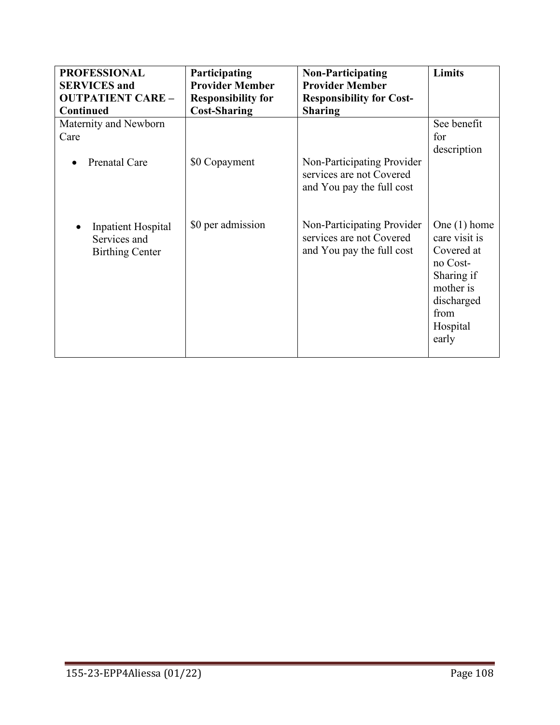| <b>PROFESSIONAL</b>                                                 | Participating             | <b>Non-Participating</b>                                                            | Limits                                                                                                                          |
|---------------------------------------------------------------------|---------------------------|-------------------------------------------------------------------------------------|---------------------------------------------------------------------------------------------------------------------------------|
| <b>SERVICES</b> and                                                 | <b>Provider Member</b>    | <b>Provider Member</b>                                                              |                                                                                                                                 |
| <b>OUTPATIENT CARE -</b>                                            | <b>Responsibility for</b> | <b>Responsibility for Cost-</b>                                                     |                                                                                                                                 |
| <b>Continued</b>                                                    | <b>Cost-Sharing</b>       | <b>Sharing</b>                                                                      |                                                                                                                                 |
| Maternity and Newborn<br>Care<br>Prenatal Care<br>$\bullet$         | \$0 Copayment             | Non-Participating Provider<br>services are not Covered<br>and You pay the full cost | See benefit<br>for<br>description                                                                                               |
| <b>Inpatient Hospital</b><br>Services and<br><b>Birthing Center</b> | \$0 per admission         | Non-Participating Provider<br>services are not Covered<br>and You pay the full cost | One $(1)$ home<br>care visit is<br>Covered at<br>no Cost-<br>Sharing if<br>mother is<br>discharged<br>from<br>Hospital<br>early |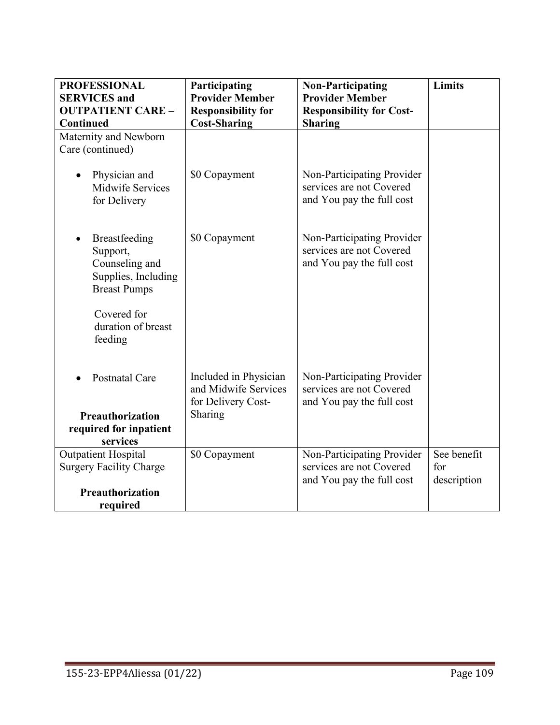| <b>PROFESSIONAL</b><br><b>SERVICES</b> and                                                | Participating<br><b>Provider Member</b>                             | <b>Non-Participating</b><br><b>Provider Member</b>                                  | <b>Limits</b>      |
|-------------------------------------------------------------------------------------------|---------------------------------------------------------------------|-------------------------------------------------------------------------------------|--------------------|
| <b>OUTPATIENT CARE -</b><br><b>Continued</b>                                              | <b>Responsibility for</b><br><b>Cost-Sharing</b>                    | <b>Responsibility for Cost-</b><br><b>Sharing</b>                                   |                    |
| Maternity and Newborn<br>Care (continued)                                                 |                                                                     |                                                                                     |                    |
| Physician and<br><b>Midwife Services</b><br>for Delivery                                  | \$0 Copayment                                                       | Non-Participating Provider<br>services are not Covered<br>and You pay the full cost |                    |
| Breastfeeding<br>Support,<br>Counseling and<br>Supplies, Including<br><b>Breast Pumps</b> | \$0 Copayment                                                       | Non-Participating Provider<br>services are not Covered<br>and You pay the full cost |                    |
| Covered for<br>duration of breast<br>feeding                                              |                                                                     |                                                                                     |                    |
| <b>Postnatal Care</b>                                                                     | Included in Physician<br>and Midwife Services<br>for Delivery Cost- | Non-Participating Provider<br>services are not Covered<br>and You pay the full cost |                    |
| Preauthorization                                                                          | Sharing                                                             |                                                                                     |                    |
| required for inpatient<br>services                                                        |                                                                     |                                                                                     |                    |
| <b>Outpatient Hospital</b>                                                                | \$0 Copayment                                                       | Non-Participating Provider                                                          | See benefit        |
| <b>Surgery Facility Charge</b>                                                            |                                                                     | services are not Covered<br>and You pay the full cost                               | for<br>description |
| Preauthorization                                                                          |                                                                     |                                                                                     |                    |
| required                                                                                  |                                                                     |                                                                                     |                    |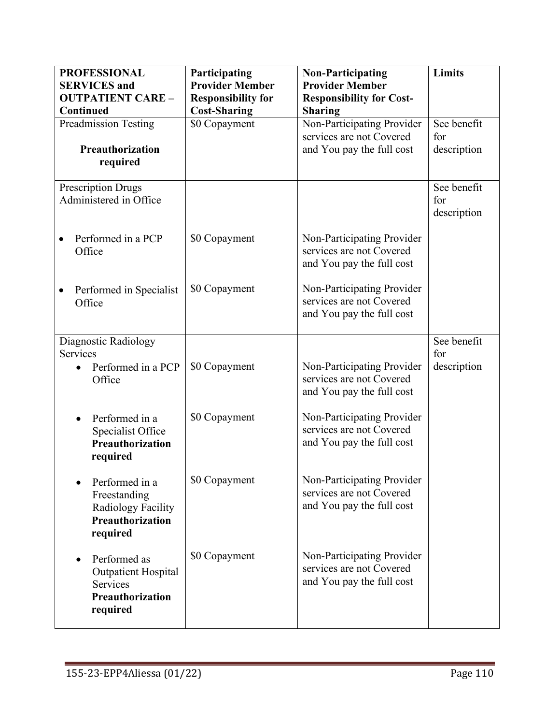| <b>PROFESSIONAL</b><br><b>SERVICES</b> and                                                    | Participating<br><b>Provider Member</b> | <b>Non-Participating</b><br><b>Provider Member</b>                                  | <b>Limits</b>                     |
|-----------------------------------------------------------------------------------------------|-----------------------------------------|-------------------------------------------------------------------------------------|-----------------------------------|
| <b>OUTPATIENT CARE -</b>                                                                      | <b>Responsibility for</b>               | <b>Responsibility for Cost-</b>                                                     |                                   |
| Continued                                                                                     | <b>Cost-Sharing</b>                     | <b>Sharing</b>                                                                      |                                   |
| Preadmission Testing                                                                          | \$0 Copayment                           | Non-Participating Provider<br>services are not Covered                              | See benefit<br>for                |
| Preauthorization                                                                              |                                         | and You pay the full cost                                                           | description                       |
| required                                                                                      |                                         |                                                                                     |                                   |
| <b>Prescription Drugs</b><br>Administered in Office                                           |                                         |                                                                                     | See benefit<br>for<br>description |
| Performed in a PCP<br>Office                                                                  | \$0 Copayment                           | Non-Participating Provider<br>services are not Covered<br>and You pay the full cost |                                   |
| Performed in Specialist<br>Office                                                             | \$0 Copayment                           | Non-Participating Provider<br>services are not Covered<br>and You pay the full cost |                                   |
| Diagnostic Radiology<br><b>Services</b>                                                       |                                         |                                                                                     | See benefit<br>for                |
| Performed in a PCP<br>Office                                                                  | \$0 Copayment                           | Non-Participating Provider<br>services are not Covered<br>and You pay the full cost | description                       |
| Performed in a<br>Specialist Office<br><b>Preauthorization</b><br>required                    | \$0 Copayment                           | Non-Participating Provider<br>services are not Covered<br>and You pay the full cost |                                   |
| Performed in a<br>Freestanding<br>Radiology Facility<br>Preauthorization<br>required          | \$0 Copayment                           | Non-Participating Provider<br>services are not Covered<br>and You pay the full cost |                                   |
| Performed as<br><b>Outpatient Hospital</b><br><b>Services</b><br>Preauthorization<br>required | \$0 Copayment                           | Non-Participating Provider<br>services are not Covered<br>and You pay the full cost |                                   |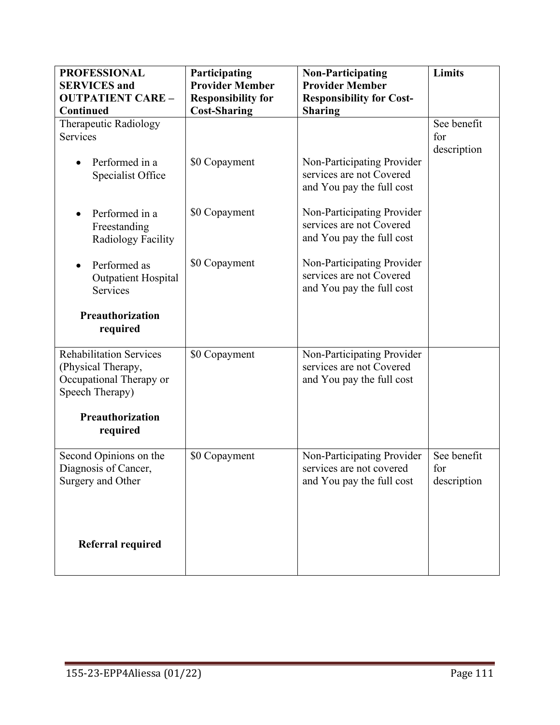| <b>PROFESSIONAL</b><br><b>SERVICES</b> and                                                         | Participating<br><b>Provider Member</b>          | <b>Non-Participating</b><br><b>Provider Member</b>                                  | <b>Limits</b>                     |
|----------------------------------------------------------------------------------------------------|--------------------------------------------------|-------------------------------------------------------------------------------------|-----------------------------------|
| <b>OUTPATIENT CARE -</b><br>Continued                                                              | <b>Responsibility for</b><br><b>Cost-Sharing</b> | <b>Responsibility for Cost-</b><br><b>Sharing</b>                                   |                                   |
| Therapeutic Radiology<br>Services                                                                  |                                                  |                                                                                     | See benefit<br>for<br>description |
| Performed in a<br>Specialist Office                                                                | \$0 Copayment                                    | Non-Participating Provider<br>services are not Covered<br>and You pay the full cost |                                   |
| Performed in a<br>Freestanding<br>Radiology Facility                                               | \$0 Copayment                                    | Non-Participating Provider<br>services are not Covered<br>and You pay the full cost |                                   |
| Performed as<br>Outpatient Hospital<br><b>Services</b>                                             | \$0 Copayment                                    | Non-Participating Provider<br>services are not Covered<br>and You pay the full cost |                                   |
| Preauthorization<br>required                                                                       |                                                  |                                                                                     |                                   |
| <b>Rehabilitation Services</b><br>(Physical Therapy,<br>Occupational Therapy or<br>Speech Therapy) | \$0 Copayment                                    | Non-Participating Provider<br>services are not Covered<br>and You pay the full cost |                                   |
| Preauthorization<br>required                                                                       |                                                  |                                                                                     |                                   |
| Second Opinions on the<br>Diagnosis of Cancer,<br>Surgery and Other                                | \$0 Copayment                                    | Non-Participating Provider<br>services are not covered<br>and You pay the full cost | See benefit<br>for<br>description |
| <b>Referral required</b>                                                                           |                                                  |                                                                                     |                                   |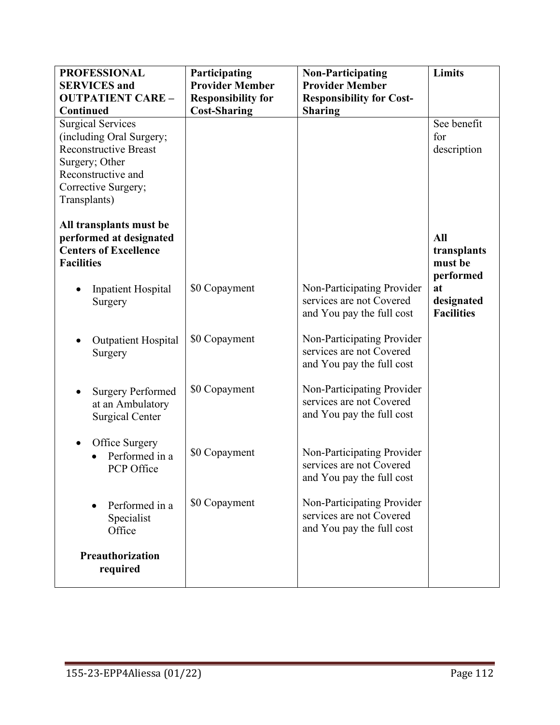| <b>PROFESSIONAL</b>                                                                                     | Participating             | <b>Non-Participating</b>                                                            | <b>Limits</b>                                      |
|---------------------------------------------------------------------------------------------------------|---------------------------|-------------------------------------------------------------------------------------|----------------------------------------------------|
| <b>SERVICES</b> and                                                                                     | <b>Provider Member</b>    | <b>Provider Member</b>                                                              |                                                    |
| <b>OUTPATIENT CARE -</b>                                                                                | <b>Responsibility for</b> | <b>Responsibility for Cost-</b>                                                     |                                                    |
| Continued                                                                                               | <b>Cost-Sharing</b>       | <b>Sharing</b>                                                                      |                                                    |
| <b>Surgical Services</b>                                                                                |                           |                                                                                     | See benefit                                        |
| (including Oral Surgery;                                                                                |                           |                                                                                     | for                                                |
| <b>Reconstructive Breast</b>                                                                            |                           |                                                                                     | description                                        |
| Surgery; Other                                                                                          |                           |                                                                                     |                                                    |
| Reconstructive and                                                                                      |                           |                                                                                     |                                                    |
| Corrective Surgery;                                                                                     |                           |                                                                                     |                                                    |
| Transplants)                                                                                            |                           |                                                                                     |                                                    |
| All transplants must be<br>performed at designated<br><b>Centers of Excellence</b><br><b>Facilities</b> |                           |                                                                                     | All<br>transplants<br>must be                      |
| <b>Inpatient Hospital</b><br>Surgery                                                                    | \$0 Copayment             | Non-Participating Provider<br>services are not Covered<br>and You pay the full cost | performed<br>at<br>designated<br><b>Facilities</b> |
| <b>Outpatient Hospital</b><br>Surgery                                                                   | \$0 Copayment             | Non-Participating Provider<br>services are not Covered<br>and You pay the full cost |                                                    |
| <b>Surgery Performed</b><br>at an Ambulatory<br><b>Surgical Center</b>                                  | \$0 Copayment             | Non-Participating Provider<br>services are not Covered<br>and You pay the full cost |                                                    |
| Office Surgery<br>Performed in a<br>PCP Office                                                          | \$0 Copayment             | Non-Participating Provider<br>services are not Covered<br>and You pay the full cost |                                                    |
| Performed in a<br>Specialist<br>Office                                                                  | \$0 Copayment             | Non-Participating Provider<br>services are not Covered<br>and You pay the full cost |                                                    |
| Preauthorization<br>required                                                                            |                           |                                                                                     |                                                    |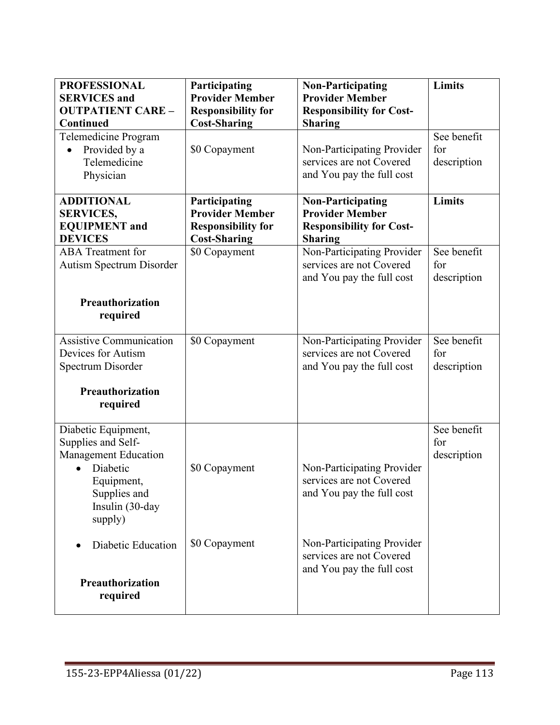| <b>PROFESSIONAL</b><br><b>SERVICES</b> and<br><b>OUTPATIENT CARE -</b><br>Continued                                                              | Participating<br><b>Provider Member</b><br><b>Responsibility for</b><br><b>Cost-Sharing</b> | <b>Non-Participating</b><br><b>Provider Member</b><br><b>Responsibility for Cost-</b><br><b>Sharing</b> | <b>Limits</b>                     |
|--------------------------------------------------------------------------------------------------------------------------------------------------|---------------------------------------------------------------------------------------------|---------------------------------------------------------------------------------------------------------|-----------------------------------|
| Telemedicine Program<br>Provided by a<br>Telemedicine<br>Physician                                                                               | \$0 Copayment                                                                               | Non-Participating Provider<br>services are not Covered<br>and You pay the full cost                     | See benefit<br>for<br>description |
| <b>ADDITIONAL</b><br><b>SERVICES,</b><br><b>EQUIPMENT</b> and<br><b>DEVICES</b>                                                                  | Participating<br><b>Provider Member</b><br><b>Responsibility for</b><br><b>Cost-Sharing</b> | <b>Non-Participating</b><br><b>Provider Member</b><br><b>Responsibility for Cost-</b><br><b>Sharing</b> | <b>Limits</b>                     |
| <b>ABA</b> Treatment for<br>Autism Spectrum Disorder                                                                                             | \$0 Copayment                                                                               | Non-Participating Provider<br>services are not Covered<br>and You pay the full cost                     | See benefit<br>for<br>description |
| Preauthorization<br>required                                                                                                                     |                                                                                             |                                                                                                         |                                   |
| <b>Assistive Communication</b><br>Devices for Autism<br>Spectrum Disorder                                                                        | \$0 Copayment                                                                               | Non-Participating Provider<br>services are not Covered<br>and You pay the full cost                     | See benefit<br>for<br>description |
| Preauthorization<br>required                                                                                                                     |                                                                                             |                                                                                                         |                                   |
| Diabetic Equipment,<br>Supplies and Self-<br><b>Management Education</b><br>Diabetic<br>Equipment,<br>Supplies and<br>Insulin (30-day<br>supply) | \$0 Copayment                                                                               | Non-Participating Provider<br>services are not Covered<br>and You pay the full cost                     | See benefit<br>for<br>description |
| Diabetic Education<br>Preauthorization<br>required                                                                                               | \$0 Copayment                                                                               | Non-Participating Provider<br>services are not Covered<br>and You pay the full cost                     |                                   |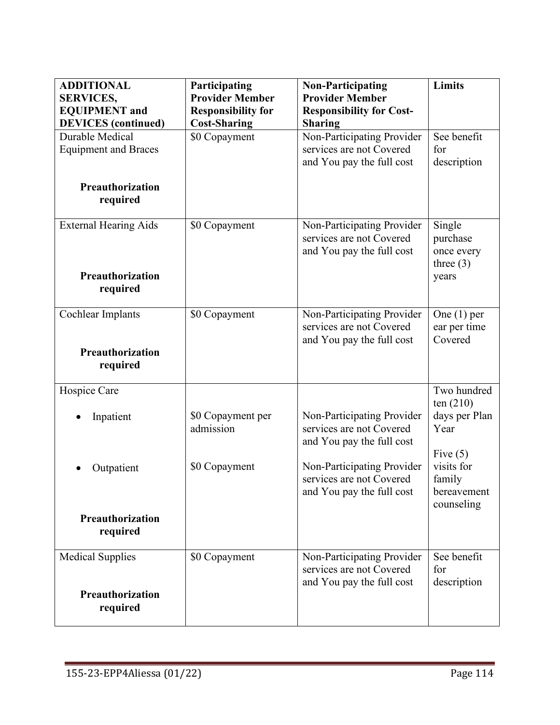| <b>ADDITIONAL</b><br><b>SERVICES,</b><br><b>EQUIPMENT</b> and<br><b>DEVICES</b> (continued) | Participating<br><b>Provider Member</b><br><b>Responsibility for</b><br><b>Cost-Sharing</b> | <b>Non-Participating</b><br><b>Provider Member</b><br><b>Responsibility for Cost-</b><br><b>Sharing</b> | Limits                                            |
|---------------------------------------------------------------------------------------------|---------------------------------------------------------------------------------------------|---------------------------------------------------------------------------------------------------------|---------------------------------------------------|
| Durable Medical<br><b>Equipment and Braces</b><br><b>Preauthorization</b>                   | \$0 Copayment                                                                               | Non-Participating Provider<br>services are not Covered<br>and You pay the full cost                     | See benefit<br>for<br>description                 |
| required                                                                                    |                                                                                             |                                                                                                         |                                                   |
| <b>External Hearing Aids</b>                                                                | \$0 Copayment                                                                               | Non-Participating Provider<br>services are not Covered<br>and You pay the full cost                     | Single<br>purchase<br>once every<br>three $(3)$   |
| Preauthorization<br>required                                                                |                                                                                             |                                                                                                         | years                                             |
| Cochlear Implants<br>Preauthorization                                                       | \$0 Copayment                                                                               | Non-Participating Provider<br>services are not Covered<br>and You pay the full cost                     | One $(1)$ per<br>ear per time<br>Covered          |
| required                                                                                    |                                                                                             |                                                                                                         |                                                   |
| Hospice Care                                                                                |                                                                                             |                                                                                                         | Two hundred<br>ten $(210)$                        |
| Inpatient                                                                                   | \$0 Copayment per<br>admission                                                              | Non-Participating Provider<br>services are not Covered<br>and You pay the full cost                     | days per Plan<br>Year<br>Five $(5)$               |
| Outpatient                                                                                  | \$0 Copayment                                                                               | Non-Participating Provider<br>services are not Covered<br>and You pay the full cost                     | visits for<br>family<br>bereavement<br>counseling |
| Preauthorization<br>required                                                                |                                                                                             |                                                                                                         |                                                   |
| <b>Medical Supplies</b>                                                                     | \$0 Copayment                                                                               | Non-Participating Provider<br>services are not Covered                                                  | See benefit<br>for                                |
| Preauthorization<br>required                                                                |                                                                                             | and You pay the full cost                                                                               | description                                       |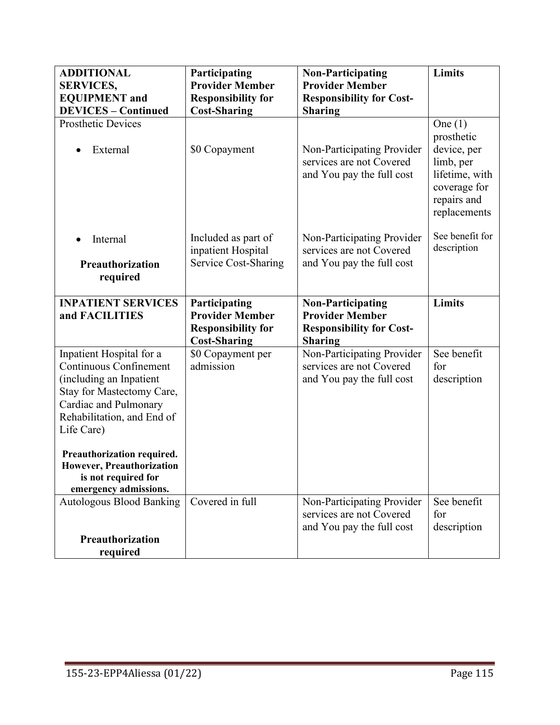| <b>ADDITIONAL</b><br><b>SERVICES,</b><br><b>EQUIPMENT</b> and<br><b>DEVICES - Continued</b>                                                                                            | Participating<br><b>Provider Member</b><br><b>Responsibility for</b><br><b>Cost-Sharing</b> | <b>Non-Participating</b><br><b>Provider Member</b><br><b>Responsibility for Cost-</b><br><b>Sharing</b> | <b>Limits</b>                                                                                                        |
|----------------------------------------------------------------------------------------------------------------------------------------------------------------------------------------|---------------------------------------------------------------------------------------------|---------------------------------------------------------------------------------------------------------|----------------------------------------------------------------------------------------------------------------------|
| <b>Prosthetic Devices</b><br>External                                                                                                                                                  | \$0 Copayment                                                                               | Non-Participating Provider<br>services are not Covered<br>and You pay the full cost                     | One $(1)$<br>prosthetic<br>device, per<br>limb, per<br>lifetime, with<br>coverage for<br>repairs and<br>replacements |
| Internal<br>Preauthorization<br>required                                                                                                                                               | Included as part of<br>inpatient Hospital<br>Service Cost-Sharing                           | Non-Participating Provider<br>services are not Covered<br>and You pay the full cost                     | See benefit for<br>description                                                                                       |
| <b>INPATIENT SERVICES</b><br>and FACILITIES                                                                                                                                            | Participating<br><b>Provider Member</b><br><b>Responsibility for</b><br><b>Cost-Sharing</b> | <b>Non-Participating</b><br><b>Provider Member</b><br><b>Responsibility for Cost-</b><br><b>Sharing</b> | <b>Limits</b>                                                                                                        |
| Inpatient Hospital for a<br><b>Continuous Confinement</b><br>(including an Inpatient<br>Stay for Mastectomy Care,<br>Cardiac and Pulmonary<br>Rehabilitation, and End of<br>Life Care) | \$0 Copayment per<br>admission                                                              | Non-Participating Provider<br>services are not Covered<br>and You pay the full cost                     | See benefit<br>for<br>description                                                                                    |
| Preauthorization required.<br>However, Preauthorization<br>is not required for<br>emergency admissions.                                                                                |                                                                                             |                                                                                                         |                                                                                                                      |
| <b>Autologous Blood Banking</b>                                                                                                                                                        | Covered in full                                                                             | Non-Participating Provider<br>services are not Covered<br>and You pay the full cost                     | See benefit<br>for<br>description                                                                                    |
| Preauthorization<br>required                                                                                                                                                           |                                                                                             |                                                                                                         |                                                                                                                      |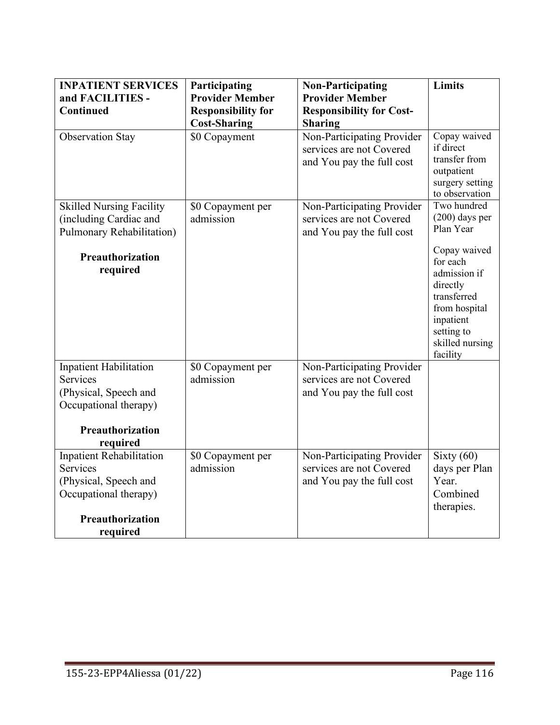| <b>INPATIENT SERVICES</b>                                     | Participating             | <b>Non-Participating</b>                                                            | <b>Limits</b>                                                                                                                                  |
|---------------------------------------------------------------|---------------------------|-------------------------------------------------------------------------------------|------------------------------------------------------------------------------------------------------------------------------------------------|
| and FACILITIES -                                              | <b>Provider Member</b>    | <b>Provider Member</b>                                                              |                                                                                                                                                |
| Continued                                                     | <b>Responsibility for</b> | <b>Responsibility for Cost-</b>                                                     |                                                                                                                                                |
|                                                               | <b>Cost-Sharing</b>       | <b>Sharing</b>                                                                      |                                                                                                                                                |
| <b>Observation Stay</b>                                       | \$0 Copayment             | Non-Participating Provider<br>services are not Covered<br>and You pay the full cost | Copay waived<br>if direct<br>transfer from<br>outpatient<br>surgery setting<br>to observation                                                  |
| <b>Skilled Nursing Facility</b>                               | \$0 Copayment per         | Non-Participating Provider                                                          | Two hundred                                                                                                                                    |
| (including Cardiac and<br>Pulmonary Rehabilitation)           | admission                 | services are not Covered<br>and You pay the full cost                               | $(200)$ days per<br>Plan Year                                                                                                                  |
| Preauthorization<br>required<br><b>Inpatient Habilitation</b> | \$0 Copayment per         | Non-Participating Provider                                                          | Copay waived<br>for each<br>admission if<br>directly<br>transferred<br>from hospital<br>inpatient<br>setting to<br>skilled nursing<br>facility |
| Services                                                      | admission                 | services are not Covered                                                            |                                                                                                                                                |
| (Physical, Speech and                                         |                           | and You pay the full cost                                                           |                                                                                                                                                |
| Occupational therapy)                                         |                           |                                                                                     |                                                                                                                                                |
| Preauthorization                                              |                           |                                                                                     |                                                                                                                                                |
| required                                                      |                           |                                                                                     |                                                                                                                                                |
| <b>Inpatient Rehabilitation</b>                               | \$0 Copayment per         | Non-Participating Provider                                                          | Sixty $(60)$                                                                                                                                   |
| <b>Services</b>                                               | admission                 | services are not Covered                                                            | days per Plan                                                                                                                                  |
| (Physical, Speech and                                         |                           | and You pay the full cost                                                           | Year.                                                                                                                                          |
| Occupational therapy)                                         |                           |                                                                                     | Combined<br>therapies.                                                                                                                         |
| Preauthorization                                              |                           |                                                                                     |                                                                                                                                                |
| required                                                      |                           |                                                                                     |                                                                                                                                                |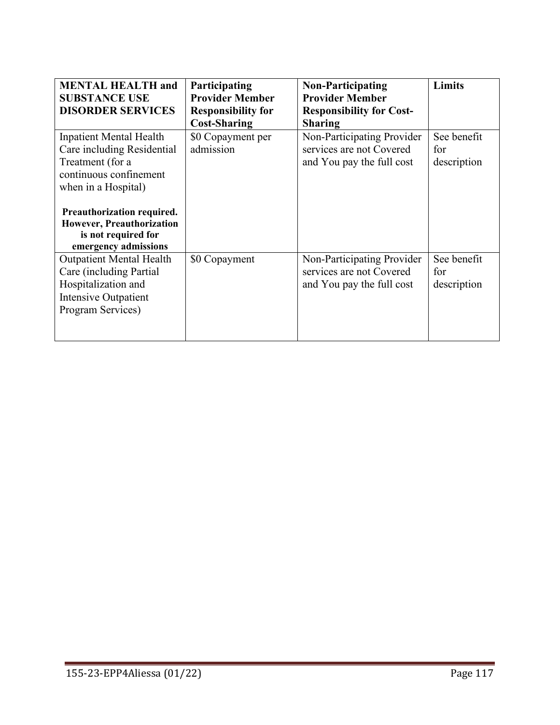| <b>MENTAL HEALTH and</b><br><b>SUBSTANCE USE</b><br><b>DISORDER SERVICES</b>                                                      | Participating<br><b>Provider Member</b><br><b>Responsibility for</b><br><b>Cost-Sharing</b> | <b>Non-Participating</b><br><b>Provider Member</b><br><b>Responsibility for Cost-</b><br><b>Sharing</b> | <b>Limits</b>                     |
|-----------------------------------------------------------------------------------------------------------------------------------|---------------------------------------------------------------------------------------------|---------------------------------------------------------------------------------------------------------|-----------------------------------|
| <b>Inpatient Mental Health</b><br>Care including Residential<br>Treatment (for a<br>continuous confinement<br>when in a Hospital) | \$0 Copayment per<br>admission                                                              | Non-Participating Provider<br>services are not Covered<br>and You pay the full cost                     | See benefit<br>for<br>description |
| Preauthorization required.<br><b>However, Preauthorization</b><br>is not required for<br>emergency admissions                     |                                                                                             |                                                                                                         |                                   |
| <b>Outpatient Mental Health</b><br>Care (including Partial<br>Hospitalization and<br>Intensive Outpatient<br>Program Services)    | \$0 Copayment                                                                               | Non-Participating Provider<br>services are not Covered<br>and You pay the full cost                     | See benefit<br>for<br>description |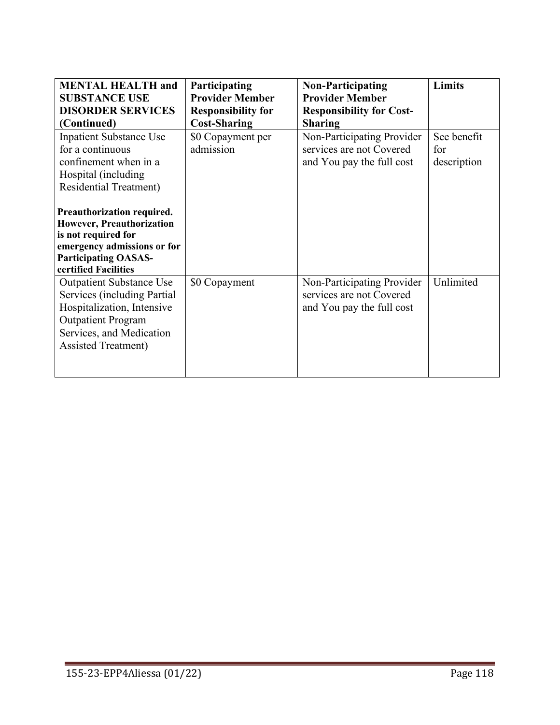| <b>MENTAL HEALTH and</b>         | Participating             | <b>Non-Participating</b>        | Limits      |
|----------------------------------|---------------------------|---------------------------------|-------------|
| <b>SUBSTANCE USE</b>             | <b>Provider Member</b>    | <b>Provider Member</b>          |             |
| <b>DISORDER SERVICES</b>         | <b>Responsibility for</b> | <b>Responsibility for Cost-</b> |             |
| (Continued)                      | <b>Cost-Sharing</b>       | <b>Sharing</b>                  |             |
| <b>Inpatient Substance Use</b>   | \$0 Copayment per         | Non-Participating Provider      | See benefit |
| for a continuous                 | admission                 | services are not Covered        | for         |
| confinement when in a            |                           | and You pay the full cost       | description |
| Hospital (including              |                           |                                 |             |
| <b>Residential Treatment)</b>    |                           |                                 |             |
|                                  |                           |                                 |             |
| Preauthorization required.       |                           |                                 |             |
| <b>However, Preauthorization</b> |                           |                                 |             |
| is not required for              |                           |                                 |             |
| emergency admissions or for      |                           |                                 |             |
| <b>Participating OASAS-</b>      |                           |                                 |             |
| certified Facilities             |                           |                                 |             |
| <b>Outpatient Substance Use</b>  | \$0 Copayment             | Non-Participating Provider      | Unlimited   |
| Services (including Partial      |                           | services are not Covered        |             |
| Hospitalization, Intensive       |                           | and You pay the full cost       |             |
| <b>Outpatient Program</b>        |                           |                                 |             |
| Services, and Medication         |                           |                                 |             |
| <b>Assisted Treatment</b> )      |                           |                                 |             |
|                                  |                           |                                 |             |
|                                  |                           |                                 |             |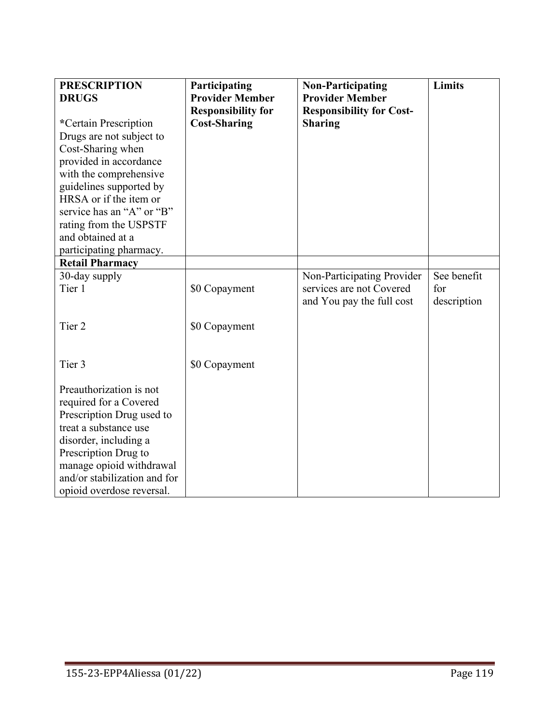| <b>PRESCRIPTION</b><br><b>DRUGS</b><br>*Certain Prescription<br>Drugs are not subject to<br>Cost-Sharing when<br>provided in accordance<br>with the comprehensive<br>guidelines supported by<br>HRSA or if the item or<br>service has an "A" or "B"<br>rating from the USPSTF<br>and obtained at a<br>participating pharmacy.<br><b>Retail Pharmacy</b> | Participating<br><b>Provider Member</b><br><b>Responsibility for</b><br><b>Cost-Sharing</b> | <b>Non-Participating</b><br><b>Provider Member</b><br><b>Responsibility for Cost-</b><br><b>Sharing</b> | <b>Limits</b>      |
|---------------------------------------------------------------------------------------------------------------------------------------------------------------------------------------------------------------------------------------------------------------------------------------------------------------------------------------------------------|---------------------------------------------------------------------------------------------|---------------------------------------------------------------------------------------------------------|--------------------|
|                                                                                                                                                                                                                                                                                                                                                         |                                                                                             |                                                                                                         | See benefit        |
| 30-day supply<br>Tier 1                                                                                                                                                                                                                                                                                                                                 | \$0 Copayment                                                                               | Non-Participating Provider<br>services are not Covered<br>and You pay the full cost                     | for<br>description |
| Tier <sub>2</sub>                                                                                                                                                                                                                                                                                                                                       | \$0 Copayment                                                                               |                                                                                                         |                    |
| Tier 3                                                                                                                                                                                                                                                                                                                                                  | \$0 Copayment                                                                               |                                                                                                         |                    |
| Preauthorization is not<br>required for a Covered<br>Prescription Drug used to<br>treat a substance use<br>disorder, including a<br>Prescription Drug to<br>manage opioid withdrawal<br>and/or stabilization and for<br>opioid overdose reversal.                                                                                                       |                                                                                             |                                                                                                         |                    |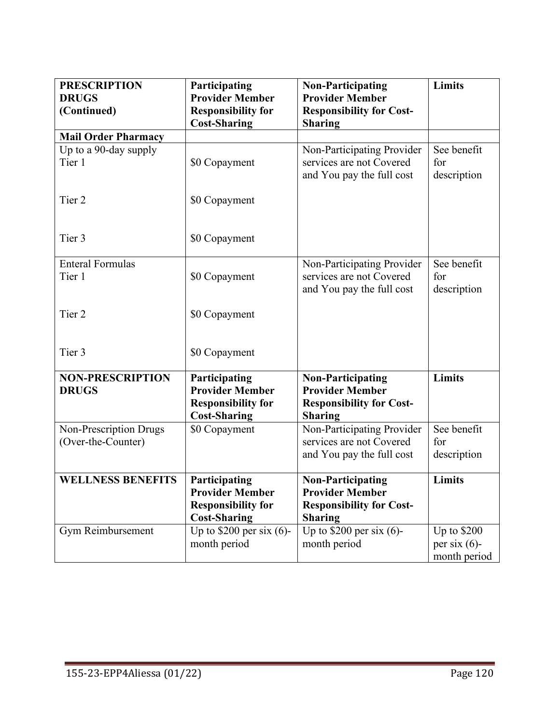| <b>PRESCRIPTION</b><br><b>DRUGS</b>     | Participating<br><b>Provider Member</b>                                                     | <b>Non-Participating</b><br><b>Provider Member</b>                                                      | Limits                            |
|-----------------------------------------|---------------------------------------------------------------------------------------------|---------------------------------------------------------------------------------------------------------|-----------------------------------|
| (Continued)                             | <b>Responsibility for</b><br><b>Cost-Sharing</b>                                            | <b>Responsibility for Cost-</b><br><b>Sharing</b>                                                       |                                   |
| <b>Mail Order Pharmacy</b>              |                                                                                             |                                                                                                         |                                   |
| Up to a 90-day supply<br>Tier 1         | \$0 Copayment                                                                               | Non-Participating Provider<br>services are not Covered<br>and You pay the full cost                     | See benefit<br>for<br>description |
| Tier 2                                  | \$0 Copayment                                                                               |                                                                                                         |                                   |
| Tier 3                                  | \$0 Copayment                                                                               |                                                                                                         |                                   |
| <b>Enteral Formulas</b><br>Tier 1       | \$0 Copayment                                                                               | Non-Participating Provider<br>services are not Covered                                                  | See benefit<br>for                |
|                                         |                                                                                             | and You pay the full cost                                                                               | description                       |
| Tier 2                                  | \$0 Copayment                                                                               |                                                                                                         |                                   |
| Tier 3                                  | \$0 Copayment                                                                               |                                                                                                         |                                   |
| <b>NON-PRESCRIPTION</b><br><b>DRUGS</b> | Participating<br><b>Provider Member</b><br><b>Responsibility for</b><br><b>Cost-Sharing</b> | <b>Non-Participating</b><br><b>Provider Member</b><br><b>Responsibility for Cost-</b><br><b>Sharing</b> | Limits                            |
| Non-Prescription Drugs                  | \$0 Copayment                                                                               | Non-Participating Provider                                                                              | See benefit                       |
| (Over-the-Counter)                      |                                                                                             | services are not Covered                                                                                | for                               |
|                                         |                                                                                             | and You pay the full cost                                                                               | description                       |
| <b>WELLNESS BENEFITS</b>                | Participating<br><b>Provider Member</b><br><b>Responsibility for</b><br><b>Cost-Sharing</b> | <b>Non-Participating</b><br><b>Provider Member</b><br><b>Responsibility for Cost-</b><br><b>Sharing</b> | Limits                            |
| Gym Reimbursement                       | Up to $$200$ per six (6)-                                                                   | Up to $$200$ per six (6)-                                                                               | Up to \$200                       |
|                                         | month period                                                                                | month period                                                                                            | per six $(6)$ -                   |
|                                         |                                                                                             |                                                                                                         | month period                      |